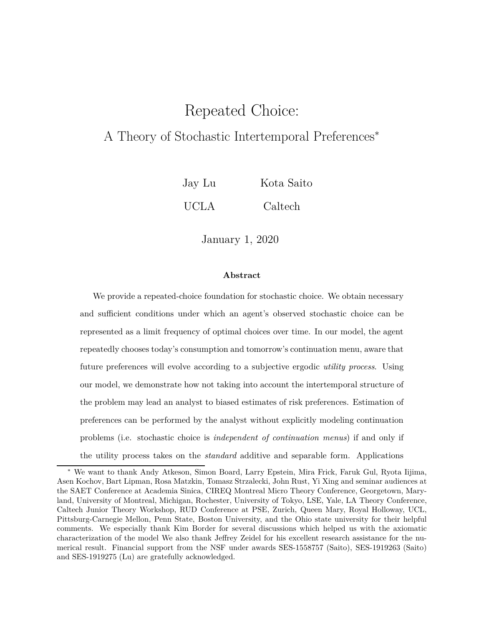# Repeated Choice:

### A Theory of Stochastic Intertemporal Preferences<sup>∗</sup>

Jay Lu Kota Saito UCLA Caltech

January 1, 2020

#### **Abstract**

We provide a repeated-choice foundation for stochastic choice. We obtain necessary and sufficient conditions under which an agent's observed stochastic choice can be represented as a limit frequency of optimal choices over time. In our model, the agent repeatedly chooses today's consumption and tomorrow's continuation menu, aware that future preferences will evolve according to a subjective ergodic *utility process*. Using our model, we demonstrate how not taking into account the intertemporal structure of the problem may lead an analyst to biased estimates of risk preferences. Estimation of preferences can be performed by the analyst without explicitly modeling continuation problems (i.e. stochastic choice is *independent of continuation menus*) if and only if the utility process takes on the *standard* additive and separable form. Applications

<sup>∗</sup> We want to thank Andy Atkeson, Simon Board, Larry Epstein, Mira Frick, Faruk Gul, Ryota Iijima, Asen Kochov, Bart Lipman, Rosa Matzkin, Tomasz Strzalecki, John Rust, Yi Xing and seminar audiences at the SAET Conference at Academia Sinica, CIREQ Montreal Micro Theory Conference, Georgetown, Maryland, University of Montreal, Michigan, Rochester, University of Tokyo, LSE, Yale, LA Theory Conference, Caltech Junior Theory Workshop, RUD Conference at PSE, Zurich, Queen Mary, Royal Holloway, UCL, Pittsburg-Carnegie Mellon, Penn State, Boston University, and the Ohio state university for their helpful comments. We especially thank Kim Border for several discussions which helped us with the axiomatic characterization of the model We also thank Jeffrey Zeidel for his excellent research assistance for the numerical result. Financial support from the NSF under awards SES-1558757 (Saito), SES-1919263 (Saito) and SES-1919275 (Lu) are gratefully acknowledged.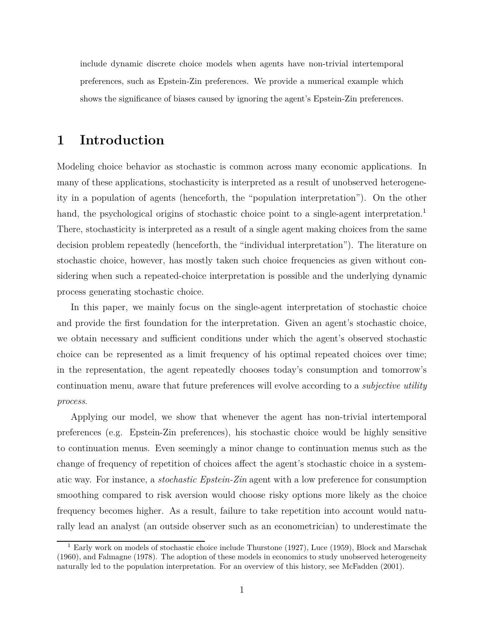include dynamic discrete choice models when agents have non-trivial intertemporal preferences, such as Epstein-Zin preferences. We provide a numerical example which shows the significance of biases caused by ignoring the agent's Epstein-Zin preferences.

## **1 Introduction**

Modeling choice behavior as stochastic is common across many economic applications. In many of these applications, stochasticity is interpreted as a result of unobserved heterogeneity in a population of agents (henceforth, the "population interpretation"). On the other hand, the psychological origins of stochastic choice point to a single-agent interpretation.<sup>1</sup> There, stochasticity is interpreted as a result of a single agent making choices from the same decision problem repeatedly (henceforth, the "individual interpretation"). The literature on stochastic choice, however, has mostly taken such choice frequencies as given without considering when such a repeated-choice interpretation is possible and the underlying dynamic process generating stochastic choice.

In this paper, we mainly focus on the single-agent interpretation of stochastic choice and provide the first foundation for the interpretation. Given an agent's stochastic choice, we obtain necessary and sufficient conditions under which the agent's observed stochastic choice can be represented as a limit frequency of his optimal repeated choices over time; in the representation, the agent repeatedly chooses today's consumption and tomorrow's continuation menu, aware that future preferences will evolve according to a *subjective utility process*.

Applying our model, we show that whenever the agent has non-trivial intertemporal preferences (e.g. Epstein-Zin preferences), his stochastic choice would be highly sensitive to continuation menus. Even seemingly a minor change to continuation menus such as the change of frequency of repetition of choices affect the agent's stochastic choice in a systematic way. For instance, a *stochastic Epstein-Zin* agent with a low preference for consumption smoothing compared to risk aversion would choose risky options more likely as the choice frequency becomes higher. As a result, failure to take repetition into account would naturally lead an analyst (an outside observer such as an econometrician) to underestimate the

<sup>&</sup>lt;sup>1</sup> Early work on models of stochastic choice include Thurstone (1927), Luce (1959), Block and Marschak (1960), and Falmagne (1978). The adoption of these models in economics to study unobserved heterogeneity naturally led to the population interpretation. For an overview of this history, see McFadden (2001).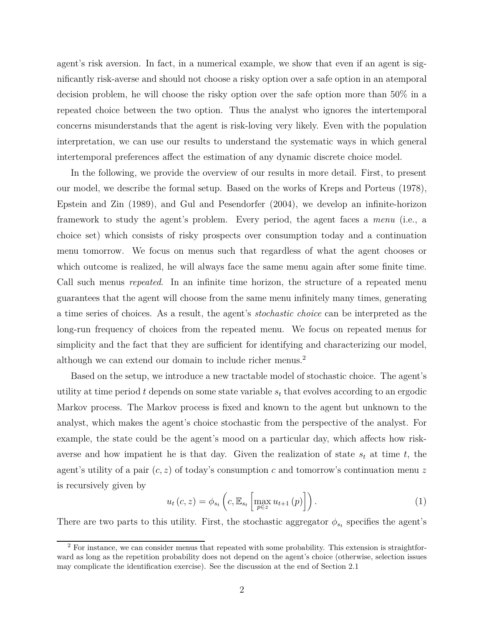agent's risk aversion. In fact, in a numerical example, we show that even if an agent is significantly risk-averse and should not choose a risky option over a safe option in an atemporal decision problem, he will choose the risky option over the safe option more than 50% in a repeated choice between the two option. Thus the analyst who ignores the intertemporal concerns misunderstands that the agent is risk-loving very likely. Even with the population interpretation, we can use our results to understand the systematic ways in which general intertemporal preferences affect the estimation of any dynamic discrete choice model.

In the following, we provide the overview of our results in more detail. First, to present our model, we describe the formal setup. Based on the works of Kreps and Porteus (1978), Epstein and Zin (1989), and Gul and Pesendorfer (2004), we develop an infinite-horizon framework to study the agent's problem. Every period, the agent faces a *menu* (i.e., a choice set) which consists of risky prospects over consumption today and a continuation menu tomorrow. We focus on menus such that regardless of what the agent chooses or which outcome is realized, he will always face the same menu again after some finite time. Call such menus *repeated*. In an infinite time horizon, the structure of a repeated menu guarantees that the agent will choose from the same menu infinitely many times, generating a time series of choices. As a result, the agent's *stochastic choice* can be interpreted as the long-run frequency of choices from the repeated menu. We focus on repeated menus for simplicity and the fact that they are sufficient for identifying and characterizing our model, although we can extend our domain to include richer menus.<sup>2</sup>

Based on the setup, we introduce a new tractable model of stochastic choice. The agent's utility at time period *t* depends on some state variable *s<sup>t</sup>* that evolves according to an ergodic Markov process. The Markov process is fixed and known to the agent but unknown to the analyst, which makes the agent's choice stochastic from the perspective of the analyst. For example, the state could be the agent's mood on a particular day, which affects how riskaverse and how impatient he is that day. Given the realization of state  $s_t$  at time  $t$ , the agent's utility of a pair (*c, z*) of today's consumption *c* and tomorrow's continuation menu *z* is recursively given by

$$
u_t\left(c, z\right) = \phi_{s_t}\left(c, \mathbb{E}_{s_t}\left[\max_{p \in z} u_{t+1}\left(p\right)\right]\right). \tag{1}
$$

There are two parts to this utility. First, the stochastic aggregator  $\phi_{s_t}$  specifies the agent's

 $2$  For instance, we can consider menus that repeated with some probability. This extension is straightforward as long as the repetition probability does not depend on the agent's choice (otherwise, selection issues may complicate the identification exercise). See the discussion at the end of Section 2.1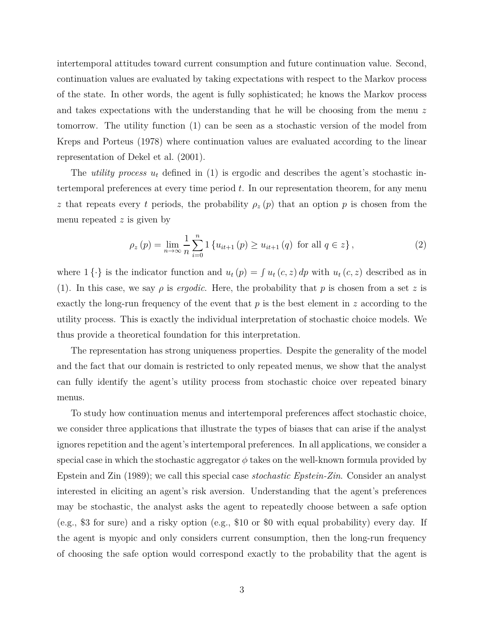intertemporal attitudes toward current consumption and future continuation value. Second, continuation values are evaluated by taking expectations with respect to the Markov process of the state. In other words, the agent is fully sophisticated; he knows the Markov process and takes expectations with the understanding that he will be choosing from the menu *z* tomorrow. The utility function (1) can be seen as a stochastic version of the model from Kreps and Porteus (1978) where continuation values are evaluated according to the linear representation of Dekel et al. (2001).

The *utility process u<sup>t</sup>* defined in (1) is ergodic and describes the agent's stochastic intertemporal preferences at every time period *t*. In our representation theorem, for any menu *z* that repeats every *t* periods, the probability  $\rho_z(p)$  that an option *p* is chosen from the menu repeated *z* is given by

$$
\rho_z(p) = \lim_{n \to \infty} \frac{1}{n} \sum_{i=0}^n 1 \left\{ u_{it+1}(p) \ge u_{it+1}(q) \text{ for all } q \in z \right\},\tag{2}
$$

where  $1 \{\cdot\}$  is the indicator function and  $u_t(p) = \int u_t(c, z) dp$  with  $u_t(c, z)$  described as in (1). In this case, we say  $\rho$  is *ergodic*. Here, the probability that  $p$  is chosen from a set  $z$  is exactly the long-run frequency of the event that *p* is the best element in *z* according to the utility process. This is exactly the individual interpretation of stochastic choice models. We thus provide a theoretical foundation for this interpretation.

The representation has strong uniqueness properties. Despite the generality of the model and the fact that our domain is restricted to only repeated menus, we show that the analyst can fully identify the agent's utility process from stochastic choice over repeated binary menus.

To study how continuation menus and intertemporal preferences affect stochastic choice, we consider three applications that illustrate the types of biases that can arise if the analyst ignores repetition and the agent's intertemporal preferences. In all applications, we consider a special case in which the stochastic aggregator  $\phi$  takes on the well-known formula provided by Epstein and Zin (1989); we call this special case *stochastic Epstein-Zin*. Consider an analyst interested in eliciting an agent's risk aversion. Understanding that the agent's preferences may be stochastic, the analyst asks the agent to repeatedly choose between a safe option (e.g., \$3 for sure) and a risky option (e.g., \$10 or \$0 with equal probability) every day. If the agent is myopic and only considers current consumption, then the long-run frequency of choosing the safe option would correspond exactly to the probability that the agent is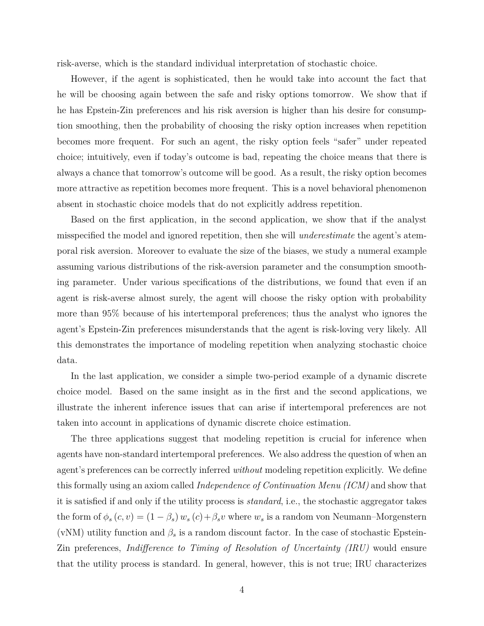risk-averse, which is the standard individual interpretation of stochastic choice.

However, if the agent is sophisticated, then he would take into account the fact that he will be choosing again between the safe and risky options tomorrow. We show that if he has Epstein-Zin preferences and his risk aversion is higher than his desire for consumption smoothing, then the probability of choosing the risky option increases when repetition becomes more frequent. For such an agent, the risky option feels "safer" under repeated choice; intuitively, even if today's outcome is bad, repeating the choice means that there is always a chance that tomorrow's outcome will be good. As a result, the risky option becomes more attractive as repetition becomes more frequent. This is a novel behavioral phenomenon absent in stochastic choice models that do not explicitly address repetition.

Based on the first application, in the second application, we show that if the analyst misspecified the model and ignored repetition, then she will *underestimate* the agent's atemporal risk aversion. Moreover to evaluate the size of the biases, we study a numeral example assuming various distributions of the risk-aversion parameter and the consumption smoothing parameter. Under various specifications of the distributions, we found that even if an agent is risk-averse almost surely, the agent will choose the risky option with probability more than 95% because of his intertemporal preferences; thus the analyst who ignores the agent's Epstein-Zin preferences misunderstands that the agent is risk-loving very likely. All this demonstrates the importance of modeling repetition when analyzing stochastic choice data.

In the last application, we consider a simple two-period example of a dynamic discrete choice model. Based on the same insight as in the first and the second applications, we illustrate the inherent inference issues that can arise if intertemporal preferences are not taken into account in applications of dynamic discrete choice estimation.

The three applications suggest that modeling repetition is crucial for inference when agents have non-standard intertemporal preferences. We also address the question of when an agent's preferences can be correctly inferred *without* modeling repetition explicitly. We define this formally using an axiom called *Independence of Continuation Menu (ICM)* and show that it is satisfied if and only if the utility process is *standard*, i.e., the stochastic aggregator takes the form of  $\phi_s(c, v) = (1 - \beta_s) w_s(c) + \beta_s v$  where  $w_s$  is a random von Neumann–Morgenstern (vNM) utility function and  $\beta_s$  is a random discount factor. In the case of stochastic Epstein-Zin preferences, *Indifference to Timing of Resolution of Uncertainty (IRU)* would ensure that the utility process is standard. In general, however, this is not true; IRU characterizes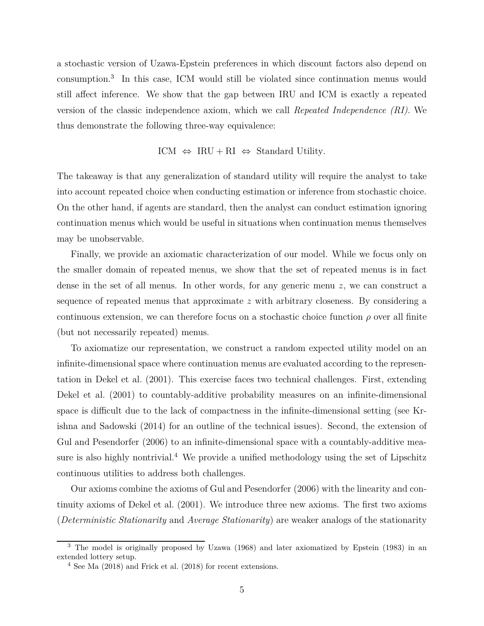a stochastic version of Uzawa-Epstein preferences in which discount factors also depend on consumption.<sup>3</sup> In this case, ICM would still be violated since continuation menus would still affect inference. We show that the gap between IRU and ICM is exactly a repeated version of the classic independence axiom, which we call *Repeated Independence (RI)*. We thus demonstrate the following three-way equivalence:

$$
ICM \Leftrightarrow IRU + RI \Leftrightarrow Standard Utility.
$$

The takeaway is that any generalization of standard utility will require the analyst to take into account repeated choice when conducting estimation or inference from stochastic choice. On the other hand, if agents are standard, then the analyst can conduct estimation ignoring continuation menus which would be useful in situations when continuation menus themselves may be unobservable.

Finally, we provide an axiomatic characterization of our model. While we focus only on the smaller domain of repeated menus, we show that the set of repeated menus is in fact dense in the set of all menus. In other words, for any generic menu *z*, we can construct a sequence of repeated menus that approximate *z* with arbitrary closeness. By considering a continuous extension, we can therefore focus on a stochastic choice function  $\rho$  over all finite (but not necessarily repeated) menus.

To axiomatize our representation, we construct a random expected utility model on an infinite-dimensional space where continuation menus are evaluated according to the representation in Dekel et al. (2001). This exercise faces two technical challenges. First, extending Dekel et al. (2001) to countably-additive probability measures on an infinite-dimensional space is difficult due to the lack of compactness in the infinite-dimensional setting (see Krishna and Sadowski (2014) for an outline of the technical issues). Second, the extension of Gul and Pesendorfer (2006) to an infinite-dimensional space with a countably-additive measure is also highly nontrivial.<sup>4</sup> We provide a unified methodology using the set of Lipschitz continuous utilities to address both challenges.

Our axioms combine the axioms of Gul and Pesendorfer (2006) with the linearity and continuity axioms of Dekel et al. (2001). We introduce three new axioms. The first two axioms (*Deterministic Stationarity* and *Average Stationarity*) are weaker analogs of the stationarity

<sup>3</sup> The model is originally proposed by Uzawa (1968) and later axiomatized by Epstein (1983) in an extended lottery setup.

<sup>4</sup> See Ma (2018) and Frick et al. (2018) for recent extensions.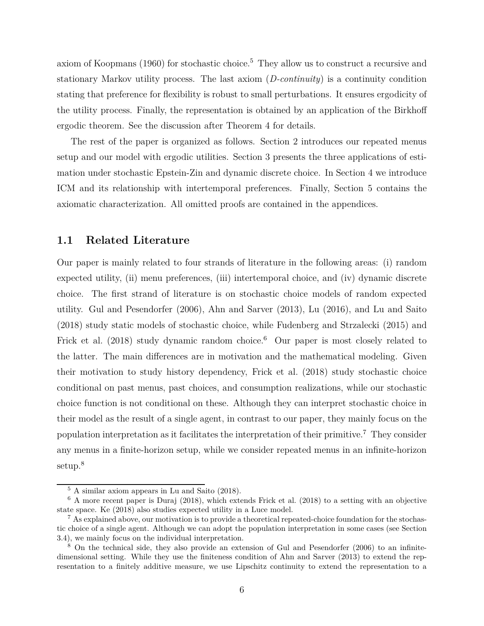axiom of Koopmans (1960) for stochastic choice.<sup>5</sup> They allow us to construct a recursive and stationary Markov utility process. The last axiom (*D-continuity*) is a continuity condition stating that preference for flexibility is robust to small perturbations. It ensures ergodicity of the utility process. Finally, the representation is obtained by an application of the Birkhoff ergodic theorem. See the discussion after Theorem 4 for details.

The rest of the paper is organized as follows. Section 2 introduces our repeated menus setup and our model with ergodic utilities. Section 3 presents the three applications of estimation under stochastic Epstein-Zin and dynamic discrete choice. In Section 4 we introduce ICM and its relationship with intertemporal preferences. Finally, Section 5 contains the axiomatic characterization. All omitted proofs are contained in the appendices.

#### **1.1 Related Literature**

Our paper is mainly related to four strands of literature in the following areas: (i) random expected utility, (ii) menu preferences, (iii) intertemporal choice, and (iv) dynamic discrete choice. The first strand of literature is on stochastic choice models of random expected utility. Gul and Pesendorfer (2006), Ahn and Sarver (2013), Lu (2016), and Lu and Saito (2018) study static models of stochastic choice, while Fudenberg and Strzalecki (2015) and Frick et al. (2018) study dynamic random choice.<sup>6</sup> Our paper is most closely related to the latter. The main differences are in motivation and the mathematical modeling. Given their motivation to study history dependency, Frick et al. (2018) study stochastic choice conditional on past menus, past choices, and consumption realizations, while our stochastic choice function is not conditional on these. Although they can interpret stochastic choice in their model as the result of a single agent, in contrast to our paper, they mainly focus on the population interpretation as it facilitates the interpretation of their primitive.<sup>7</sup> They consider any menus in a finite-horizon setup, while we consider repeated menus in an infinite-horizon setup.<sup>8</sup>

<sup>5</sup> A similar axiom appears in Lu and Saito (2018).

<sup>6</sup> A more recent paper is Duraj (2018), which extends Frick et al. (2018) to a setting with an objective state space. Ke (2018) also studies expected utility in a Luce model.

<sup>&</sup>lt;sup>7</sup> As explained above, our motivation is to provide a theoretical repeated-choice foundation for the stochastic choice of a single agent. Although we can adopt the population interpretation in some cases (see Section 3.4), we mainly focus on the individual interpretation.

<sup>8</sup> On the technical side, they also provide an extension of Gul and Pesendorfer (2006) to an infinitedimensional setting. While they use the finiteness condition of Ahn and Sarver (2013) to extend the representation to a finitely additive measure, we use Lipschitz continuity to extend the representation to a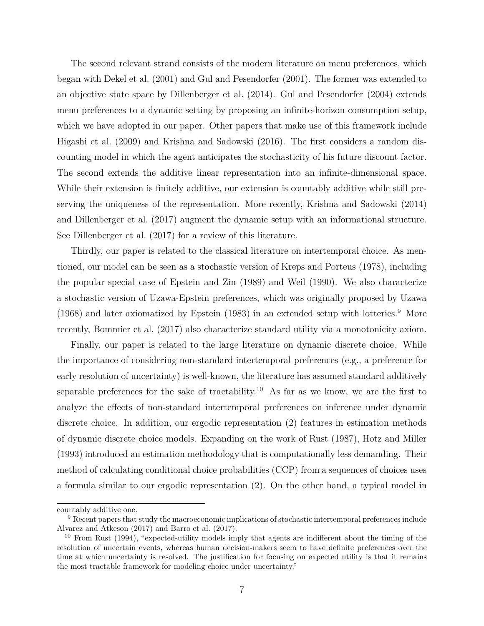The second relevant strand consists of the modern literature on menu preferences, which began with Dekel et al. (2001) and Gul and Pesendorfer (2001). The former was extended to an objective state space by Dillenberger et al. (2014). Gul and Pesendorfer (2004) extends menu preferences to a dynamic setting by proposing an infinite-horizon consumption setup, which we have adopted in our paper. Other papers that make use of this framework include Higashi et al. (2009) and Krishna and Sadowski (2016). The first considers a random discounting model in which the agent anticipates the stochasticity of his future discount factor. The second extends the additive linear representation into an infinite-dimensional space. While their extension is finitely additive, our extension is countably additive while still preserving the uniqueness of the representation. More recently, Krishna and Sadowski (2014) and Dillenberger et al. (2017) augment the dynamic setup with an informational structure. See Dillenberger et al. (2017) for a review of this literature.

Thirdly, our paper is related to the classical literature on intertemporal choice. As mentioned, our model can be seen as a stochastic version of Kreps and Porteus (1978), including the popular special case of Epstein and Zin (1989) and Weil (1990). We also characterize a stochastic version of Uzawa-Epstein preferences, which was originally proposed by Uzawa (1968) and later axiomatized by Epstein (1983) in an extended setup with lotteries.<sup>9</sup> More recently, Bommier et al. (2017) also characterize standard utility via a monotonicity axiom.

Finally, our paper is related to the large literature on dynamic discrete choice. While the importance of considering non-standard intertemporal preferences (e.g., a preference for early resolution of uncertainty) is well-known, the literature has assumed standard additively separable preferences for the sake of tractability.<sup>10</sup> As far as we know, we are the first to analyze the effects of non-standard intertemporal preferences on inference under dynamic discrete choice. In addition, our ergodic representation (2) features in estimation methods of dynamic discrete choice models. Expanding on the work of Rust (1987), Hotz and Miller (1993) introduced an estimation methodology that is computationally less demanding. Their method of calculating conditional choice probabilities (CCP) from a sequences of choices uses a formula similar to our ergodic representation (2). On the other hand, a typical model in

countably additive one.

<sup>&</sup>lt;sup>9</sup> Recent papers that study the macroeconomic implications of stochastic intertemporal preferences include Alvarez and Atkeson (2017) and Barro et al. (2017).

<sup>10</sup> From Rust (1994), "expected-utility models imply that agents are indifferent about the timing of the resolution of uncertain events, whereas human decision-makers seem to have definite preferences over the time at which uncertainty is resolved. The justification for focusing on expected utility is that it remains the most tractable framework for modeling choice under uncertainty."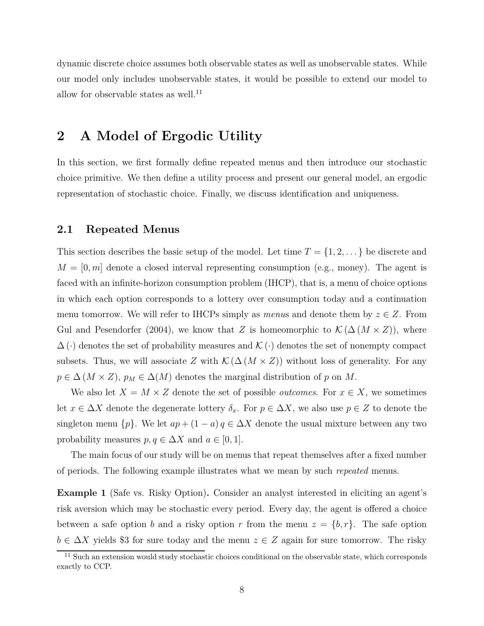dynamic discrete choice assumes both observable states as well as unobservable states. While our model only includes unobservable states, it would be possible to extend our model to allow for observable states as well.<sup>11</sup>

### **2 A Model of Ergodic Utility**

In this section, we first formally define repeated menus and then introduce our stochastic choice primitive. We then define a utility process and present our general model, an ergodic representation of stochastic choice. Finally, we discuss identification and uniqueness.

#### **2.1 Repeated Menus**

This section describes the basic setup of the model. Let time  $T = \{1, 2, \ldots\}$  be discrete and  $M = [0, m]$  denote a closed interval representing consumption (e.g., money). The agent is faced with an infinite-horizon consumption problem (IHCP), that is, a menu of choice options in which each option corresponds to a lottery over consumption today and a continuation menu tomorrow. We will refer to IHCPs simply as *menus* and denote them by  $z \in Z$ . From Gul and Pesendorfer (2004), we know that *Z* is homeomorphic to  $\mathcal{K}(\Delta (M \times Z))$ , where  $\Delta(\cdot)$  denotes the set of probability measures and  $\mathcal{K}(\cdot)$  denotes the set of nonempty compact subsets. Thus, we will associate *Z* with  $\mathcal{K}(\Delta(M \times Z))$  without loss of generality. For any  $p \in \Delta(M \times Z)$ ,  $p_M \in \Delta(M)$  denotes the marginal distribution of *p* on *M*.

We also let  $X = M \times Z$  denote the set of possible *outcomes*. For  $x \in X$ , we sometimes let  $x \in \Delta X$  denote the degenerate lottery  $\delta_x$ . For  $p \in \Delta X$ , we also use  $p \in Z$  to denote the singleton menu  $\{p\}$ . We let  $ap + (1 - a) q \in \Delta X$  denote the usual mixture between any two probability measures  $p, q \in \Delta X$  and  $a \in [0, 1]$ .

The main focus of our study will be on menus that repeat themselves after a fixed number of periods. The following example illustrates what we mean by such *repeated* menus.

**Example 1** (Safe vs. Risky Option)**.** Consider an analyst interested in eliciting an agent's risk aversion which may be stochastic every period. Every day, the agent is offered a choice between a safe option *b* and a risky option *r* from the menu  $z = \{b, r\}$ . The safe option  $b \in \Delta X$  yields \$3 for sure today and the menu  $z \in Z$  again for sure tomorrow. The risky

<sup>&</sup>lt;sup>11</sup> Such an extension would study stochastic choices conditional on the observable state, which corresponds exactly to CCP.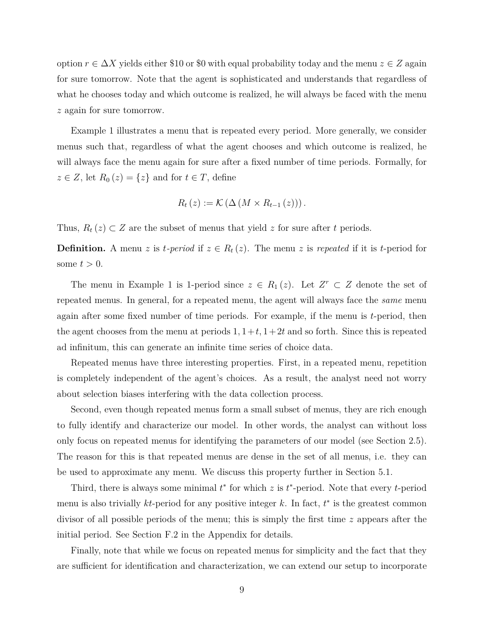option  $r \in \Delta X$  yields either \$10 or \$0 with equal probability today and the menu  $z \in Z$  again for sure tomorrow. Note that the agent is sophisticated and understands that regardless of what he chooses today and which outcome is realized, he will always be faced with the menu *z* again for sure tomorrow.

Example 1 illustrates a menu that is repeated every period. More generally, we consider menus such that, regardless of what the agent chooses and which outcome is realized, he will always face the menu again for sure after a fixed number of time periods. Formally, for  $z \in Z$ , let  $R_0(z) = \{z\}$  and for  $t \in T$ , define

$$
R_t(z) := \mathcal{K} \left( \Delta \left( M \times R_{t-1} \left( z \right) \right) \right).
$$

Thus,  $R_t(z) \subset Z$  are the subset of menus that yield *z* for sure after *t* periods.

**Definition.** A menu *z* is *t-period* if  $z \in R_t(z)$ . The menu *z* is *repeated* if it is *t*-period for some  $t > 0$ .

The menu in Example 1 is 1-period since  $z \in R_1(z)$ . Let  $Z^r \subset Z$  denote the set of repeated menus. In general, for a repeated menu, the agent will always face the *same* menu again after some fixed number of time periods. For example, if the menu is *t*-period, then the agent chooses from the menu at periods  $1, 1+t, 1+2t$  and so forth. Since this is repeated ad infinitum, this can generate an infinite time series of choice data.

Repeated menus have three interesting properties. First, in a repeated menu, repetition is completely independent of the agent's choices. As a result, the analyst need not worry about selection biases interfering with the data collection process.

Second, even though repeated menus form a small subset of menus, they are rich enough to fully identify and characterize our model. In other words, the analyst can without loss only focus on repeated menus for identifying the parameters of our model (see Section 2.5). The reason for this is that repeated menus are dense in the set of all menus, i.e. they can be used to approximate any menu. We discuss this property further in Section 5.1.

Third, there is always some minimal *t* ∗ for which *z* is *t* ∗ -period. Note that every *t*-period menu is also trivially  $kt$ -period for any positive integer  $k$ . In fact,  $t^*$  is the greatest common divisor of all possible periods of the menu; this is simply the first time *z* appears after the initial period. See Section F.2 in the Appendix for details.

Finally, note that while we focus on repeated menus for simplicity and the fact that they are sufficient for identification and characterization, we can extend our setup to incorporate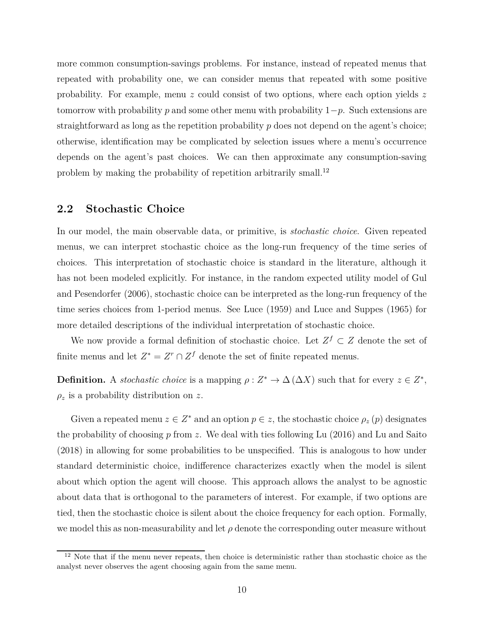more common consumption-savings problems. For instance, instead of repeated menus that repeated with probability one, we can consider menus that repeated with some positive probability. For example, menu *z* could consist of two options, where each option yields *z* tomorrow with probability *p* and some other menu with probability 1−*p*. Such extensions are straightforward as long as the repetition probability *p* does not depend on the agent's choice; otherwise, identification may be complicated by selection issues where a menu's occurrence depends on the agent's past choices. We can then approximate any consumption-saving problem by making the probability of repetition arbitrarily small.<sup>12</sup>

#### **2.2 Stochastic Choice**

In our model, the main observable data, or primitive, is *stochastic choice*. Given repeated menus, we can interpret stochastic choice as the long-run frequency of the time series of choices. This interpretation of stochastic choice is standard in the literature, although it has not been modeled explicitly. For instance, in the random expected utility model of Gul and Pesendorfer (2006), stochastic choice can be interpreted as the long-run frequency of the time series choices from 1-period menus. See Luce (1959) and Luce and Suppes (1965) for more detailed descriptions of the individual interpretation of stochastic choice.

We now provide a formal definition of stochastic choice. Let  $Z^f \subset Z$  denote the set of finite menus and let  $Z^* = Z^r \cap Z^f$  denote the set of finite repeated menus.

**Definition.** A *stochastic choice* is a mapping  $\rho: Z^* \to \Delta(\Delta X)$  such that for every  $z \in Z^*$ ,  $\rho_z$  is a probability distribution on *z*.

Given a repeated menu  $z \in Z^*$  and an option  $p \in z$ , the stochastic choice  $\rho_z(p)$  designates the probability of choosing *p* from *z*. We deal with ties following Lu (2016) and Lu and Saito (2018) in allowing for some probabilities to be unspecified. This is analogous to how under standard deterministic choice, indifference characterizes exactly when the model is silent about which option the agent will choose. This approach allows the analyst to be agnostic about data that is orthogonal to the parameters of interest. For example, if two options are tied, then the stochastic choice is silent about the choice frequency for each option. Formally, we model this as non-measurability and let  $\rho$  denote the corresponding outer measure without

 $12$  Note that if the menu never repeats, then choice is deterministic rather than stochastic choice as the analyst never observes the agent choosing again from the same menu.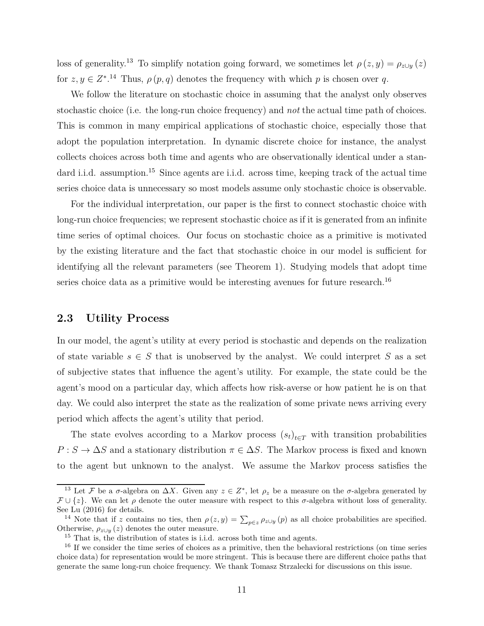loss of generality.<sup>13</sup> To simplify notation going forward, we sometimes let  $\rho(z, y) = \rho_{z \cup y}(z)$ for  $z, y \in \mathbb{Z}^*$ .<sup>14</sup> Thus,  $\rho(p,q)$  denotes the frequency with which p is chosen over q.

We follow the literature on stochastic choice in assuming that the analyst only observes stochastic choice (i.e. the long-run choice frequency) and *not* the actual time path of choices. This is common in many empirical applications of stochastic choice, especially those that adopt the population interpretation. In dynamic discrete choice for instance, the analyst collects choices across both time and agents who are observationally identical under a standard i.i.d. assumption.<sup>15</sup> Since agents are i.i.d. across time, keeping track of the actual time series choice data is unnecessary so most models assume only stochastic choice is observable.

For the individual interpretation, our paper is the first to connect stochastic choice with long-run choice frequencies; we represent stochastic choice as if it is generated from an infinite time series of optimal choices. Our focus on stochastic choice as a primitive is motivated by the existing literature and the fact that stochastic choice in our model is sufficient for identifying all the relevant parameters (see Theorem 1). Studying models that adopt time series choice data as a primitive would be interesting avenues for future research.<sup>16</sup>

### **2.3 Utility Process**

In our model, the agent's utility at every period is stochastic and depends on the realization of state variable  $s \in S$  that is unobserved by the analyst. We could interpret S as a set of subjective states that influence the agent's utility. For example, the state could be the agent's mood on a particular day, which affects how risk-averse or how patient he is on that day. We could also interpret the state as the realization of some private news arriving every period which affects the agent's utility that period.

The state evolves according to a Markov process  $(s_t)_{t \in T}$  with transition probabilities  $P: S \to \Delta S$  and a stationary distribution  $\pi \in \Delta S$ . The Markov process is fixed and known to the agent but unknown to the analyst. We assume the Markov process satisfies the

<sup>&</sup>lt;sup>13</sup> Let F be a  $\sigma$ -algebra on  $\Delta X$ . Given any  $z \in Z^*$ , let  $\rho_z$  be a measure on the  $\sigma$ -algebra generated by  $\mathcal{F} \cup \{z\}$ . We can let  $\rho$  denote the outer measure with respect to this  $\sigma$ -algebra without loss of generality. See Lu (2016) for details.

<sup>&</sup>lt;sup>14</sup> Note that if *z* contains no ties, then  $\rho(z, y) = \sum_{p \in z} \rho_{z \cup y}(p)$  as all choice probabilities are specified. Otherwise,  $\rho_{z \cup y}(z)$  denotes the outer measure.

<sup>&</sup>lt;sup>15</sup> That is, the distribution of states is i.i.d. across both time and agents.

<sup>&</sup>lt;sup>16</sup> If we consider the time series of choices as a primitive, then the behavioral restrictions (on time series choice data) for representation would be more stringent. This is because there are different choice paths that generate the same long-run choice frequency. We thank Tomasz Strzalecki for discussions on this issue.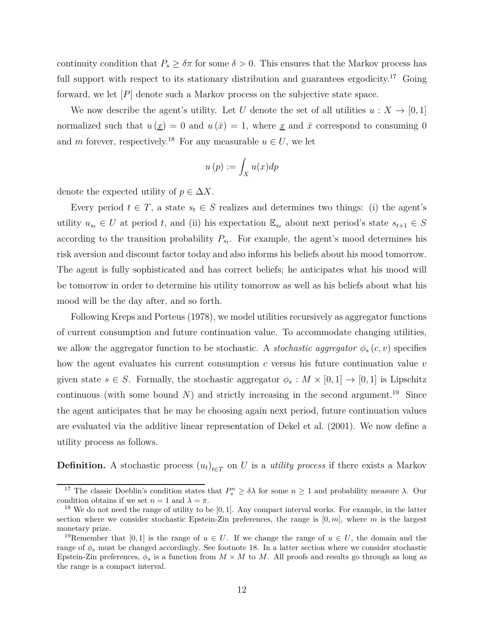continuity condition that  $P_s \geq \delta \pi$  for some  $\delta > 0$ . This ensures that the Markov process has full support with respect to its stationary distribution and guarantees ergodicity.<sup>17</sup> Going forward, we let [*P*] denote such a Markov process on the subjective state space.

We now describe the agent's utility. Let *U* denote the set of all utilities  $u: X \to [0, 1]$ normalized such that  $u(\underline{x}) = 0$  and  $u(\overline{x}) = 1$ , where <u>x</u> and  $\overline{x}$  correspond to consuming 0 and *m* forever, respectively.<sup>18</sup> For any measurable  $u \in U$ , we let

$$
u\left(p\right) := \int_{X} u(x) dp
$$

denote the expected utility of  $p \in \Delta X$ .

Every period  $t \in T$ , a state  $s_t \in S$  realizes and determines two things: (i) the agent's utility  $u_{s_t} \in U$  at period *t*, and (ii) his expectation  $\mathbb{E}_{s_t}$  about next period's state  $s_{t+1} \in S$ according to the transition probability  $P_{s_t}$ . For example, the agent's mood determines his risk aversion and discount factor today and also informs his beliefs about his mood tomorrow. The agent is fully sophisticated and has correct beliefs; he anticipates what his mood will be tomorrow in order to determine his utility tomorrow as well as his beliefs about what his mood will be the day after, and so forth.

Following Kreps and Porteus (1978), we model utilities recursively as aggregator functions of current consumption and future continuation value. To accommodate changing utilities, we allow the aggregator function to be stochastic. A *stochastic aggregator*  $\phi_s(c, v)$  specifies how the agent evaluates his current consumption *c* versus his future continuation value *v* given state  $s \in S$ . Formally, the stochastic aggregator  $\phi_s : M \times [0,1] \to [0,1]$  is Lipschitz continuous (with some bound  $N$ ) and strictly increasing in the second argument.<sup>19</sup> Since the agent anticipates that he may be choosing again next period, future continuation values are evaluated via the additive linear representation of Dekel et al. (2001). We now define a utility process as follows.

**Definition.** A stochastic process  $(u_t)_{t \in T}$  on *U* is a *utility process* if there exists a Markov

<sup>&</sup>lt;sup>17</sup> The classic Doeblin's condition states that  $P_s^n \ge \delta \lambda$  for some  $n \ge 1$  and probability measure  $\lambda$ . Our condition obtains if we set  $n = 1$  and  $\lambda = \pi$ .

<sup>18</sup> We do not need the range of utility to be [0*,* 1]. Any compact interval works. For example, in the latter section where we consider stochastic Epstein-Zin preferences, the range is [0*, m*], where *m* is the largest monetary prize.

<sup>&</sup>lt;sup>19</sup>Remember that [0, 1] is the range of  $u \in U$ . If we change the range of  $u \in U$ , the domain and the range of *φ<sup>s</sup>* must be changed accordingly. See footnote 18. In a latter section where we consider stochastic Epstein-Zin preferences,  $\phi_s$  is a function from  $M \times M$  to M. All proofs and results go through as long as the range is a compact interval.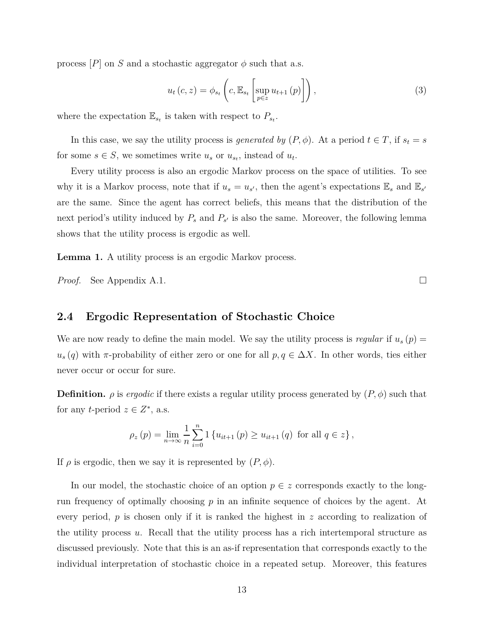process  $[P]$  on *S* and a stochastic aggregator  $\phi$  such that a.s.

$$
u_t\left(c, z\right) = \phi_{s_t}\left(c, \mathbb{E}_{s_t}\left[\sup_{p \in z} u_{t+1}\left(p\right)\right]\right),\tag{3}
$$

where the expectation  $\mathbb{E}_{s_t}$  is taken with respect to  $P_{s_t}$ .

In this case, we say the utility process is *generated by*  $(P, \phi)$ . At a period  $t \in T$ , if  $s_t = s$ for some  $s \in S$ , we sometimes write  $u_s$  or  $u_{s_t}$ , instead of  $u_t$ .

Every utility process is also an ergodic Markov process on the space of utilities. To see why it is a Markov process, note that if  $u_s = u_{s'}$ , then the agent's expectations  $\mathbb{E}_s$  and  $\mathbb{E}_{s'}$ are the same. Since the agent has correct beliefs, this means that the distribution of the next period's utility induced by  $P_s$  and  $P_{s'}$  is also the same. Moreover, the following lemma shows that the utility process is ergodic as well.

**Lemma 1.** A utility process is an ergodic Markov process.

*Proof.* See Appendix A.1. □

### **2.4 Ergodic Representation of Stochastic Choice**

We are now ready to define the main model. We say the utility process is *regular* if  $u_s(p)$  =  $u_s(q)$  with *π*-probability of either zero or one for all  $p, q \in \Delta X$ . In other words, ties either never occur or occur for sure.

**Definition.**  $\rho$  is *ergodic* if there exists a regular utility process generated by  $(P, \phi)$  such that for any *t*-period  $z \in Z^*$ , a.s.

$$
\rho_z(p) = \lim_{n \to \infty} \frac{1}{n} \sum_{i=0}^n 1 \left\{ u_{it+1}(p) \ge u_{it+1}(q) \text{ for all } q \in z \right\},\
$$

If  $\rho$  is ergodic, then we say it is represented by  $(P, \phi)$ .

In our model, the stochastic choice of an option  $p \in z$  corresponds exactly to the longrun frequency of optimally choosing *p* in an infinite sequence of choices by the agent. At every period, *p* is chosen only if it is ranked the highest in *z* according to realization of the utility process *u*. Recall that the utility process has a rich intertemporal structure as discussed previously. Note that this is an as-if representation that corresponds exactly to the individual interpretation of stochastic choice in a repeated setup. Moreover, this features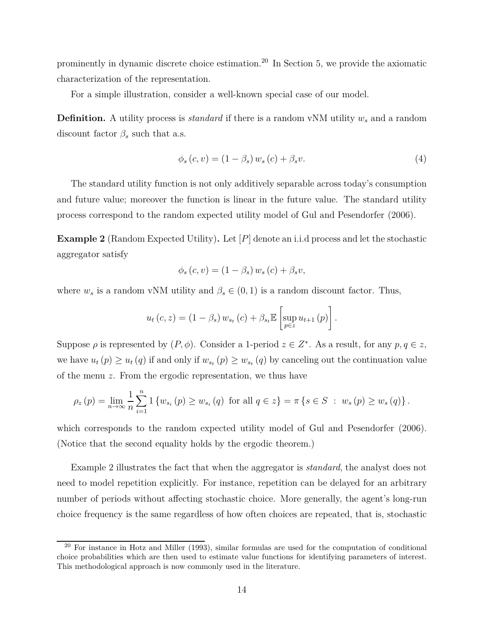prominently in dynamic discrete choice estimation.<sup>20</sup> In Section 5, we provide the axiomatic characterization of the representation.

For a simple illustration, consider a well-known special case of our model.

**Definition.** A utility process is *standard* if there is a random vNM utility *w<sup>s</sup>* and a random discount factor  $\beta_s$  such that a.s.

$$
\phi_s(c, v) = (1 - \beta_s) w_s(c) + \beta_s v. \tag{4}
$$

The standard utility function is not only additively separable across today's consumption and future value; moreover the function is linear in the future value. The standard utility process correspond to the random expected utility model of Gul and Pesendorfer (2006).

**Example 2** (Random Expected Utility)**.** Let [*P*] denote an i.i.d process and let the stochastic aggregator satisfy

$$
\phi_s(c, v) = (1 - \beta_s) w_s(c) + \beta_s v,
$$

where  $w_s$  is a random vNM utility and  $\beta_s \in (0,1)$  is a random discount factor. Thus,

$$
u_t\left(c, z\right) = \left(1 - \beta_s\right) w_{s_t}\left(c\right) + \beta_{s_t} \mathbb{E}\left[\sup_{p \in z} u_{t+1}\left(p\right)\right].
$$

Suppose  $\rho$  is represented by  $(P, \phi)$ . Consider a 1-period  $z \in Z^*$ . As a result, for any  $p, q \in z$ , we have  $u_t(p) \geq u_t(q)$  if and only if  $w_{s_t}(p) \geq w_{s_t}(q)$  by canceling out the continuation value of the menu *z*. From the ergodic representation, we thus have

$$
\rho_z(p) = \lim_{n \to \infty} \frac{1}{n} \sum_{i=1}^n 1 \left\{ w_{s_i}(p) \ge w_{s_i}(q) \text{ for all } q \in z \right\} = \pi \left\{ s \in S \ : \ w_s(p) \ge w_s(q) \right\}.
$$

which corresponds to the random expected utility model of Gul and Pesendorfer (2006). (Notice that the second equality holds by the ergodic theorem.)

Example 2 illustrates the fact that when the aggregator is *standard*, the analyst does not need to model repetition explicitly. For instance, repetition can be delayed for an arbitrary number of periods without affecting stochastic choice. More generally, the agent's long-run choice frequency is the same regardless of how often choices are repeated, that is, stochastic

<sup>20</sup> For instance in Hotz and Miller (1993), similar formulas are used for the computation of conditional choice probabilities which are then used to estimate value functions for identifying parameters of interest. This methodological approach is now commonly used in the literature.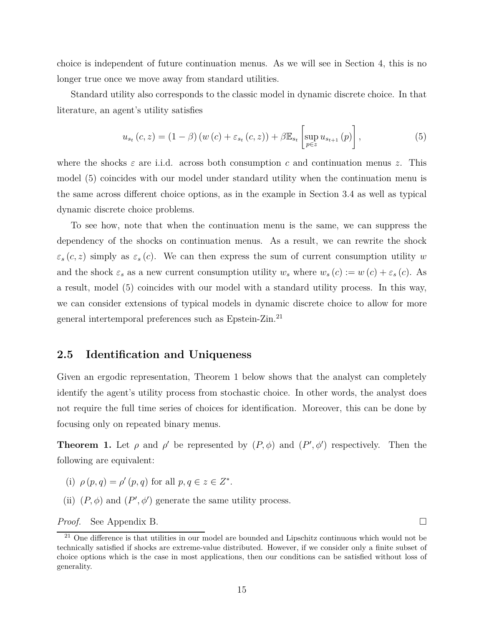choice is independent of future continuation menus. As we will see in Section 4, this is no longer true once we move away from standard utilities.

Standard utility also corresponds to the classic model in dynamic discrete choice. In that literature, an agent's utility satisfies

$$
u_{s_t}(c, z) = (1 - \beta) \left( w(c) + \varepsilon_{s_t}(c, z) \right) + \beta \mathbb{E}_{s_t} \left[ \sup_{p \in z} u_{s_{t+1}}(p) \right],
$$
 (5)

where the shocks  $\varepsilon$  are i.i.d. across both consumption c and continuation menus z. This model (5) coincides with our model under standard utility when the continuation menu is the same across different choice options, as in the example in Section 3.4 as well as typical dynamic discrete choice problems.

To see how, note that when the continuation menu is the same, we can suppress the dependency of the shocks on continuation menus. As a result, we can rewrite the shock  $\varepsilon_s(c, z)$  simply as  $\varepsilon_s(c)$ . We can then express the sum of current consumption utility *w* and the shock  $\varepsilon_s$  as a new current consumption utility  $w_s$  where  $w_s(c) := w(c) + \varepsilon_s(c)$ . As a result, model (5) coincides with our model with a standard utility process. In this way, we can consider extensions of typical models in dynamic discrete choice to allow for more general intertemporal preferences such as Epstein-Zin.<sup>21</sup>

#### **2.5 Identification and Uniqueness**

Given an ergodic representation, Theorem 1 below shows that the analyst can completely identify the agent's utility process from stochastic choice. In other words, the analyst does not require the full time series of choices for identification. Moreover, this can be done by focusing only on repeated binary menus.

**Theorem 1.** Let  $\rho$  and  $\rho'$  be represented by  $(P, \phi)$  and  $(P', \phi')$  respectively. Then the following are equivalent:

- (i)  $\rho(p,q) = \rho'(p,q)$  for all  $p,q \in z \in Z^*$ .
- (ii)  $(P, \phi)$  and  $(P', \phi')$  generate the same utility process.

*Proof.* See Appendix B. □

<sup>&</sup>lt;sup>21</sup> One difference is that utilities in our model are bounded and Lipschitz continuous which would not be technically satisfied if shocks are extreme-value distributed. However, if we consider only a finite subset of choice options which is the case in most applications, then our conditions can be satisfied without loss of generality.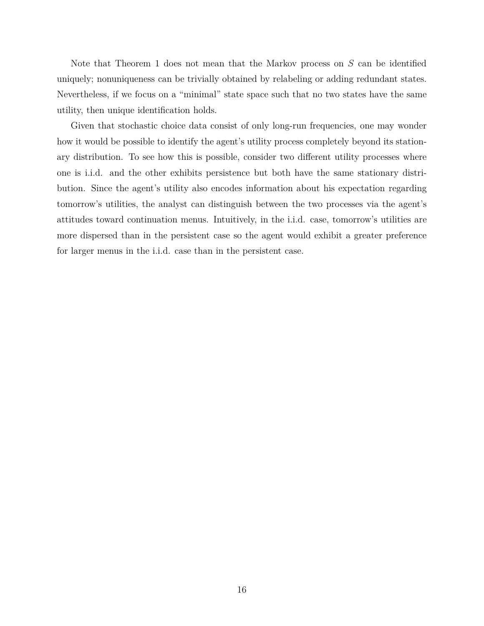Note that Theorem 1 does not mean that the Markov process on *S* can be identified uniquely; nonuniqueness can be trivially obtained by relabeling or adding redundant states. Nevertheless, if we focus on a "minimal" state space such that no two states have the same utility, then unique identification holds.

Given that stochastic choice data consist of only long-run frequencies, one may wonder how it would be possible to identify the agent's utility process completely beyond its stationary distribution. To see how this is possible, consider two different utility processes where one is i.i.d. and the other exhibits persistence but both have the same stationary distribution. Since the agent's utility also encodes information about his expectation regarding tomorrow's utilities, the analyst can distinguish between the two processes via the agent's attitudes toward continuation menus. Intuitively, in the i.i.d. case, tomorrow's utilities are more dispersed than in the persistent case so the agent would exhibit a greater preference for larger menus in the i.i.d. case than in the persistent case.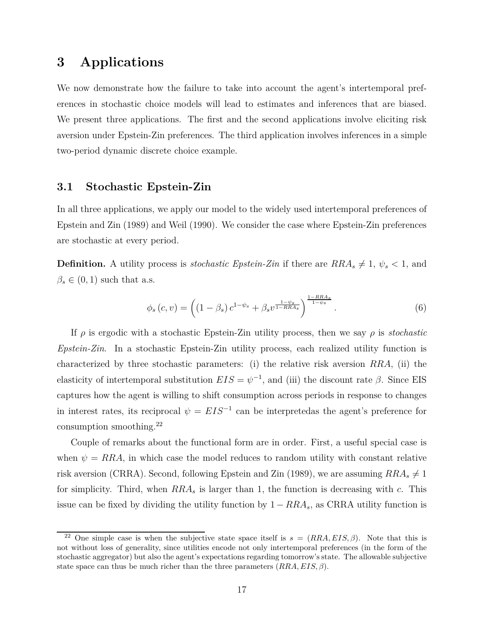### **3 Applications**

We now demonstrate how the failure to take into account the agent's intertemporal preferences in stochastic choice models will lead to estimates and inferences that are biased. We present three applications. The first and the second applications involve eliciting risk aversion under Epstein-Zin preferences. The third application involves inferences in a simple two-period dynamic discrete choice example.

### **3.1 Stochastic Epstein-Zin**

In all three applications, we apply our model to the widely used intertemporal preferences of Epstein and Zin (1989) and Weil (1990). We consider the case where Epstein-Zin preferences are stochastic at every period.

**Definition.** A utility process is *stochastic Epstein-Zin* if there are  $RRA_s \neq 1$ ,  $\psi_s < 1$ , and  $\beta_s \in (0,1)$  such that a.s.

$$
\phi_s(c, v) = \left( (1 - \beta_s) c^{1 - \psi_s} + \beta_s v^{\frac{1 - \psi_s}{1 - RRA_s}} \right)^{\frac{1 - RRA_s}{1 - \psi_s}}.
$$
\n(6)

If  $\rho$  is ergodic with a stochastic Epstein-Zin utility process, then we say  $\rho$  is *stochastic Epstein-Zin*. In a stochastic Epstein-Zin utility process, each realized utility function is characterized by three stochastic parameters: (i) the relative risk aversion *RRA*, (ii) the elasticity of intertemporal substitution  $EIS = \psi^{-1}$ , and (iii) the discount rate  $\beta$ . Since EIS captures how the agent is willing to shift consumption across periods in response to changes in interest rates, its reciprocal  $\psi = EIS^{-1}$  can be interpretedas the agent's preference for consumption smoothing.<sup>22</sup>

Couple of remarks about the functional form are in order. First, a useful special case is when  $\psi = RRA$ , in which case the model reduces to random utility with constant relative risk aversion (CRRA). Second, following Epstein and Zin (1989), we are assuming  $RRA_s \neq 1$ for simplicity. Third, when *RRA<sup>s</sup>* is larger than 1, the function is decreasing with *c*. This issue can be fixed by dividing the utility function by  $1 - RRA_s$ , as CRRA utility function is

<sup>&</sup>lt;sup>22</sup> One simple case is when the subjective state space itself is  $s = (RRA, EIS, \beta)$ . Note that this is not without loss of generality, since utilities encode not only intertemporal preferences (in the form of the stochastic aggregator) but also the agent's expectations regarding tomorrow's state. The allowable subjective state space can thus be much richer than the three parameters (*RRA, EIS, β*).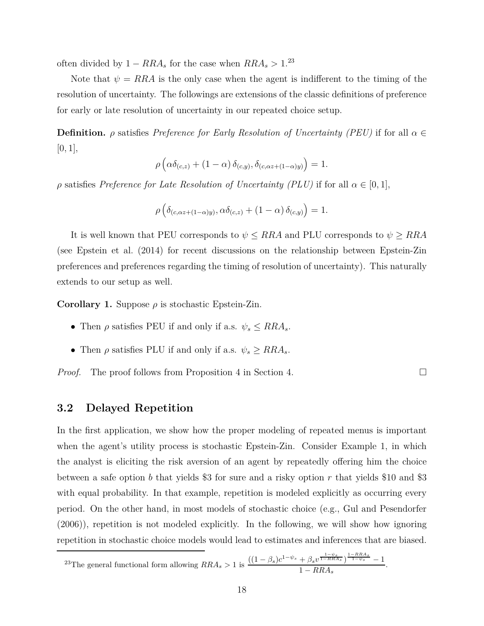often divided by  $1 - RRA_s$  for the case when  $RRA_s > 1.^{23}$ 

Note that  $\psi = RRA$  is the only case when the agent is indifferent to the timing of the resolution of uncertainty. The followings are extensions of the classic definitions of preference for early or late resolution of uncertainty in our repeated choice setup.

**Definition.** *ρ* satisfies *Preference for Early Resolution of Uncertainty (PEU)* if for all *α* ∈  $[0, 1]$ ,

$$
\rho\left(\alpha\delta_{(c,z)} + (1-\alpha)\,\delta_{(c,y)},\delta_{(c,\alpha z + (1-\alpha)y)}\right) = 1.
$$

*ρ* satisfies *Preference for Late Resolution of Uncertainty (PLU)* if for all  $\alpha \in [0,1]$ ,

$$
\rho\left(\delta_{(c,\alpha z+(1-\alpha)y)},\alpha\delta_{(c,z)}+(1-\alpha)\,\delta_{(c,y)}\right)=1.
$$

It is well known that PEU corresponds to  $\psi \leq RRA$  and PLU corresponds to  $\psi \geq RRA$ (see Epstein et al. (2014) for recent discussions on the relationship between Epstein-Zin preferences and preferences regarding the timing of resolution of uncertainty). This naturally extends to our setup as well.

**Corollary 1.** Suppose  $\rho$  is stochastic Epstein-Zin.

- Then  $\rho$  satisfies PEU if and only if a.s.  $\psi_s \leq RRA_s$ .
- Then  $\rho$  satisfies PLU if and only if a.s.  $\psi_s \geq RRA_s$ .

*Proof.* The proof follows from Proposition 4 in Section 4.

#### **3.2 Delayed Repetition**

In the first application, we show how the proper modeling of repeated menus is important when the agent's utility process is stochastic Epstein-Zin. Consider Example 1, in which the analyst is eliciting the risk aversion of an agent by repeatedly offering him the choice between a safe option *b* that yields \$3 for sure and a risky option *r* that yields \$10 and \$3 with equal probability. In that example, repetition is modeled explicitly as occurring every period. On the other hand, in most models of stochastic choice (e.g., Gul and Pesendorfer (2006)), repetition is not modeled explicitly. In the following, we will show how ignoring repetition in stochastic choice models would lead to estimates and inferences that are biased.

 $^{23}$ The general functional form allowing  $RRA_s > 1$  is  $\frac{((1 - \beta_s)c^{1 - \psi_s} + \beta_s v^{\frac{1 - \psi_s}{1 - RRA_s}})^{\frac{1 - RRA_s}{1 - \psi_s}} - 1$  $\frac{1 - \beta s^2}{1 - RRA_s}$ .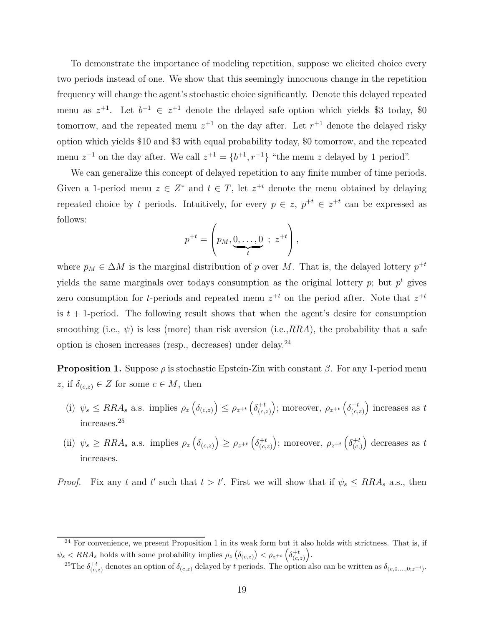To demonstrate the importance of modeling repetition, suppose we elicited choice every two periods instead of one. We show that this seemingly innocuous change in the repetition frequency will change the agent's stochastic choice significantly. Denote this delayed repeated menu as  $z^{+1}$ . Let  $b^{+1} \in z^{+1}$  denote the delayed safe option which yields \$3 today, \$0 tomorrow, and the repeated menu  $z^{+1}$  on the day after. Let  $r^{+1}$  denote the delayed risky option which yields \$10 and \$3 with equal probability today, \$0 tomorrow, and the repeated menu  $z^{+1}$  on the day after. We call  $z^{+1} = \{b^{+1}, r^{+1}\}\,$  "the menu z delayed by 1 period".

We can generalize this concept of delayed repetition to any finite number of time periods. Given a 1-period menu  $z \in Z^*$  and  $t \in T$ , let  $z^{+t}$  denote the menu obtained by delaying repeated choice by *t* periods. Intuitively, for every  $p \in z$ ,  $p^{+t} \in z^{+t}$  can be expressed as follows:

$$
p^{+t} = \left(p_M, \underbrace{0, \ldots, 0}_{t} \, ; \, z^{+t}\right),
$$

where  $p_M \in \Delta M$  is the marginal distribution of *p* over *M*. That is, the delayed lottery  $p^{+t}$ yields the same marginals over todays consumption as the original lottery  $p$ ; but  $p<sup>t</sup>$  gives zero consumption for *t*-periods and repeated menu  $z^{+t}$  on the period after. Note that  $z^{+t}$ is  $t + 1$ -period. The following result shows that when the agent's desire for consumption smoothing (i.e.,  $\psi$ ) is less (more) than risk aversion (i.e., RRA), the probability that a safe option is chosen increases (resp., decreases) under delay.<sup>24</sup>

**Proposition 1.** Suppose  $\rho$  is stochastic Epstein-Zin with constant  $\beta$ . For any 1-period menu z, if  $\delta_{(c,z)} \in Z$  for some  $c \in M$ , then

- (i)  $\psi_s \leq RRA_s$  a.s. implies  $\rho_z \left( \delta_{(c,z)} \right) \leq \rho_{z^{+t}} \left( \delta_{(c,z)}^{+t} \right)$ (*c,z*) ); moreover,  $\rho_{z^{+t}}\left(\delta_{(c)}^{+t}\right)$ (*c,z*) ) increases as  $t$ increases.<sup>25</sup>
- (ii)  $\psi_s \geq RRA_s$  a.s. implies  $\rho_z \left( \delta_{(c,z)} \right) \geq \rho_{z^{+t}} \left( \delta_{(c,z)}^{+t} \right)$ (*c,z*) ); moreover,  $\rho_{z^{+t}}\left(\delta_{(c)}^{+t}\right)$ (*c,*) decreases as *t* increases.

*Proof.* Fix any *t* and *t*' such that  $t > t'$ . First we will show that if  $\psi_s \leq RRA_s$  a.s., then

 $^{24}$  For convenience, we present Proposition 1 in its weak form but it also holds with strictness. That is, if  $\psi_s$  < RRA<sub>*s*</sub> holds with some probability implies  $\rho_z \left( \delta_{(c,z)} \right)$  <  $\rho_{z^{+t}} \left( \delta_{(c,z)}^{+t} \right)$ .

<sup>&</sup>lt;sup>25</sup>The  $\delta_{(c,z)}^{+t}$  denotes an option of  $\delta_{(c,z)}$  delayed by *t* periods. The option also can be written as  $\delta_{(c,0,\ldots,0;z^{+t})}$ .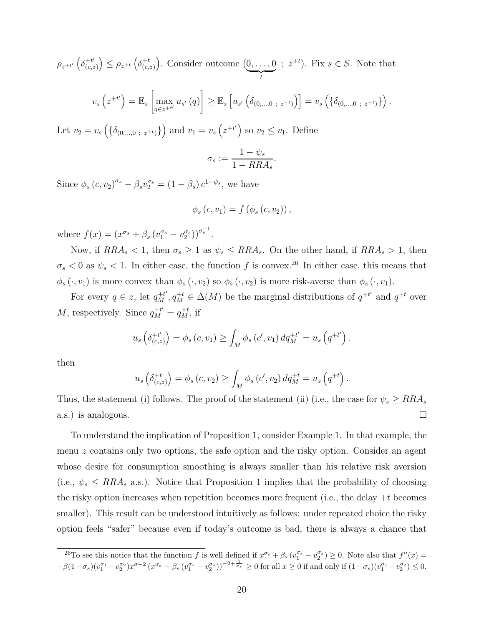$\rho_{z^{+t'}}\left(\delta_{(c,z)}^{+t'}\right)$ (*c,z*)  $\left(\delta_{(c)}^{+t}\right) \leq \rho_{z}^{+t}\left(\delta_{(c)}^{+t}\right)$ (*c,z*) . Consider outcome (0*, . . . ,* 0  $\sum_{t}$  $(z^{+t})$ . Fix  $s \in S$ . Note that

$$
v_s(z^{+t'}) = \mathbb{E}_s \left[ \max_{q \in z^{+t'}} u_{s'}(q) \right] \geq \mathbb{E}_s \left[ u_{s'} \left( \delta_{(0,\dots,0\;\; z^{+t})} \right) \right] = v_s \left( \{ \delta_{(0,\dots,0\;\; z^{+t})} \} \right).
$$

Let  $v_2 = v_s \left( \{ \delta_{(0,...,0 \; ; \; z^{+t})} \} \right)$  and  $v_1 = v_s \left( z^{+t'} \right)$  so  $v_2 \le v_1$ . Define

$$
\sigma_s := \frac{1 - \psi_s}{1 - R R A_s}.
$$

Since  $\phi_s (c, v_2)^{\sigma_s} - \beta_s v_2^{\sigma_s} = (1 - \beta_s) c^{1 - \psi_s}$ , we have

$$
\phi_s(c, v_1) = f(\phi_s(c, v_2)),
$$

where  $f(x) = (x^{\sigma_s} + \beta_s (v_1^{\sigma_s} - v_2^{\sigma_s}))^{\sigma_s^{-1}}$ .

Now, if  $RRA<sub>s</sub> < 1$ , then  $\sigma<sub>s</sub> \ge 1$  as  $\psi<sub>s</sub> \le RRA<sub>s</sub>$ . On the other hand, if  $RRA<sub>s</sub> > 1$ , then  $\sigma_s$  < 0 as  $\psi_s$  < 1. In either case, the function *f* is convex.<sup>26</sup> In either case, this means that  $\phi_s(\cdot, v_1)$  is more convex than  $\phi_s(\cdot, v_2)$  so  $\phi_s(\cdot, v_2)$  is more risk-averse than  $\phi_s(\cdot, v_1)$ .

For every  $q \in z$ , let  $q_M^{+t'}$ ,  $q_M^{+t} \in \Delta(M)$  be the marginal distributions of  $q^{+t'}$  and  $q^{+t}$  over *M*, respectively. Since  $q_M^{+t'} = q_M^{+t}$ , if

$$
u_s \left( \delta_{(c,z)}^{+t'} \right) = \phi_s \left( c, v_1 \right) \ge \int_M \phi_s \left( c', v_1 \right) dq_M^{+t'} = u_s \left( q^{+t'} \right).
$$

then

$$
u_s\left(\delta_{(c,z)}^{+t}\right) = \phi_s(c, v_2) \ge \int_M \phi_s(c', v_2) dq_M^{+t} = u_s\left(q^{+t}\right).
$$

Thus, the statement (i) follows. The proof of the statement (ii) (i.e., the case for  $\psi_s \geq RRA_s$ a.s.) is analogous.  $\Box$ 

To understand the implication of Proposition 1, consider Example 1. In that example, the menu *z* contains only two options, the safe option and the risky option. Consider an agent whose desire for consumption smoothing is always smaller than his relative risk aversion (i.e.,  $\psi_s \leq RRA_s$  a.s.). Notice that Proposition 1 implies that the probability of choosing the risky option increases when repetition becomes more frequent (i.e., the delay +*t* becomes smaller). This result can be understood intuitively as follows: under repeated choice the risky option feels "safer" because even if today's outcome is bad, there is always a chance that

<sup>&</sup>lt;sup>26</sup>To see this notice that the function *f* is well defined if  $x^{\sigma_s} + \beta_s (v_1^{\sigma_s} - v_2^{\sigma_s}) \ge 0$ . Note also that  $f''(x) =$  $-\beta (1-\sigma_s) (v_1^{\sigma_1} - v_2^{\sigma_2}) x^{\sigma-2} \left(x^{\sigma_s} + \beta_s \left(v_1^{\sigma_s} - v_2^{\sigma_s}\right)\right)^{-2 + \frac{1}{\sigma_s}} \geq 0 \text{ for all } x \geq 0 \text{ if and only if } (1-\sigma_s) (v_1^{\sigma_1} - v_2^{\sigma_2}) \leq 0.$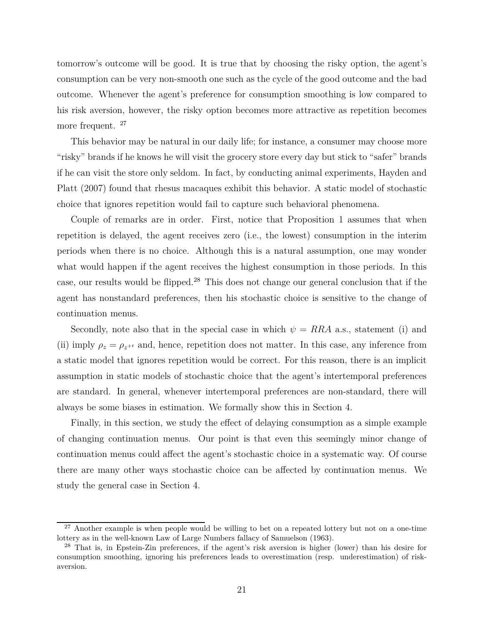tomorrow's outcome will be good. It is true that by choosing the risky option, the agent's consumption can be very non-smooth one such as the cycle of the good outcome and the bad outcome. Whenever the agent's preference for consumption smoothing is low compared to his risk aversion, however, the risky option becomes more attractive as repetition becomes more frequent. <sup>27</sup>

This behavior may be natural in our daily life; for instance, a consumer may choose more "risky" brands if he knows he will visit the grocery store every day but stick to "safer" brands if he can visit the store only seldom. In fact, by conducting animal experiments, Hayden and Platt (2007) found that rhesus macaques exhibit this behavior. A static model of stochastic choice that ignores repetition would fail to capture such behavioral phenomena.

Couple of remarks are in order. First, notice that Proposition 1 assumes that when repetition is delayed, the agent receives zero (i.e., the lowest) consumption in the interim periods when there is no choice. Although this is a natural assumption, one may wonder what would happen if the agent receives the highest consumption in those periods. In this case, our results would be flipped.<sup>28</sup> This does not change our general conclusion that if the agent has nonstandard preferences, then his stochastic choice is sensitive to the change of continuation menus.

Secondly, note also that in the special case in which  $\psi = RRA$  a.s., statement (i) and (ii) imply  $\rho_z = \rho_{z^{+t}}$  and, hence, repetition does not matter. In this case, any inference from a static model that ignores repetition would be correct. For this reason, there is an implicit assumption in static models of stochastic choice that the agent's intertemporal preferences are standard. In general, whenever intertemporal preferences are non-standard, there will always be some biases in estimation. We formally show this in Section 4.

Finally, in this section, we study the effect of delaying consumption as a simple example of changing continuation menus. Our point is that even this seemingly minor change of continuation menus could affect the agent's stochastic choice in a systematic way. Of course there are many other ways stochastic choice can be affected by continuation menus. We study the general case in Section 4.

<sup>&</sup>lt;sup>27</sup> Another example is when people would be willing to bet on a repeated lottery but not on a one-time lottery as in the well-known Law of Large Numbers fallacy of Samuelson (1963).

<sup>28</sup> That is, in Epstein-Zin preferences, if the agent's risk aversion is higher (lower) than his desire for consumption smoothing, ignoring his preferences leads to overestimation (resp. underestimation) of riskaversion.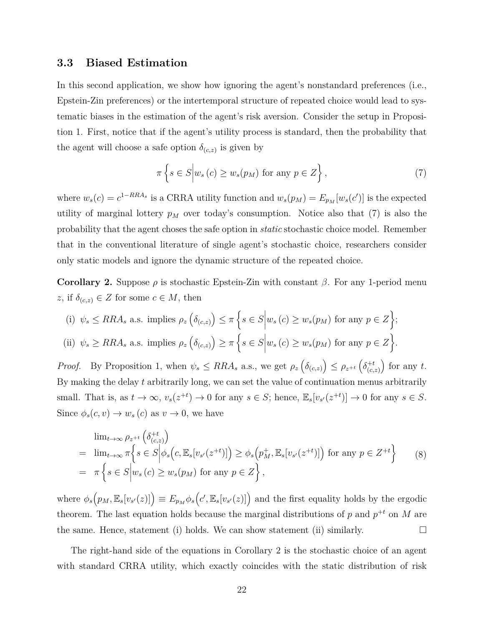#### **3.3 Biased Estimation**

In this second application, we show how ignoring the agent's nonstandard preferences (i.e., Epstein-Zin preferences) or the intertemporal structure of repeated choice would lead to systematic biases in the estimation of the agent's risk aversion. Consider the setup in Proposition 1. First, notice that if the agent's utility process is standard, then the probability that the agent will choose a safe option  $\delta_{(c,z)}$  is given by

$$
\pi\left\{s \in S \Big| w_s\left(c\right) \ge w_s(p_M) \text{ for any } p \in Z\right\},\tag{7}
$$

where  $w_s(c) = c^{1-RRA_s}$  is a CRRA utility function and  $w_s(p_M) = E_{p_M}[w_s(c')]$  is the expected utility of marginal lottery  $p_M$  over today's consumption. Notice also that (7) is also the probability that the agent choses the safe option in *static* stochastic choice model. Remember that in the conventional literature of single agent's stochastic choice, researchers consider only static models and ignore the dynamic structure of the repeated choice.

**Corollary 2.** Suppose  $\rho$  is stochastic Epstein-Zin with constant  $\beta$ . For any 1-period menu z, if  $\delta_{(c,z)} \in Z$  for some  $c \in M$ , then

(i) 
$$
\psi_s \leq RRA_s
$$
 a.s. implies  $\rho_z \left( \delta_{(c,z)} \right) \leq \pi \left\{ s \in S \middle| w_s(c) \geq w_s(p_M) \text{ for any } p \in Z \right\};$   
\n(ii)  $\psi_s \geq RRA_s$  a.s. implies  $\rho_z \left( \delta_{(c,z)} \right) \geq \pi \left\{ s \in S \middle| w_s(c) \geq w_s(p_M) \text{ for any } p \in Z \right\}.$ 

*Proof.* By Proposition 1, when  $\psi_s \leq RRA_s$  a.s., we get  $\rho_z \left( \delta_{(c,z)} \right) \leq \rho_{z^{+t}} \left( \delta_{(c,z)}^{+t} \right)$ (*c,z*)  $\int$  for any *t*. By making the delay *t* arbitrarily long, we can set the value of continuation menus arbitrarily small. That is, as  $t \to \infty$ ,  $v_s(z^{+t}) \to 0$  for any  $s \in S$ ; hence,  $\mathbb{E}_s[v_{s'}(z^{+t})] \to 0$  for any  $s \in S$ . Since  $\phi_s(c, v) \to w_s(c)$  as  $v \to 0$ , we have

$$
\lim_{t \to \infty} \rho_{z^{+t}} \left( \delta_{(c,z)}^{+t} \right)
$$
\n
$$
= \lim_{t \to \infty} \pi \left\{ s \in S \middle| \phi_s \left( c, \mathbb{E}_s[v_{s'}(z^{+t})] \right) \ge \phi_s \left( p_M^+, \mathbb{E}_s[v_{s'}(z^{+t})] \right) \text{ for any } p \in Z^{+t} \right\} \qquad (8)
$$
\n
$$
= \pi \left\{ s \in S \middle| w_s(c) \ge w_s(p_M) \text{ for any } p \in Z \right\},
$$

where  $\phi_s(p_M, \mathbb{E}_s[v_{s'}(z)]) \equiv E_{p_M} \phi_s(c', \mathbb{E}_s[v_{s'}(z)])$  and the first equality holds by the ergodic theorem. The last equation holds because the marginal distributions of  $p$  and  $p^{+t}$  on  $M$  are the same. Hence, statement (i) holds. We can show statement (ii) similarly.  $\square$ 

The right-hand side of the equations in Corollary 2 is the stochastic choice of an agent with standard CRRA utility, which exactly coincides with the static distribution of risk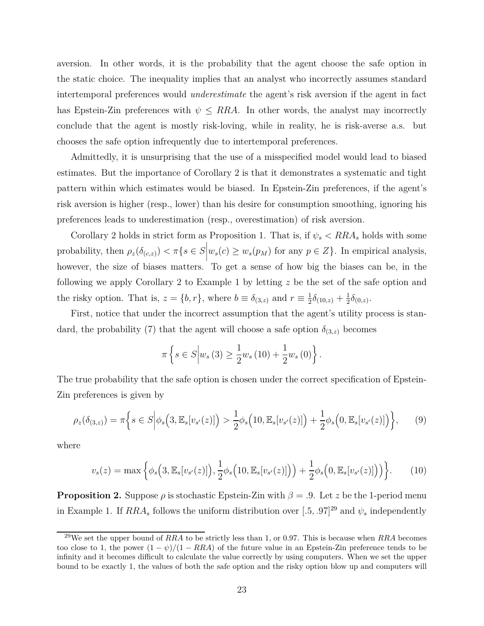aversion. In other words, it is the probability that the agent choose the safe option in the static choice. The inequality implies that an analyst who incorrectly assumes standard intertemporal preferences would *underestimate* the agent's risk aversion if the agent in fact has Epstein-Zin preferences with  $\psi \leq RRA$ . In other words, the analyst may incorrectly conclude that the agent is mostly risk-loving, while in reality, he is risk-averse a.s. but chooses the safe option infrequently due to intertemporal preferences.

Admittedly, it is unsurprising that the use of a misspecified model would lead to biased estimates. But the importance of Corollary 2 is that it demonstrates a systematic and tight pattern within which estimates would be biased. In Epstein-Zin preferences, if the agent's risk aversion is higher (resp., lower) than his desire for consumption smoothing, ignoring his preferences leads to underestimation (resp., overestimation) of risk aversion.

Corollary 2 holds in strict form as Proposition 1. That is, if  $\psi_s$   $\langle RRA_s \rangle$  holds with some probability, then  $\rho_z(\delta_{(c,z)}) < \pi\{s \in S\}$  $w_s(c) \geq w_s(p_M)$  for any  $p \in Z$ . In empirical analysis, however, the size of biases matters. To get a sense of how big the biases can be, in the following we apply Corollary 2 to Example 1 by letting *z* be the set of the safe option and the risky option. That is,  $z = \{b, r\}$ , where  $b \equiv \delta_{(3,z)}$  and  $r \equiv \frac{1}{2}$  $\frac{1}{2}\delta_{(10,z)} + \frac{1}{2}$  $rac{1}{2}\delta_{(0,z)}$ .

First, notice that under the incorrect assumption that the agent's utility process is standard, the probability (7) that the agent will choose a safe option  $\delta_{(3,z)}$  becomes

$$
\pi\left\{s \in S \Big| w_s\left(3\right) \geq \frac{1}{2} w_s\left(10\right) + \frac{1}{2} w_s\left(0\right) \right\}.
$$

The true probability that the safe option is chosen under the correct specification of Epstein-Zin preferences is given by

$$
\rho_z(\delta_{(3,z)}) = \pi \bigg\{ s \in S \bigg| \phi_s\big(3, \mathbb{E}_s[v_{s'}(z)]\big) > \frac{1}{2} \phi_s\big(10, \mathbb{E}_s[v_{s'}(z)]\big) + \frac{1}{2} \phi_s\big(0, \mathbb{E}_s[v_{s'}(z)]\big) \bigg\},\tag{9}
$$

where

$$
v_s(z) = \max\left\{\phi_s\Big(3, \mathbb{E}_s[v_{s'}(z)]\Big), \frac{1}{2}\phi_s\Big(10, \mathbb{E}_s[v_{s'}(z)]\Big)\Big) + \frac{1}{2}\phi_s\Big(0, \mathbb{E}_s[v_{s'}(z)]\Big)\Big)\right\}.
$$
 (10)

**Proposition 2.** Suppose  $\rho$  is stochastic Epstein-Zin with  $\beta = .9$ . Let *z* be the 1-period menu in Example 1. If  $RRA<sub>s</sub>$  follows the uniform distribution over  $[.5, .97]^{29}$  and  $\psi<sub>s</sub>$  independently

<sup>29</sup>We set the upper bound of *RRA* to be strictly less than 1, or 0*.*97. This is because when *RRA* becomes too close to 1, the power  $(1 - \psi)/(1 - RRA)$  of the future value in an Epstein-Zin preference tends to be infinity and it becomes difficult to calculate the value correctly by using computers. When we set the upper bound to be exactly 1, the values of both the safe option and the risky option blow up and computers will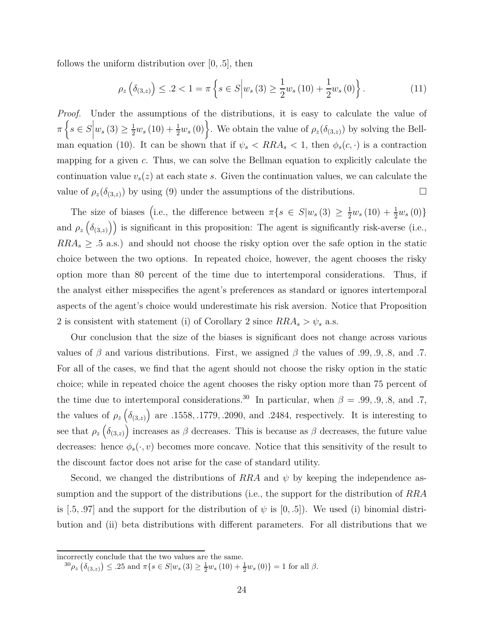follows the uniform distribution over [0*, .*5], then

$$
\rho_z\left(\delta_{(3,z)}\right) \leq .2 < 1 = \pi\left\{ s \in S \middle| w_s\left(3\right) \geq \frac{1}{2}w_s\left(10\right) + \frac{1}{2}w_s\left(0\right) \right\} . \tag{11}
$$

*Proof.* Under the assumptions of the distributions, it is easy to calculate the value of  $\pi\left\{s\in S\right\}$  $w_s(3) \geq \frac{1}{2}w_s(10) + \frac{1}{2}w_s(0)$ . We obtain the value of  $\rho_z(\delta_{(3,z)})$  by solving the Bellman equation (10). It can be shown that if  $\psi_s$  <  $RRA_s$  < 1, then  $\phi_s(c, \cdot)$  is a contraction mapping for a given *c*. Thus, we can solve the Bellman equation to explicitly calculate the continuation value  $v_s(z)$  at each state *s*. Given the continuation values, we can calculate the value of  $\rho_z(\delta_{(3,z)})$  by using (9) under the assumptions of the distributions.

The size of biases (i.e., the difference between  $\pi\{s \in S | w_s(3) \geq \frac{1}{2}w_s(10) + \frac{1}{2}w_s(0)\}\$ and  $\rho_z(\delta_{(3,z)})$  is significant in this proposition: The agent is significantly risk-averse (i.e.,  $RRA<sub>s</sub> \geq .5$  a.s.) and should not choose the risky option over the safe option in the static choice between the two options. In repeated choice, however, the agent chooses the risky option more than 80 percent of the time due to intertemporal considerations. Thus, if the analyst either misspecifies the agent's preferences as standard or ignores intertemporal aspects of the agent's choice would underestimate his risk aversion. Notice that Proposition 2 is consistent with statement (i) of Corollary 2 since  $RRA_s > \psi_s$  a.s.

Our conclusion that the size of the biases is significant does not change across various values of *β* and various distributions. First, we assigned *β* the values of *.*99*, .*9*, .*8, and *.*7. For all of the cases, we find that the agent should not choose the risky option in the static choice; while in repeated choice the agent chooses the risky option more than 75 percent of the time due to intertemporal considerations.<sup>30</sup> In particular, when  $\beta = .99, .9, .8,$  and *.*7*,* the values of  $\rho_z(\delta_{(3,z)})$  are *.*1558, .1779, .2090, and *.*2484, respectively. It is interesting to see that  $\rho_z(\delta_{(3,z)})$  increases as  $\beta$  decreases. This is because as  $\beta$  decreases, the future value decreases: hence  $\phi_s(\cdot, v)$  becomes more concave. Notice that this sensitivity of the result to the discount factor does not arise for the case of standard utility.

Second, we changed the distributions of *RRA* and *ψ* by keeping the independence assumption and the support of the distributions (i.e., the support for the distribution of *RRA* is [*.5, .97*] and the support for the distribution of  $\psi$  is [0, .5]). We used (i) binomial distribution and (ii) beta distributions with different parameters. For all distributions that we

incorrectly conclude that the two values are the same.

 ${}^{30}\rho_z \left( \delta_{(3,z)} \right) \leq .25 \text{ and } \pi \{ s \in S | w_s (3) \geq \frac{1}{2} w_s (10) + \frac{1}{2} w_s (0) \} = 1 \text{ for all } \beta.$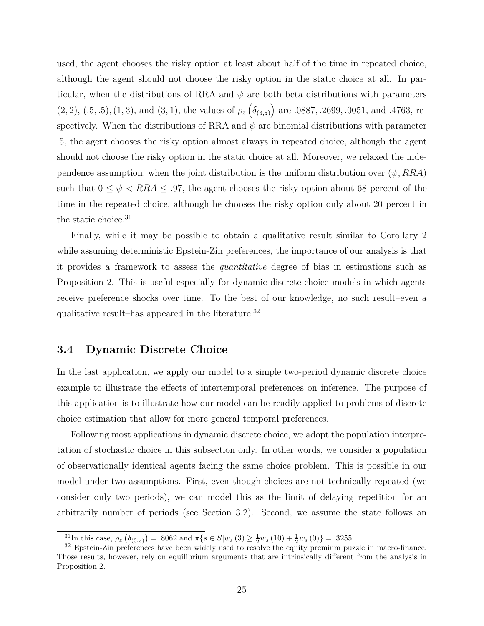used, the agent chooses the risky option at least about half of the time in repeated choice, although the agent should not choose the risky option in the static choice at all. In particular, when the distributions of RRA and  $\psi$  are both beta distributions with parameters  $(2, 2), (0.5, 0.5), (1, 3),$  and  $(3, 1),$  the values of  $\rho_z(\delta_{(3,z)})$  are  $0.0887, 0.2699, 0.0051$ , and  $0.4763$ , respectively. When the distributions of RRA and  $\psi$  are binomial distributions with parameter *.*5, the agent chooses the risky option almost always in repeated choice, although the agent should not choose the risky option in the static choice at all. Moreover, we relaxed the independence assumption; when the joint distribution is the uniform distribution over  $(\psi, RRA)$ such that  $0 \leq \psi < RRA \leq .97$ , the agent chooses the risky option about 68 percent of the time in the repeated choice, although he chooses the risky option only about 20 percent in the static choice.<sup>31</sup>

Finally, while it may be possible to obtain a qualitative result similar to Corollary 2 while assuming deterministic Epstein-Zin preferences, the importance of our analysis is that it provides a framework to assess the *quantitative* degree of bias in estimations such as Proposition 2. This is useful especially for dynamic discrete-choice models in which agents receive preference shocks over time. To the best of our knowledge, no such result–even a qualitative result–has appeared in the literature.<sup>32</sup>

#### **3.4 Dynamic Discrete Choice**

In the last application, we apply our model to a simple two-period dynamic discrete choice example to illustrate the effects of intertemporal preferences on inference. The purpose of this application is to illustrate how our model can be readily applied to problems of discrete choice estimation that allow for more general temporal preferences.

Following most applications in dynamic discrete choice, we adopt the population interpretation of stochastic choice in this subsection only. In other words, we consider a population of observationally identical agents facing the same choice problem. This is possible in our model under two assumptions. First, even though choices are not technically repeated (we consider only two periods), we can model this as the limit of delaying repetition for an arbitrarily number of periods (see Section 3.2). Second, we assume the state follows an

 $\frac{31}{2}$ In this case,  $\rho_z(\delta_{(3,z)}) = .8062$  and  $\pi\{s \in S | w_s(3) \geq \frac{1}{2}w_s(10) + \frac{1}{2}w_s(0)\} = .3255$ .

<sup>&</sup>lt;sup>32</sup> Epstein-Zin preferences have been widely used to resolve the equity premium puzzle in macro-finance. Those results, however, rely on equilibrium arguments that are intrinsically different from the analysis in Proposition 2.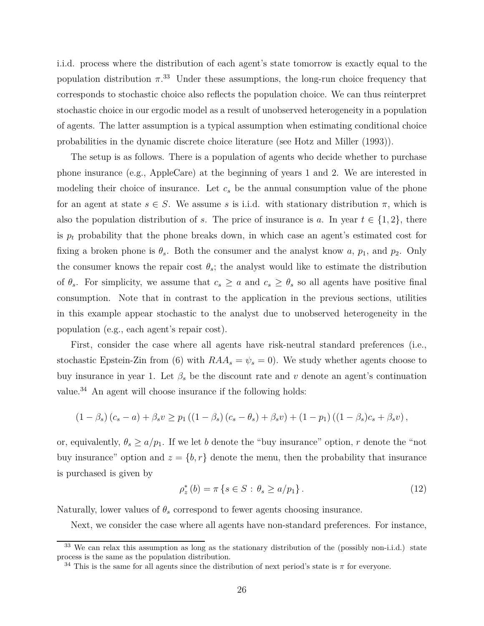i.i.d. process where the distribution of each agent's state tomorrow is exactly equal to the population distribution  $\pi$ <sup>33</sup> Under these assumptions, the long-run choice frequency that corresponds to stochastic choice also reflects the population choice. We can thus reinterpret stochastic choice in our ergodic model as a result of unobserved heterogeneity in a population of agents. The latter assumption is a typical assumption when estimating conditional choice probabilities in the dynamic discrete choice literature (see Hotz and Miller (1993)).

The setup is as follows. There is a population of agents who decide whether to purchase phone insurance (e.g., AppleCare) at the beginning of years 1 and 2. We are interested in modeling their choice of insurance. Let  $c<sub>s</sub>$  be the annual consumption value of the phone for an agent at state  $s \in S$ . We assume *s* is i.i.d. with stationary distribution  $\pi$ , which is also the population distribution of *s*. The price of insurance is *a*. In year  $t \in \{1, 2\}$ , there is  $p_t$  probability that the phone breaks down, in which case an agent's estimated cost for fixing a broken phone is  $\theta_s$ . Both the consumer and the analyst know *a*,  $p_1$ , and  $p_2$ . Only the consumer knows the repair cost  $\theta_s$ ; the analyst would like to estimate the distribution of  $\theta_s$ . For simplicity, we assume that  $c_s \geq a$  and  $c_s \geq \theta_s$  so all agents have positive final consumption. Note that in contrast to the application in the previous sections, utilities in this example appear stochastic to the analyst due to unobserved heterogeneity in the population (e.g., each agent's repair cost).

First, consider the case where all agents have risk-neutral standard preferences (i.e., stochastic Epstein-Zin from (6) with  $RAA_s = \psi_s = 0$ ). We study whether agents choose to buy insurance in year 1. Let  $\beta_s$  be the discount rate and *v* denote an agent's continuation value.<sup>34</sup> An agent will choose insurance if the following holds:

$$
(1 - \beta_s) (c_s - a) + \beta_s v \ge p_1 ((1 - \beta_s) (c_s - \theta_s) + \beta_s v) + (1 - p_1) ((1 - \beta_s) c_s + \beta_s v),
$$

or, equivalently,  $\theta_s \ge a/p_1$ . If we let *b* denote the "buy insurance" option, *r* denote the "not buy insurance" option and  $z = \{b, r\}$  denote the menu, then the probability that insurance is purchased is given by

$$
\rho_z^*(b) = \pi \left\{ s \in S : \theta_s \ge a/p_1 \right\}.
$$
\n(12)

Naturally, lower values of  $\theta_s$  correspond to fewer agents choosing insurance.

Next, we consider the case where all agents have non-standard preferences. For instance,

<sup>&</sup>lt;sup>33</sup> We can relax this assumption as long as the stationary distribution of the (possibly non-i.i.d.) state process is the same as the population distribution.

<sup>&</sup>lt;sup>34</sup> This is the same for all agents since the distribution of next period's state is  $\pi$  for everyone.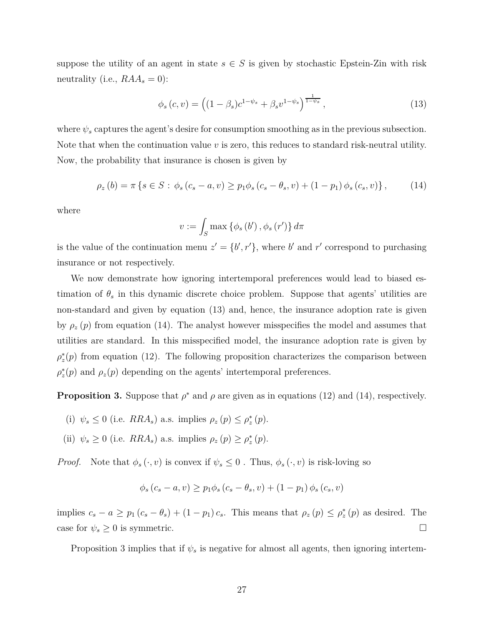suppose the utility of an agent in state  $s \in S$  is given by stochastic Epstein-Zin with risk neutrality (i.e.,  $RAA_s = 0$ ):

$$
\phi_s(c, v) = \left( (1 - \beta_s)c^{1 - \psi_s} + \beta_s v^{1 - \psi_s} \right)^{\frac{1}{1 - \psi_s}}, \qquad (13)
$$

where  $\psi_s$  captures the agent's desire for consumption smoothing as in the previous subsection. Note that when the continuation value *v* is zero, this reduces to standard risk-neutral utility. Now, the probability that insurance is chosen is given by

$$
\rho_z(b) = \pi \left\{ s \in S : \phi_s(c_s - a, v) \ge p_1 \phi_s(c_s - \theta_s, v) + (1 - p_1) \phi_s(c_s, v) \right\},\tag{14}
$$

where

$$
v := \int_{S} \max \left\{ \phi_s \left( b' \right), \phi_s \left( r' \right) \right\} d\pi
$$

is the value of the continuation menu  $z' = \{b', r'\}$ , where *b'* and *r'* correspond to purchasing insurance or not respectively.

We now demonstrate how ignoring intertemporal preferences would lead to biased estimation of  $\theta_s$  in this dynamic discrete choice problem. Suppose that agents' utilities are non-standard and given by equation (13) and, hence, the insurance adoption rate is given by  $\rho_z(p)$  from equation (14). The analyst however misspecifies the model and assumes that utilities are standard. In this misspecified model, the insurance adoption rate is given by  $\rho_z^*(p)$  from equation (12). The following proposition characterizes the comparison between  $\rho_z^*(p)$  and  $\rho_z(p)$  depending on the agents' intertemporal preferences.

**Proposition 3.** Suppose that  $\rho^*$  and  $\rho$  are given as in equations (12) and (14), respectively.

- (i)  $\psi_s \leq 0$  (i.e.  $RRA_s$ ) a.s. implies  $\rho_z(p) \leq \rho_z^*(p)$ .
- (ii)  $\psi_s \geq 0$  (i.e.  $RRA_s$ ) a.s. implies  $\rho_z(p) \geq \rho_z^*(p)$ .

*Proof.* Note that  $\phi_s(\cdot, v)$  is convex if  $\psi_s \leq 0$ . Thus,  $\phi_s(\cdot, v)$  is risk-loving so

$$
\phi_s(c_s - a, v) \ge p_1 \phi_s(c_s - \theta_s, v) + (1 - p_1) \phi_s(c_s, v)
$$

implies  $c_s - a \geq p_1 (c_s - \theta_s) + (1 - p_1) c_s$ . This means that  $\rho_z(p) \leq \rho_z^*(p)$  as desired. The case for  $\psi_s \geq 0$  is symmetric.

Proposition 3 implies that if *ψ<sup>s</sup>* is negative for almost all agents, then ignoring intertem-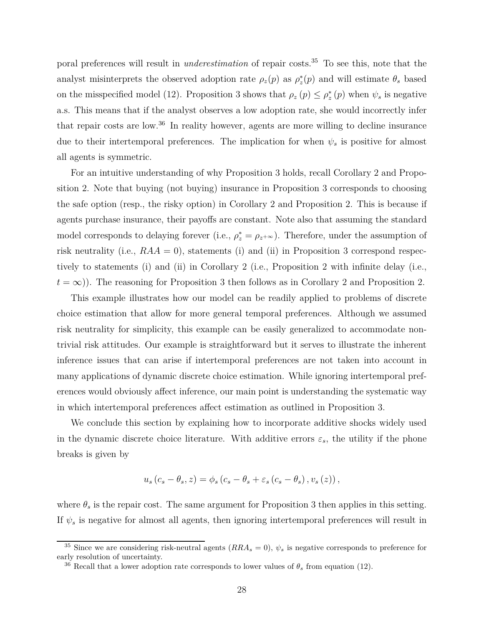poral preferences will result in *underestimation* of repair costs.<sup>35</sup> To see this, note that the analyst misinterprets the observed adoption rate  $\rho_z(p)$  as  $\rho_z^*(p)$  and will estimate  $\theta_s$  based on the misspecified model (12). Proposition 3 shows that  $\rho_z(p) \leq \rho_z^*(p)$  when  $\psi_s$  is negative a.s. This means that if the analyst observes a low adoption rate, she would incorrectly infer that repair costs are low.<sup>36</sup> In reality however, agents are more willing to decline insurance due to their intertemporal preferences. The implication for when *ψ<sup>s</sup>* is positive for almost all agents is symmetric.

For an intuitive understanding of why Proposition 3 holds, recall Corollary 2 and Proposition 2. Note that buying (not buying) insurance in Proposition 3 corresponds to choosing the safe option (resp., the risky option) in Corollary 2 and Proposition 2. This is because if agents purchase insurance, their payoffs are constant. Note also that assuming the standard model corresponds to delaying forever (i.e.,  $\rho_z^* = \rho_{z+\infty}$ ). Therefore, under the assumption of risk neutrality (i.e.,  $RAA = 0$ ), statements (i) and (ii) in Proposition 3 correspond respectively to statements (i) and (ii) in Corollary 2 (i.e., Proposition 2 with infinite delay (i.e.,  $t = \infty$ )). The reasoning for Proposition 3 then follows as in Corollary 2 and Proposition 2.

This example illustrates how our model can be readily applied to problems of discrete choice estimation that allow for more general temporal preferences. Although we assumed risk neutrality for simplicity, this example can be easily generalized to accommodate nontrivial risk attitudes. Our example is straightforward but it serves to illustrate the inherent inference issues that can arise if intertemporal preferences are not taken into account in many applications of dynamic discrete choice estimation. While ignoring intertemporal preferences would obviously affect inference, our main point is understanding the systematic way in which intertemporal preferences affect estimation as outlined in Proposition 3.

We conclude this section by explaining how to incorporate additive shocks widely used in the dynamic discrete choice literature. With additive errors  $\varepsilon_s$ , the utility if the phone breaks is given by

$$
u_s (c_s - \theta_s, z) = \phi_s (c_s - \theta_s + \varepsilon_s (c_s - \theta_s), v_s (z)),
$$

where  $\theta_s$  is the repair cost. The same argument for Proposition 3 then applies in this setting. If  $\psi_s$  is negative for almost all agents, then ignoring intertemporal preferences will result in

<sup>&</sup>lt;sup>35</sup> Since we are considering risk-neutral agents  $(RRA<sub>s</sub> = 0)$ ,  $\psi<sub>s</sub>$  is negative corresponds to preference for early resolution of uncertainty.

<sup>&</sup>lt;sup>36</sup> Recall that a lower adoption rate corresponds to lower values of  $\theta_s$  from equation (12).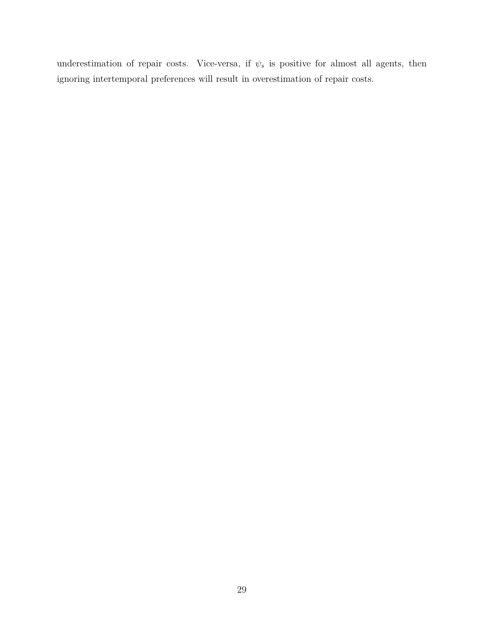underestimation of repair costs. Vice-versa, if  $\psi_s$  is positive for almost all agents, then ignoring intertemporal preferences will result in overestimation of repair costs.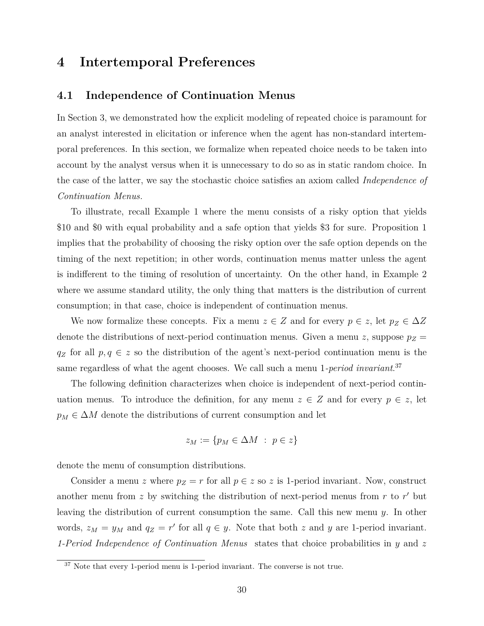### **4 Intertemporal Preferences**

### **4.1 Independence of Continuation Menus**

In Section 3, we demonstrated how the explicit modeling of repeated choice is paramount for an analyst interested in elicitation or inference when the agent has non-standard intertemporal preferences. In this section, we formalize when repeated choice needs to be taken into account by the analyst versus when it is unnecessary to do so as in static random choice. In the case of the latter, we say the stochastic choice satisfies an axiom called *Independence of Continuation Menus.*

To illustrate, recall Example 1 where the menu consists of a risky option that yields \$10 and \$0 with equal probability and a safe option that yields \$3 for sure. Proposition 1 implies that the probability of choosing the risky option over the safe option depends on the timing of the next repetition; in other words, continuation menus matter unless the agent is indifferent to the timing of resolution of uncertainty. On the other hand, in Example 2 where we assume standard utility, the only thing that matters is the distribution of current consumption; in that case, choice is independent of continuation menus.

We now formalize these concepts. Fix a menu  $z \in Z$  and for every  $p \in z$ , let  $p_Z \in \Delta Z$ denote the distributions of next-period continuation menus. Given a menu *z*, suppose  $p_Z =$  $q_Z$  for all  $p, q \in z$  so the distribution of the agent's next-period continuation menu is the same regardless of what the agent chooses. We call such a menu 1*-period invariant*. 37

The following definition characterizes when choice is independent of next-period continuation menus. To introduce the definition, for any menu  $z \in Z$  and for every  $p \in z$ , let  $p_M \in \Delta M$  denote the distributions of current consumption and let

$$
z_M := \{ p_M \in \Delta M \; : \; p \in z \}
$$

denote the menu of consumption distributions.

Consider a menu *z* where  $p_Z = r$  for all  $p \in z$  so *z* is 1-period invariant. Now, construct another menu from *z* by switching the distribution of next-period menus from *r* to *r'* but leaving the distribution of current consumption the same. Call this new menu *y*. In other words,  $z_M = y_M$  and  $q_Z = r'$  for all  $q \in y$ . Note that both *z* and *y* are 1-period invariant. *1-Period Independence of Continuation Menus* states that choice probabilities in *y* and *z*

<sup>&</sup>lt;sup>37</sup> Note that every 1-period menu is 1-period invariant. The converse is not true.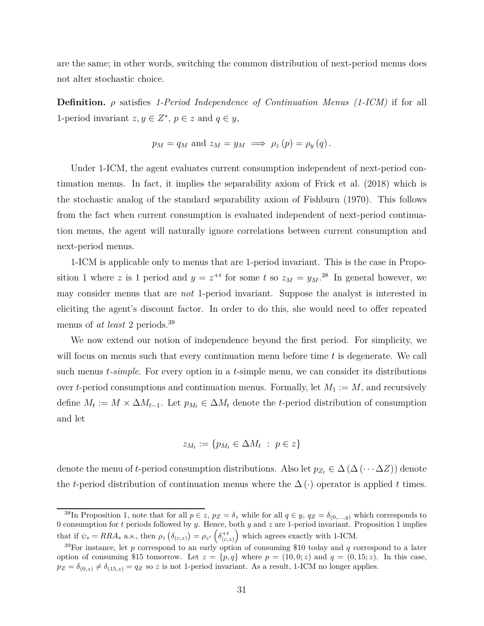are the same; in other words, switching the common distribution of next-period menus does not alter stochastic choice.

**Definition.** *ρ* satisfies *1-Period Independence of Continuation Menus (1-ICM)* if for all 1-period invariant  $z, y \in \mathbb{Z}^*, p \in z$  and  $q \in y$ ,

$$
p_M = q_M
$$
 and  $z_M = y_M \implies \rho_z(p) = \rho_y(q)$ .

Under 1-ICM, the agent evaluates current consumption independent of next-period continuation menus. In fact, it implies the separability axiom of Frick et al. (2018) which is the stochastic analog of the standard separability axiom of Fishburn (1970). This follows from the fact when current consumption is evaluated independent of next-period continuation menus, the agent will naturally ignore correlations between current consumption and next-period menus.

1-ICM is applicable only to menus that are 1-period invariant. This is the case in Proposition 1 where *z* is 1 period and  $y = z^{+t}$  for some *t* so  $z_M = y_M$ .<sup>38</sup> In general however, we may consider menus that are *not* 1-period invariant. Suppose the analyst is interested in eliciting the agent's discount factor. In order to do this, she would need to offer repeated menus of *at least* 2 periods.<sup>39</sup>

We now extend our notion of independence beyond the first period. For simplicity, we will focus on menus such that every continuation menu before time *t* is degenerate. We call such menus *t-simple*. For every option in a *t*-simple menu, we can consider its distributions over *t*-period consumptions and continuation menus. Formally, let  $M_1 := M$ , and recursively define  $M_t := M \times \Delta M_{t-1}$ . Let  $p_{M_t} \in \Delta M_t$  denote the *t*-period distribution of consumption and let

$$
z_{M_t} := \{ p_{M_t} \in \Delta M_t \; : \; p \in z \}
$$

denote the menu of *t*-period consumption distributions. Also let  $p_{Z_t} \in \Delta(\Delta(\cdots \Delta Z))$  denote the *t*-period distribution of continuation menus where the  $\Delta(\cdot)$  operator is applied *t* times.

<sup>&</sup>lt;sup>38</sup>In Proposition 1, note that for all  $p \in z$ ,  $p_Z = \delta_z$  while for all  $q \in y$ ,  $q_Z = \delta_{(0,...,y)}$  which corresponds to 0 consumption for *t* periods followed by *y*. Hence, both *y* and *z* are 1-period invariant. Proposition 1 implies that if  $\psi_s = RRA_s$  a.s., then  $\rho_z \left( \delta_{(c,z)} \right) = \rho_{z^t} \left( \delta_{(c,z)}^{+t} \right)$  which agrees exactly with 1-ICM.

<sup>39</sup>For instance, let *p* correspond to an early option of consuming \$10 today and *q* correspond to a later option of consuming \$15 tomorrow. Let  $z = \{p, q\}$  where  $p = (10, 0; z)$  and  $q = (0, 15; z)$ . In this case,  $p_Z = \delta_{(0,z)} \neq \delta_{(15,z)} = q_Z$  so *z* is not 1-period invariant. As a result, 1-ICM no longer applies.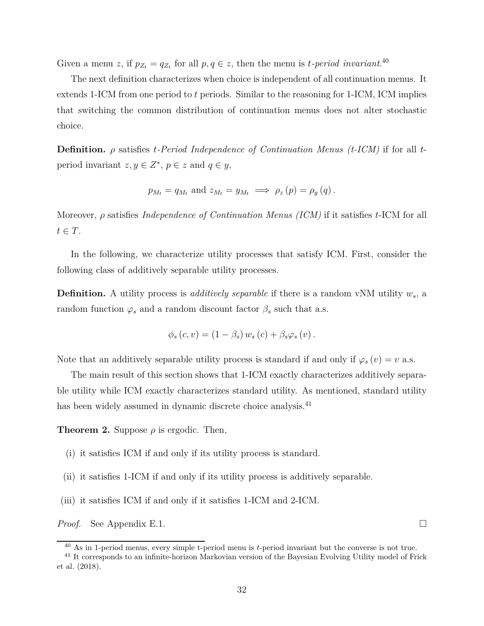Given a menu *z*, if  $p_{Z_t} = q_{Z_t}$  for all  $p, q \in \mathbb{Z}$ , then the menu is *t*-period invariant.<sup>40</sup>

The next definition characterizes when choice is independent of all continuation menus. It extends 1-ICM from one period to *t* periods. Similar to the reasoning for 1-ICM, ICM implies that switching the common distribution of continuation menus does not alter stochastic choice.

**Definition.** *ρ* satisfies *t-Period Independence of Continuation Menus (t-ICM)* if for all *t*period invariant  $z, y \in \mathbb{Z}^*, p \in z$  and  $q \in y$ ,

$$
p_{M_t} = q_{M_t}
$$
 and  $z_{M_t} = y_{M_t} \implies \rho_z(p) = \rho_y(q)$ .

Moreover, *ρ* satisfies *Independence of Continuation Menus (ICM)* if it satisfies *t*-ICM for all  $t \in T$ .

In the following, we characterize utility processes that satisfy ICM. First, consider the following class of additively separable utility processes.

**Definition.** A utility process is *additively separable* if there is a random vNM utility *ws*, a random function  $\varphi_s$  and a random discount factor  $\beta_s$  such that a.s.

$$
\phi_s(c, v) = (1 - \beta_s) w_s(c) + \beta_s \varphi_s(v).
$$

Note that an additively separable utility process is standard if and only if  $\varphi_s(v) = v$  a.s.

The main result of this section shows that 1-ICM exactly characterizes additively separable utility while ICM exactly characterizes standard utility. As mentioned, standard utility has been widely assumed in dynamic discrete choice analysis.<sup>41</sup>

**Theorem 2.** Suppose  $\rho$  is ergodic. Then,

- (i) it satisfies ICM if and only if its utility process is standard.
- (ii) it satisfies 1-ICM if and only if its utility process is additively separable.
- (iii) it satisfies ICM if and only if it satisfies 1-ICM and 2-ICM.

*Proof.* See Appendix E.1. □

<sup>40</sup> As in 1-period menus, every simple t-period menu is *t*-period invariant but the converse is not true.

<sup>&</sup>lt;sup>41</sup> It corresponds to an infinite-horizon Markovian version of the Bayesian Evolving Utility model of Frick et al. (2018).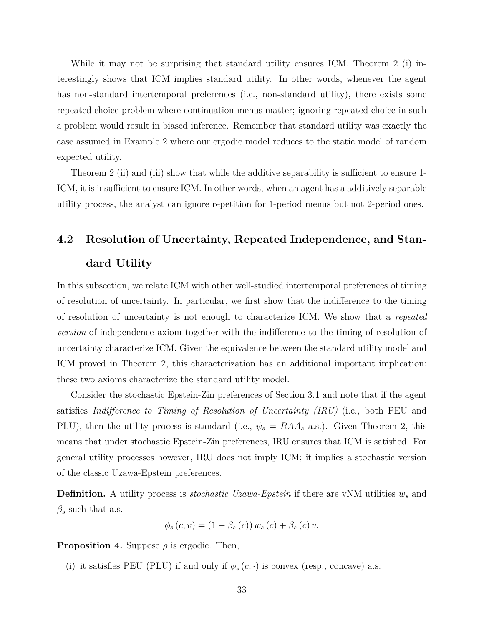While it may not be surprising that standard utility ensures ICM, Theorem 2 (i) interestingly shows that ICM implies standard utility. In other words, whenever the agent has non-standard intertemporal preferences (i.e., non-standard utility), there exists some repeated choice problem where continuation menus matter; ignoring repeated choice in such a problem would result in biased inference. Remember that standard utility was exactly the case assumed in Example 2 where our ergodic model reduces to the static model of random expected utility.

Theorem 2 (ii) and (iii) show that while the additive separability is sufficient to ensure 1-ICM, it is insufficient to ensure ICM. In other words, when an agent has a additively separable utility process, the analyst can ignore repetition for 1-period menus but not 2-period ones.

# **4.2 Resolution of Uncertainty, Repeated Independence, and Standard Utility**

In this subsection, we relate ICM with other well-studied intertemporal preferences of timing of resolution of uncertainty. In particular, we first show that the indifference to the timing of resolution of uncertainty is not enough to characterize ICM. We show that a *repeated version* of independence axiom together with the indifference to the timing of resolution of uncertainty characterize ICM. Given the equivalence between the standard utility model and ICM proved in Theorem 2, this characterization has an additional important implication: these two axioms characterize the standard utility model.

Consider the stochastic Epstein-Zin preferences of Section 3.1 and note that if the agent satisfies *Indifference to Timing of Resolution of Uncertainty (IRU)* (i.e., both PEU and PLU), then the utility process is standard (i.e.,  $\psi_s = R A A_s$  a.s.). Given Theorem 2, this means that under stochastic Epstein-Zin preferences, IRU ensures that ICM is satisfied. For general utility processes however, IRU does not imply ICM; it implies a stochastic version of the classic Uzawa-Epstein preferences.

**Definition.** A utility process is *stochastic Uzawa-Epstein* if there are vNM utilities *w<sup>s</sup>* and  $\beta_s$  such that a.s.

$$
\phi_s(c, v) = (1 - \beta_s(c)) w_s(c) + \beta_s(c) v.
$$

**Proposition 4.** Suppose  $\rho$  is ergodic. Then,

(i) it satisfies PEU (PLU) if and only if  $\phi_s(c, \cdot)$  is convex (resp., concave) a.s.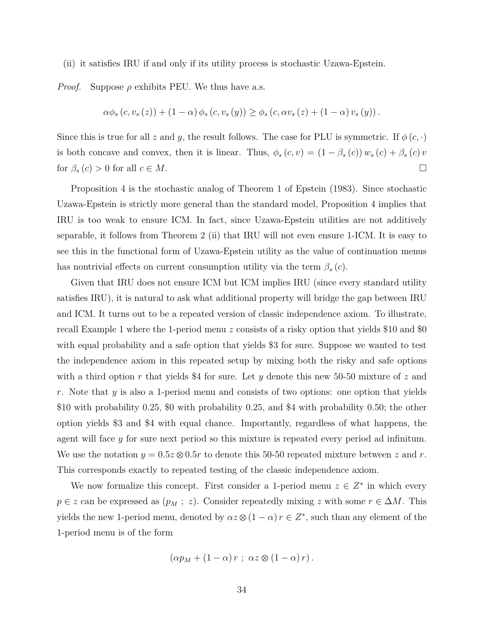(ii) it satisfies IRU if and only if its utility process is stochastic Uzawa-Epstein.

*Proof.* Suppose  $\rho$  exhibits PEU. We thus have a.s.

$$
\alpha \phi_s(c, v_s(z)) + (1 - \alpha) \phi_s(c, v_s(y)) \ge \phi_s(c, \alpha v_s(z) + (1 - \alpha) v_s(y)).
$$

Since this is true for all *z* and *y*, the result follows. The case for PLU is symmetric. If  $\phi(c, \cdot)$ is both concave and convex, then it is linear. Thus,  $\phi_s(c, v) = (1 - \beta_s(c)) w_s(c) + \beta_s(c) v$ for  $\beta_s(c) > 0$  for all  $c \in M$ .

Proposition 4 is the stochastic analog of Theorem 1 of Epstein (1983). Since stochastic Uzawa-Epstein is strictly more general than the standard model, Proposition 4 implies that IRU is too weak to ensure ICM. In fact, since Uzawa-Epstein utilities are not additively separable, it follows from Theorem 2 (ii) that IRU will not even ensure 1-ICM. It is easy to see this in the functional form of Uzawa-Epstein utility as the value of continuation menus has nontrivial effects on current consumption utility via the term  $\beta_s(c)$ .

Given that IRU does not ensure ICM but ICM implies IRU (since every standard utility satisfies IRU), it is natural to ask what additional property will bridge the gap between IRU and ICM. It turns out to be a repeated version of classic independence axiom. To illustrate, recall Example 1 where the 1-period menu *z* consists of a risky option that yields \$10 and \$0 with equal probability and a safe option that yields \$3 for sure. Suppose we wanted to test the independence axiom in this repeated setup by mixing both the risky and safe options with a third option *r* that yields \$4 for sure. Let *y* denote this new 50-50 mixture of *z* and *r*. Note that *y* is also a 1-period menu and consists of two options: one option that yields \$10 with probability 0*.*25, \$0 with probability 0*.*25, and \$4 with probability 0*.*50; the other option yields \$3 and \$4 with equal chance. Importantly, regardless of what happens, the agent will face *y* for sure next period so this mixture is repeated every period ad infinitum. We use the notation  $y = 0.5z \otimes 0.5r$  to denote this 50-50 repeated mixture between z and r. This corresponds exactly to repeated testing of the classic independence axiom.

We now formalize this concept. First consider a 1-period menu  $z \in Z^*$  in which every  $p \in z$  can be expressed as  $(p_M ; z)$ . Consider repeatedly mixing *z* with some  $r \in \Delta M$ . This yields the new 1-period menu, denoted by  $\alpha z \otimes (1 - \alpha) r \in Z^*$ , such than any element of the 1-period menu is of the form

$$
(\alpha p_M + (1 - \alpha) r \; ; \; \alpha z \otimes (1 - \alpha) r).
$$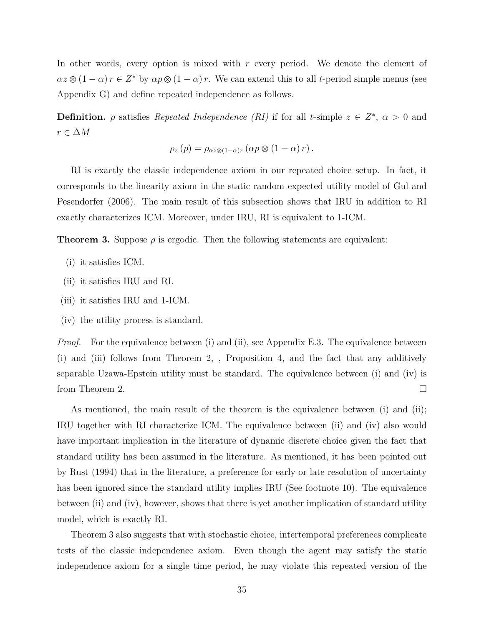In other words, every option is mixed with *r* every period. We denote the element of  $\alpha z \otimes (1 - \alpha) r \in Z^*$  by  $\alpha p \otimes (1 - \alpha) r$ . We can extend this to all *t*-period simple menus (see Appendix G) and define repeated independence as follows.

**Definition.**  $\rho$  satisfies *Repeated Independence (RI)* if for all *t*-simple  $z \in Z^*$ ,  $\alpha > 0$  and *r* ∈ ∆*M*

$$
\rho_z(p) = \rho_{\alpha z \otimes (1-\alpha)r} (\alpha p \otimes (1-\alpha) r).
$$

RI is exactly the classic independence axiom in our repeated choice setup. In fact, it corresponds to the linearity axiom in the static random expected utility model of Gul and Pesendorfer (2006). The main result of this subsection shows that IRU in addition to RI exactly characterizes ICM. Moreover, under IRU, RI is equivalent to 1-ICM.

**Theorem 3.** Suppose  $\rho$  is ergodic. Then the following statements are equivalent:

- (i) it satisfies ICM.
- (ii) it satisfies IRU and RI.
- (iii) it satisfies IRU and 1-ICM.
- (iv) the utility process is standard.

*Proof.* For the equivalence between (i) and (ii), see Appendix E.3. The equivalence between (i) and (iii) follows from Theorem 2, , Proposition 4, and the fact that any additively separable Uzawa-Epstein utility must be standard. The equivalence between (i) and (iv) is from Theorem 2.

As mentioned, the main result of the theorem is the equivalence between (i) and (ii); IRU together with RI characterize ICM. The equivalence between (ii) and (iv) also would have important implication in the literature of dynamic discrete choice given the fact that standard utility has been assumed in the literature. As mentioned, it has been pointed out by Rust (1994) that in the literature, a preference for early or late resolution of uncertainty has been ignored since the standard utility implies IRU (See footnote 10). The equivalence between (ii) and (iv), however, shows that there is yet another implication of standard utility model, which is exactly RI.

Theorem 3 also suggests that with stochastic choice, intertemporal preferences complicate tests of the classic independence axiom. Even though the agent may satisfy the static independence axiom for a single time period, he may violate this repeated version of the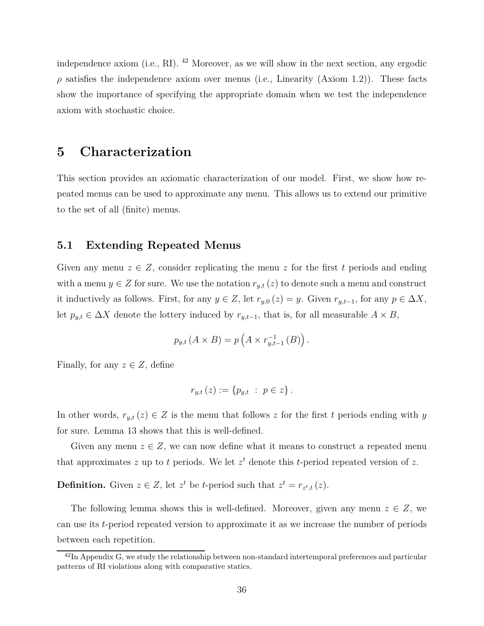independence axiom (i.e., RI). <sup>42</sup> Moreover, as we will show in the next section, any ergodic  $\rho$  satisfies the independence axiom over menus (i.e., Linearity (Axiom 1.2)). These facts show the importance of specifying the appropriate domain when we test the independence axiom with stochastic choice.

### **5 Characterization**

This section provides an axiomatic characterization of our model. First, we show how repeated menus can be used to approximate any menu. This allows us to extend our primitive to the set of all (finite) menus.

### **5.1 Extending Repeated Menus**

Given any menu  $z \in Z$ , consider replicating the menu z for the first t periods and ending with a menu  $y \in Z$  for sure. We use the notation  $r_{y,t}(z)$  to denote such a menu and construct it inductively as follows. First, for any  $y \in Z$ , let  $r_{y,0}(z) = y$ . Given  $r_{y,t-1}$ , for any  $p \in \Delta X$ , let  $p_{y,t} \in \Delta X$  denote the lottery induced by  $r_{y,t-1}$ , that is, for all measurable  $A \times B$ ,

$$
p_{y,t}(A \times B) = p\left(A \times r_{y,t-1}^{-1}(B)\right).
$$

Finally, for any  $z \in Z$ , define

$$
r_{y,t}(z) := \{p_{y,t} : p \in z\}.
$$

In other words,  $r_{y,t}(z) \in Z$  is the menu that follows z for the first t periods ending with y for sure. Lemma 13 shows that this is well-defined.

Given any menu  $z \in Z$ , we can now define what it means to construct a repeated menu that approximates  $z$  up to  $t$  periods. We let  $z<sup>t</sup>$  denote this  $t$ -period repeated version of  $z$ .

**Definition.** Given  $z \in Z$ , let  $z^t$  be *t*-period such that  $z^t = r_{z^t,t}(z)$ .

The following lemma shows this is well-defined. Moreover, given any menu  $z \in Z$ , we can use its *t*-period repeated version to approximate it as we increase the number of periods between each repetition.

 $^{42}$ In Appendix G, we study the relationship between non-standard intertemporal preferences and particular patterns of RI violations along with comparative statics.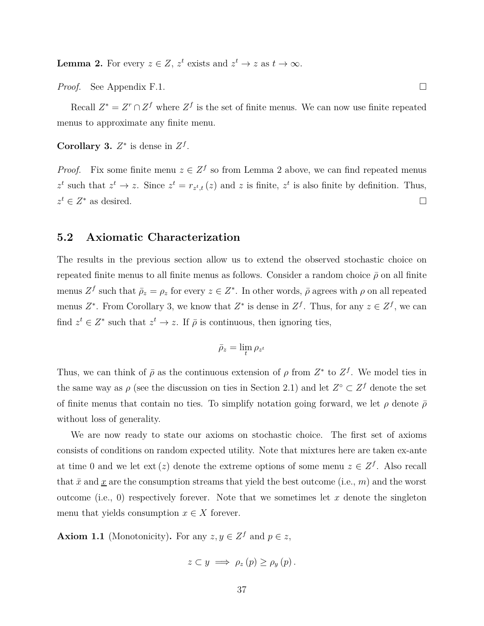**Lemma 2.** For every  $z \in Z$ ,  $z^t$  exists and  $z^t \to z$  as  $t \to \infty$ .

*Proof.* See Appendix F.1. □

Recall  $Z^* = Z^r \cap Z^f$  where  $Z^f$  is the set of finite menus. We can now use finite repeated menus to approximate any finite menu.

**Corollary 3.**  $Z^*$  is dense in  $Z^f$ .

*Proof.* Fix some finite menu  $z \in \mathbb{Z}^f$  so from Lemma 2 above, we can find repeated menus  $z^t$  such that  $z^t \to z$ . Since  $z^t = r_{z^t,t}(z)$  and *z* is finite,  $z^t$  is also finite by definition. Thus,  $z^t \in Z^*$  as desired.

#### **5.2 Axiomatic Characterization**

The results in the previous section allow us to extend the observed stochastic choice on repeated finite menus to all finite menus as follows. Consider a random choice  $\bar{\rho}$  on all finite menus  $Z^f$  such that  $\bar{\rho}_z = \rho_z$  for every  $z \in Z^*$ . In other words,  $\bar{\rho}$  agrees with  $\rho$  on all repeated menus  $Z^*$ . From Corollary 3, we know that  $Z^*$  is dense in  $Z^f$ . Thus, for any  $z \in Z^f$ , we can find  $z^t \in Z^*$  such that  $z^t \to z$ . If  $\bar{\rho}$  is continuous, then ignoring ties,

$$
\bar{\rho}_z = \lim_t \rho_{z^t}
$$

Thus, we can think of  $\bar{\rho}$  as the continuous extension of  $\rho$  from  $Z^*$  to  $Z^f$ . We model ties in the same way as  $\rho$  (see the discussion on ties in Section 2.1) and let  $Z^{\circ} \subset Z^f$  denote the set of finite menus that contain no ties. To simplify notation going forward, we let  $\rho$  denote  $\bar{\rho}$ without loss of generality.

We are now ready to state our axioms on stochastic choice. The first set of axioms consists of conditions on random expected utility. Note that mixtures here are taken ex-ante at time 0 and we let  $ext(z)$  denote the extreme options of some menu  $z \in \mathbb{Z}^f$ . Also recall that  $\bar{x}$  and  $\underline{x}$  are the consumption streams that yield the best outcome (i.e.,  $m$ ) and the worst outcome (i.e., 0) respectively forever. Note that we sometimes let *x* denote the singleton menu that yields consumption  $x \in X$  forever.

**Axiom 1.1** (Monotonicity). For any  $z, y \in \mathbb{Z}^f$  and  $p \in z$ ,

$$
z\subset y\implies\rho_z(p)\geq\rho_y(p).
$$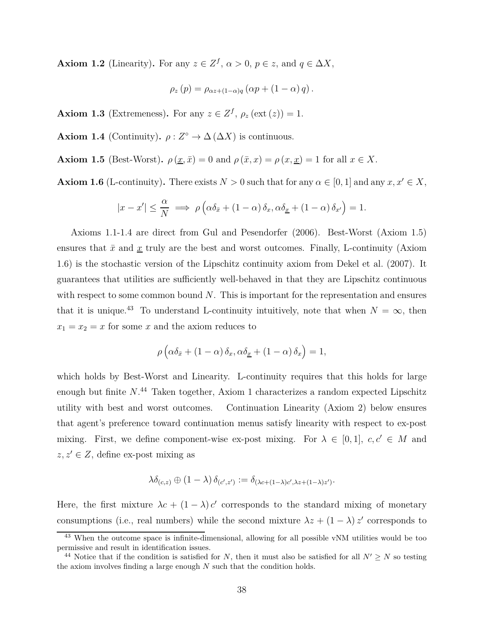**Axiom 1.2** (Linearity). For any  $z \in \mathbb{Z}^f$ ,  $\alpha > 0$ ,  $p \in z$ , and  $q \in \Delta X$ ,

$$
\rho_z(p) = \rho_{\alpha z + (1-\alpha)q} (\alpha p + (1-\alpha) q).
$$

**Axiom 1.3** (Extremeness). For any  $z \in \mathbb{Z}^f$ ,  $\rho_z(\text{ext}(z)) = 1$ .

**Axiom 1.4** (Continuity).  $\rho: Z^{\circ} \to \Delta(\Delta X)$  is continuous.

**Axiom 1.5** (Best-Worst).  $\rho(\underline{x}, \bar{x}) = 0$  and  $\rho(\bar{x}, x) = \rho(x, \underline{x}) = 1$  for all  $x \in X$ .

**Axiom 1.6** (L-continuity). There exists  $N > 0$  such that for any  $\alpha \in [0, 1]$  and any  $x, x' \in X$ ,

$$
|x - x'| \leq \frac{\alpha}{N} \implies \rho\left(\alpha\delta_{\bar{x}} + (1 - \alpha)\delta_x, \alpha\delta_{\underline{x}} + (1 - \alpha)\delta_{x'}\right) = 1.
$$

Axioms 1.1-1.4 are direct from Gul and Pesendorfer (2006). Best-Worst (Axiom 1.5) ensures that  $\bar{x}$  and  $\underline{x}$  truly are the best and worst outcomes. Finally, L-continuity (Axiom 1.6) is the stochastic version of the Lipschitz continuity axiom from Dekel et al. (2007). It guarantees that utilities are sufficiently well-behaved in that they are Lipschitz continuous with respect to some common bound *N*. This is important for the representation and ensures that it is unique.<sup>43</sup> To understand L-continuity intuitively, note that when  $N = \infty$ , then  $x_1 = x_2 = x$  for some *x* and the axiom reduces to

$$
\rho\left(\alpha\delta_{\bar{x}} + (1-\alpha)\delta_x, \alpha\delta_{\underline{x}} + (1-\alpha)\delta_x\right) = 1,
$$

which holds by Best-Worst and Linearity. L-continuity requires that this holds for large enough but finite *N*. <sup>44</sup> Taken together, Axiom 1 characterizes a random expected Lipschitz utility with best and worst outcomes. Continuation Linearity (Axiom 2) below ensures that agent's preference toward continuation menus satisfy linearity with respect to ex-post mixing. First, we define component-wise ex-post mixing. For  $\lambda \in [0,1]$ ,  $c, c' \in M$  and  $z, z' \in Z$ , define ex-post mixing as

$$
\lambda \delta_{(c,z)} \oplus (1-\lambda) \delta_{(c',z')} := \delta_{(\lambda c + (1-\lambda)c',\lambda z + (1-\lambda)z')}.
$$

Here, the first mixture  $\lambda c + (1 - \lambda) c'$  corresponds to the standard mixing of monetary consumptions (i.e., real numbers) while the second mixture  $\lambda z + (1 - \lambda) z'$  corresponds to

<sup>43</sup> When the outcome space is infinite-dimensional, allowing for all possible vNM utilities would be too permissive and result in identification issues.

<sup>&</sup>lt;sup>44</sup> Notice that if the condition is satisfied for *N*, then it must also be satisfied for all  $N' \geq N$  so testing the axiom involves finding a large enough *N* such that the condition holds.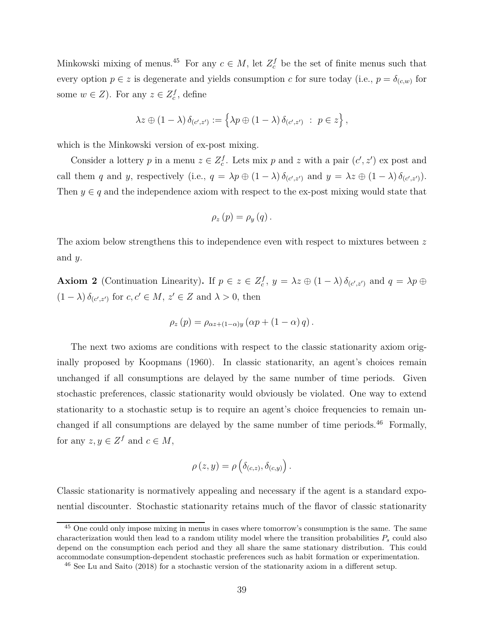Minkowski mixing of menus.<sup>45</sup> For any  $c \in M$ , let  $Z_c^f$  be the set of finite menus such that every option  $p \in z$  is degenerate and yields consumption *c* for sure today (i.e.,  $p = \delta_{(c,w)}$  for some  $w \in Z$ ). For any  $z \in Z_c^f$ , define

$$
\lambda z \oplus (1 - \lambda) \, \delta_{(c',z')} := \left\{ \lambda p \oplus (1 - \lambda) \, \delta_{(c',z')} \; : \; p \in z \right\},\,
$$

which is the Minkowski version of ex-post mixing.

Consider a lottery *p* in a menu  $z \in Z_c^f$ . Lets mix *p* and *z* with a pair  $(c', z')$  ex post and call them *q* and *y*, respectively (i.e.,  $q = \lambda p \oplus (1 - \lambda) \delta_{(c',z')}$  and  $y = \lambda z \oplus (1 - \lambda) \delta_{(c',z')}$ ). Then  $y \in q$  and the independence axiom with respect to the ex-post mixing would state that

$$
\rho_z(p) = \rho_y(q).
$$

The axiom below strengthens this to independence even with respect to mixtures between *z* and *y*.

**Axiom 2** (Continuation Linearity). If  $p \in z \in \mathbb{Z}_c^f$ ,  $y = \lambda z \oplus (1 - \lambda) \delta_{(c', z')}$  and  $q = \lambda p \oplus z$  $(1 - \lambda) \delta_{(c', z')}$  for  $c, c' \in M$ ,  $z' \in Z$  and  $\lambda > 0$ , then

$$
\rho_z(p) = \rho_{\alpha z + (1-\alpha)y} \left( \alpha p + (1-\alpha) q \right).
$$

The next two axioms are conditions with respect to the classic stationarity axiom originally proposed by Koopmans (1960). In classic stationarity, an agent's choices remain unchanged if all consumptions are delayed by the same number of time periods. Given stochastic preferences, classic stationarity would obviously be violated. One way to extend stationarity to a stochastic setup is to require an agent's choice frequencies to remain unchanged if all consumptions are delayed by the same number of time periods.<sup>46</sup> Formally, for any  $z, y \in \mathbb{Z}^f$  and  $c \in M$ ,

$$
\rho(z,y) = \rho\left(\delta_{(c,z)}, \delta_{(c,y)}\right).
$$

Classic stationarity is normatively appealing and necessary if the agent is a standard exponential discounter. Stochastic stationarity retains much of the flavor of classic stationarity

<sup>&</sup>lt;sup>45</sup> One could only impose mixing in menus in cases where tomorrow's consumption is the same. The same characterization would then lead to a random utility model where the transition probabilities *P<sup>s</sup>* could also depend on the consumption each period and they all share the same stationary distribution. This could accommodate consumption-dependent stochastic preferences such as habit formation or experimentation.

<sup>&</sup>lt;sup>46</sup> See Lu and Saito (2018) for a stochastic version of the stationarity axiom in a different setup.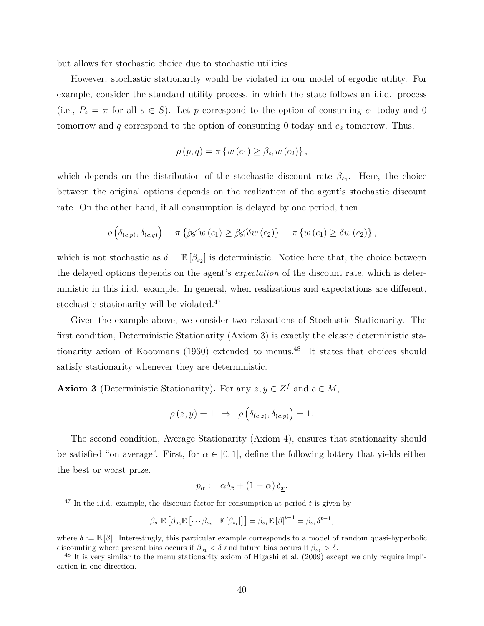but allows for stochastic choice due to stochastic utilities.

However, stochastic stationarity would be violated in our model of ergodic utility. For example, consider the standard utility process, in which the state follows an i.i.d. process (i.e.,  $P_s = \pi$  for all  $s \in S$ ). Let p correspond to the option of consuming  $c_1$  today and 0 tomorrow and  $q$  correspond to the option of consuming 0 today and  $c_2$  tomorrow. Thus,

$$
\rho(p,q) = \pi \left\{ w(c_1) \geq \beta_{s_1} w(c_2) \right\},\,
$$

which depends on the distribution of the stochastic discount rate  $\beta_{s_1}$ . Here, the choice between the original options depends on the realization of the agent's stochastic discount rate. On the other hand, if all consumption is delayed by one period, then

$$
\rho\left(\delta_{(c,p)},\delta_{(c,q)}\right)=\pi\left\{\beta_{s_1}w\left(c_1\right)\geq\beta_{s_1}\delta w\left(c_2\right)\right\}=\pi\left\{w\left(c_1\right)\geq\delta w\left(c_2\right)\right\},\,
$$

which is not stochastic as  $\delta = \mathbb{E} [\beta_{s_2}]$  is deterministic. Notice here that, the choice between the delayed options depends on the agent's *expectation* of the discount rate, which is deterministic in this i.i.d. example. In general, when realizations and expectations are different, stochastic stationarity will be violated.<sup>47</sup>

Given the example above, we consider two relaxations of Stochastic Stationarity. The first condition, Deterministic Stationarity (Axiom 3) is exactly the classic deterministic stationarity axiom of Koopmans  $(1960)$  extended to menus.<sup>48</sup> It states that choices should satisfy stationarity whenever they are deterministic.

**Axiom 3** (Deterministic Stationarity). For any  $z, y \in \mathbb{Z}^f$  and  $c \in M$ ,

$$
\rho(z, y) = 1 \Rightarrow \rho\left(\delta_{(c,z)}, \delta_{(c,y)}\right) = 1.
$$

The second condition, Average Stationarity (Axiom 4), ensures that stationarity should be satisfied "on average". First, for  $\alpha \in [0,1]$ , define the following lottery that yields either the best or worst prize.

$$
p_{\alpha} := \alpha \delta_{\bar{x}} + (1 - \alpha) \, \delta_{\underline{x}}.
$$

$$
\beta_{s_1} \mathbb{E}\left[\beta_{s_2} \mathbb{E}\left[\cdots \beta_{s_{t-1}} \mathbb{E}\left[\beta_{s_t}\right]\right]\right] = \beta_{s_1} \mathbb{E}\left[\beta\right]^{t-1} = \beta_{s_1} \delta^{t-1},
$$

<sup>47</sup> In the i.i.d. example, the discount factor for consumption at period *t* is given by

where  $\delta := \mathbb{E}[\beta]$ . Interestingly, this particular example corresponds to a model of random quasi-hyperbolic discounting where present bias occurs if  $\beta_{s_1} < \delta$  and future bias occurs if  $\beta_{s_1} > \delta$ .

<sup>&</sup>lt;sup>48</sup> It is very similar to the menu stationarity axiom of Higashi et al. (2009) except we only require implication in one direction.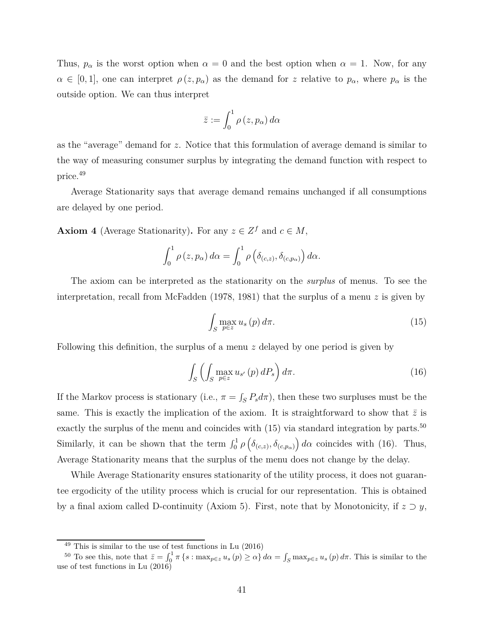Thus,  $p_{\alpha}$  is the worst option when  $\alpha = 0$  and the best option when  $\alpha = 1$ . Now, for any  $\alpha \in [0,1]$ , one can interpret  $\rho(z, p_{\alpha})$  as the demand for *z* relative to  $p_{\alpha}$ , where  $p_{\alpha}$  is the outside option. We can thus interpret

$$
\bar{z}:=\int_0^1\rho\left(z,p_{\alpha}\right)d\alpha
$$

as the "average" demand for *z*. Notice that this formulation of average demand is similar to the way of measuring consumer surplus by integrating the demand function with respect to price.<sup>49</sup>

Average Stationarity says that average demand remains unchanged if all consumptions are delayed by one period.

**Axiom 4** (Average Stationarity). For any  $z \in Z^f$  and  $c \in M$ ,

$$
\int_0^1 \rho(z, p_\alpha) d\alpha = \int_0^1 \rho\left(\delta_{(c,z)}, \delta_{(c,p_\alpha)}\right) d\alpha.
$$

The axiom can be interpreted as the stationarity on the *surplus* of menus. To see the interpretation, recall from McFadden (1978, 1981) that the surplus of a menu *z* is given by

$$
\int_{S} \max_{p \in z} u_s(p) d\pi.
$$
 (15)

Following this definition, the surplus of a menu *z* delayed by one period is given by

$$
\int_{S} \left( \int_{S} \max_{p \in z} u_{s'}(p) dP_s \right) d\pi.
$$
 (16)

If the Markov process is stationary (i.e.,  $\pi = \int_S P_s d\pi$ ), then these two surpluses must be the same. This is exactly the implication of the axiom. It is straightforward to show that  $\bar{z}$  is exactly the surplus of the menu and coincides with  $(15)$  via standard integration by parts.<sup>50</sup> Similarly, it can be shown that the term  $\int_0^1 \rho\left(\delta_{(c,z)}, \delta_{(c,p_\alpha)}\right) d\alpha$  coincides with (16). Thus, Average Stationarity means that the surplus of the menu does not change by the delay.

While Average Stationarity ensures stationarity of the utility process, it does not guarantee ergodicity of the utility process which is crucial for our representation. This is obtained by a final axiom called D-continuity (Axiom 5). First, note that by Monotonicity, if  $z \supset y$ ,

 $^{49}$  This is similar to the use of test functions in Lu  $\left( 2016\right)$ 

<sup>&</sup>lt;sup>50</sup> To see this, note that  $\bar{z} = \int_0^1 \pi \{s : \max_{p \in z} u_s(p) \ge \alpha\} d\alpha = \int_S \max_{p \in z} u_s(p) d\pi$ . This is similar to the use of test functions in Lu (2016)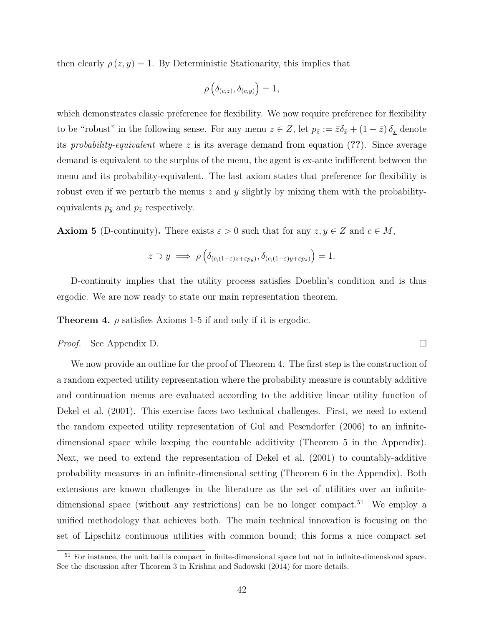then clearly  $\rho(z, y) = 1$ . By Deterministic Stationarity, this implies that

$$
\rho\left(\delta_{(c,z)}, \delta_{(c,y)}\right) = 1,
$$

which demonstrates classic preference for flexibility. We now require preference for flexibility to be "robust" in the following sense. For any menu  $z \in Z$ , let  $p_{\bar{z}} := \bar{z}\delta_{\bar{x}} + (1 - \bar{z})\delta_{\underline{x}}$  denote its *probability-equivalent* where  $\bar{z}$  is its average demand from equation (??). Since average demand is equivalent to the surplus of the menu, the agent is ex-ante indifferent between the menu and its probability-equivalent. The last axiom states that preference for flexibility is robust even if we perturb the menus *z* and *y* slightly by mixing them with the probabilityequivalents  $p_{\bar{y}}$  and  $p_{\bar{z}}$  respectively.

**Axiom 5** (D-continuity). There exists  $\varepsilon > 0$  such that for any  $z, y \in Z$  and  $c \in M$ ,

$$
z \supset y \implies \rho\left(\delta_{(c,(1-\varepsilon)z+\varepsilon p_{\bar{y}})}, \delta_{(c,(1-\varepsilon)y+\varepsilon p_{\bar{z}})}\right) = 1.
$$

D-continuity implies that the utility process satisfies Doeblin's condition and is thus ergodic. We are now ready to state our main representation theorem.

**Theorem 4.**  $\rho$  satisfies Axioms 1-5 if and only if it is ergodic.

*Proof.* See Appendix D.

We now provide an outline for the proof of Theorem 4. The first step is the construction of a random expected utility representation where the probability measure is countably additive and continuation menus are evaluated according to the additive linear utility function of Dekel et al. (2001). This exercise faces two technical challenges. First, we need to extend the random expected utility representation of Gul and Pesendorfer (2006) to an infinitedimensional space while keeping the countable additivity (Theorem 5 in the Appendix). Next, we need to extend the representation of Dekel et al. (2001) to countably-additive probability measures in an infinite-dimensional setting (Theorem 6 in the Appendix). Both extensions are known challenges in the literature as the set of utilities over an infinitedimensional space (without any restrictions) can be no longer compact.<sup>51</sup> We employ a unified methodology that achieves both. The main technical innovation is focusing on the set of Lipschitz continuous utilities with common bound; this forms a nice compact set

 $51$  For instance, the unit ball is compact in finite-dimensional space but not in infinite-dimensional space. See the discussion after Theorem 3 in Krishna and Sadowski (2014) for more details.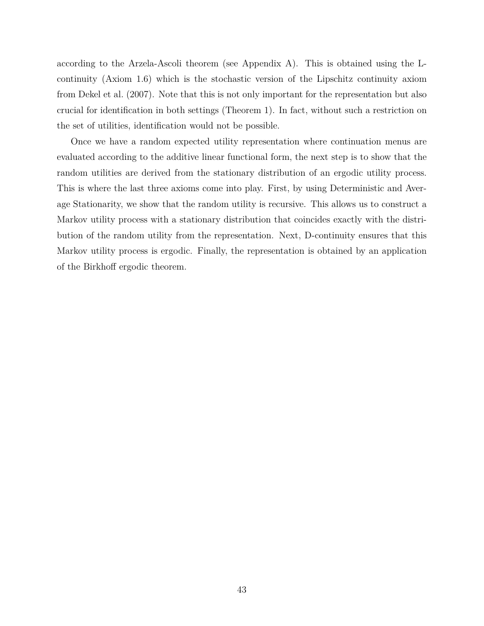according to the Arzela-Ascoli theorem (see Appendix A). This is obtained using the Lcontinuity (Axiom 1.6) which is the stochastic version of the Lipschitz continuity axiom from Dekel et al. (2007). Note that this is not only important for the representation but also crucial for identification in both settings (Theorem 1). In fact, without such a restriction on the set of utilities, identification would not be possible.

Once we have a random expected utility representation where continuation menus are evaluated according to the additive linear functional form, the next step is to show that the random utilities are derived from the stationary distribution of an ergodic utility process. This is where the last three axioms come into play. First, by using Deterministic and Average Stationarity, we show that the random utility is recursive. This allows us to construct a Markov utility process with a stationary distribution that coincides exactly with the distribution of the random utility from the representation. Next, D-continuity ensures that this Markov utility process is ergodic. Finally, the representation is obtained by an application of the Birkhoff ergodic theorem.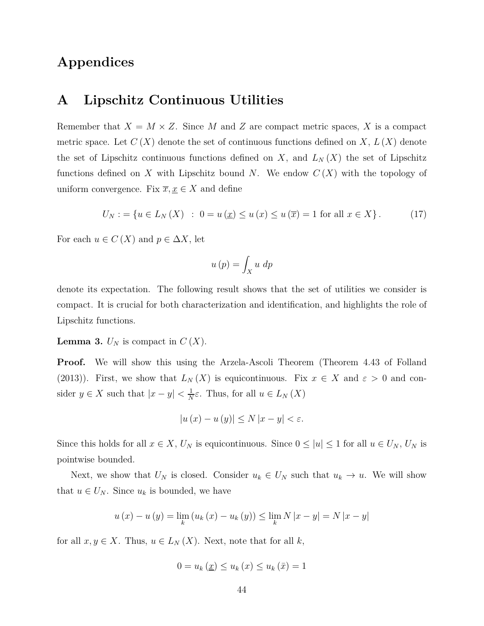## **Appendices**

### **A Lipschitz Continuous Utilities**

Remember that  $X = M \times Z$ . Since M and Z are compact metric spaces, X is a compact metric space. Let  $C(X)$  denote the set of continuous functions defined on X,  $L(X)$  denote the set of Lipschitz continuous functions defined on *X*, and  $L_N(X)$  the set of Lipschitz functions defined on *X* with Lipschitz bound *N*. We endow  $C(X)$  with the topology of uniform convergence. Fix  $\overline{x}, \underline{x} \in X$  and define

$$
U_N := \{ u \in L_N(X) : 0 = u(\underline{x}) \le u(\overline{x}) = 1 \text{ for all } x \in X \}. \tag{17}
$$

For each  $u \in C(X)$  and  $p \in \Delta X$ , let

$$
u\left(p\right) = \int_{X} u \, dp
$$

denote its expectation. The following result shows that the set of utilities we consider is compact. It is crucial for both characterization and identification, and highlights the role of Lipschitz functions.

**Lemma 3.**  $U_N$  is compact in  $C(X)$ .

**Proof.** We will show this using the Arzela-Ascoli Theorem (Theorem 4.43 of Folland (2013)). First, we show that  $L_N(X)$  is equicontinuous. Fix  $x \in X$  and  $\varepsilon > 0$  and consider  $y \in X$  such that  $|x - y| < \frac{1}{N}$  $\frac{1}{N}\varepsilon$ . Thus, for all  $u \in L_N(X)$ 

$$
\left|u\left(x\right)-u\left(y\right)\right| \le N\left|x-y\right| < \varepsilon.
$$

Since this holds for all  $x \in X$ ,  $U_N$  is equicontinuous. Since  $0 \leq |u| \leq 1$  for all  $u \in U_N$ ,  $U_N$  is pointwise bounded.

Next, we show that  $U_N$  is closed. Consider  $u_k \in U_N$  such that  $u_k \to u$ . We will show that  $u \in U_N$ . Since  $u_k$  is bounded, we have

$$
u(x) - u(y) = \lim_{k} (u_k(x) - u_k(y)) \le \lim_{k} N |x - y| = N |x - y|
$$

for all  $x, y \in X$ . Thus,  $u \in L_N(X)$ . Next, note that for all  $k$ ,

$$
0 = u_k(\underline{x}) \le u_k(x) \le u_k(\bar{x}) = 1
$$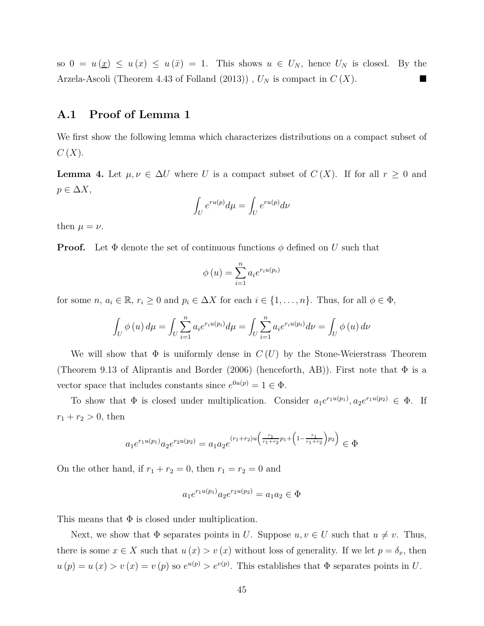so  $0 = u(\underline{x}) \leq u(\overline{x}) = 1$ . This shows  $u \in U_N$ , hence  $U_N$  is closed. By the Arzela-Ascoli (Theorem 4.43 of Folland  $(2013)$ ),  $U_N$  is compact in  $C(X)$ .

### **A.1 Proof of Lemma 1**

We first show the following lemma which characterizes distributions on a compact subset of *C* (*X*).

**Lemma 4.** Let  $\mu, \nu \in \Delta U$  where *U* is a compact subset of  $C(X)$ . If for all  $r \geq 0$  and  $p \in \Delta X$ ,

$$
\int_U e^{ru(p)}d\mu=\int_U e^{ru(p)}d\nu
$$

then  $\mu = \nu$ .

**Proof.** Let  $\Phi$  denote the set of continuous functions  $\phi$  defined on *U* such that

$$
\phi(u) = \sum_{i=1}^{n} a_i e^{r_i u(p_i)}
$$

for some *n*,  $a_i \in \mathbb{R}$ ,  $r_i \geq 0$  and  $p_i \in \Delta X$  for each  $i \in \{1, \ldots, n\}$ . Thus, for all  $\phi \in \Phi$ ,

$$
\int_{U} \phi(u) d\mu = \int_{U} \sum_{i=1}^{n} a_{i} e^{r_{i} u(p_{i})} d\mu = \int_{U} \sum_{i=1}^{n} a_{i} e^{r_{i} u(p_{i})} d\nu = \int_{U} \phi(u) d\nu
$$

We will show that  $\Phi$  is uniformly dense in  $C(U)$  by the Stone-Weierstrass Theorem (Theorem 9.13 of Aliprantis and Border (2006) (henceforth, AB)). First note that  $\Phi$  is a vector space that includes constants since  $e^{0u(p)} = 1 \in \Phi$ .

To show that  $\Phi$  is closed under multiplication. Consider  $a_1e^{r_1u(p_1)}, a_2e^{r_1u(p_2)} \in \Phi$ . If  $r_1 + r_2 > 0$ , then

$$
a_1 e^{r_1 u(p_1)} a_2 e^{r_2 u(p_2)} = a_1 a_2 e^{(r_1 + r_2)u \left(\frac{r_1}{r_1 + r_2} p_1 + \left(1 - \frac{r_1}{r_1 + r_2}\right) p_2\right)} \in \Phi
$$

On the other hand, if  $r_1 + r_2 = 0$ , then  $r_1 = r_2 = 0$  and

$$
a_1 e^{r_1 u(p_1)} a_2 e^{r_2 u(p_2)} = a_1 a_2 \in \Phi
$$

This means that  $\Phi$  is closed under multiplication.

Next, we show that  $\Phi$  separates points in *U*. Suppose  $u, v \in U$  such that  $u \neq v$ . Thus, there is some  $x \in X$  such that  $u(x) > v(x)$  without loss of generality. If we let  $p = \delta_x$ , then  $u(p) = u(x) > v(x) = v(p)$  so  $e^{u(p)} > e^{v(p)}$ . This establishes that  $\Phi$  separates points in *U*.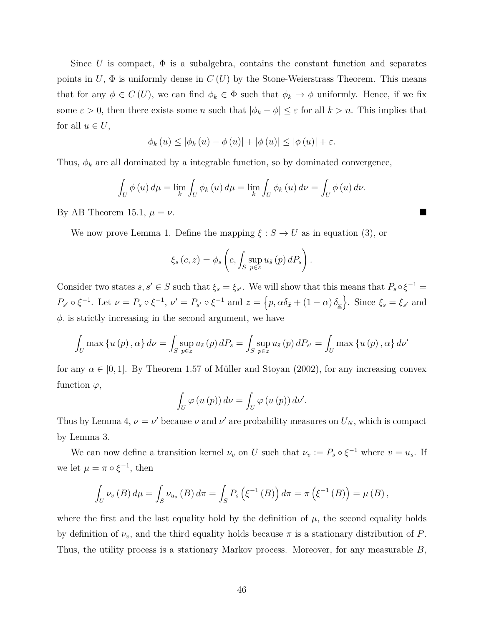Since *U* is compact,  $\Phi$  is a subalgebra, contains the constant function and separates points in  $U$ ,  $\Phi$  is uniformly dense in  $C(U)$  by the Stone-Weierstrass Theorem. This means that for any  $\phi \in C(U)$ , we can find  $\phi_k \in \Phi$  such that  $\phi_k \to \phi$  uniformly. Hence, if we fix some  $\varepsilon > 0$ , then there exists some *n* such that  $|\phi_k - \phi| \leq \varepsilon$  for all  $k > n$ . This implies that for all  $u \in U$ ,

$$
\phi_k(u) \leq |\phi_k(u) - \phi(u)| + |\phi(u)| \leq |\phi(u)| + \varepsilon.
$$

Thus,  $\phi_k$  are all dominated by a integrable function, so by dominated convergence,

$$
\int_{U} \phi(u) d\mu = \lim_{k} \int_{U} \phi_k(u) d\mu = \lim_{k} \int_{U} \phi_k(u) d\nu = \int_{U} \phi(u) d\nu.
$$

By AB Theorem 15.1,  $\mu = \nu$ .

We now prove Lemma 1. Define the mapping  $\xi : S \to U$  as in equation (3), or

$$
\xi_s(c, z) = \phi_s\left(c, \int_S \sup_{p \in z} u_{\tilde{s}}(p) dP_s\right).
$$

Consider two states  $s, s' \in S$  such that  $\xi_s = \xi_{s'}$ . We will show that this means that  $P_s \circ \xi^{-1} =$  $P_{s'} \circ \xi^{-1}$ . Let  $\nu = P_s \circ \xi^{-1}$ ,  $\nu' = P_{s'} \circ \xi^{-1}$  and  $z = \{p, \alpha \delta_{\bar{x}} + (1 - \alpha) \delta_{\underline{x}}\}$ . Since  $\xi_s = \xi_{s'}$  and  $\phi$  is strictly increasing in the second argument, we have

$$
\int_{U} \max \left\{ u(p), \alpha \right\} d\nu = \int_{S} \sup_{p \in \mathcal{Z}} u_{\tilde{s}}(p) dP_{s} = \int_{S} \sup_{p \in \mathcal{Z}} u_{\tilde{s}}(p) dP_{s'} = \int_{U} \max \left\{ u(p), \alpha \right\} d\nu'
$$

for any  $\alpha \in [0, 1]$ . By Theorem 1.57 of Müller and Stoyan (2002), for any increasing convex function  $\varphi$ ,

$$
\int_{U} \varphi(u(p)) d\nu = \int_{U} \varphi(u(p)) d\nu'.
$$

Thus by Lemma 4,  $\nu = \nu'$  because  $\nu$  and  $\nu'$  are probability measures on  $U_N$ , which is compact by Lemma 3.

We can now define a transition kernel  $\nu_v$  on *U* such that  $\nu_v := P_s \circ \xi^{-1}$  where  $v = u_s$ . If we let  $\mu = \pi \circ \xi^{-1}$ , then

$$
\int_{U} \nu_{v}(B) d\mu = \int_{S} \nu_{u_{s}}(B) d\pi = \int_{S} P_{s} (\xi^{-1}(B)) d\pi = \pi (\xi^{-1}(B)) = \mu (B),
$$

where the first and the last equality hold by the definition of  $\mu$ , the second equality holds by definition of  $\nu_v$ , and the third equality holds because  $\pi$  is a stationary distribution of *P*. Thus, the utility process is a stationary Markov process. Moreover, for any measurable *B*,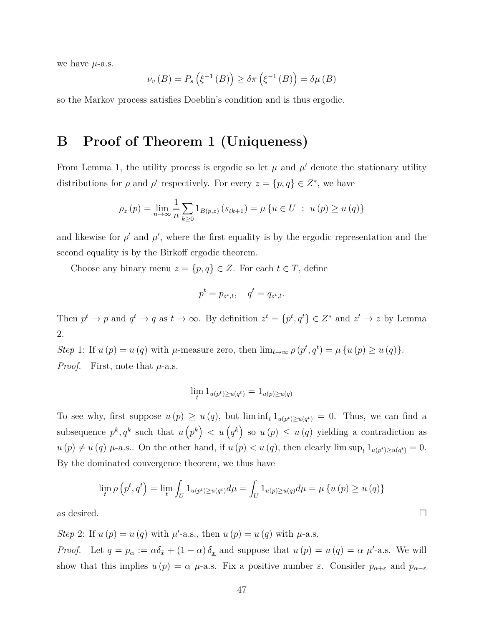we have  $\mu$ -a.s.

$$
\nu_v(B) = P_s\left(\xi^{-1}(B)\right) \ge \delta \pi\left(\xi^{-1}(B)\right) = \delta \mu(B)
$$

so the Markov process satisfies Doeblin's condition and is thus ergodic.

# **B Proof of Theorem 1 (Uniqueness)**

From Lemma 1, the utility process is ergodic so let  $\mu$  and  $\mu'$  denote the stationary utility distributions for  $\rho$  and  $\rho'$  respectively. For every  $z = \{p, q\} \in Z^*$ , we have

$$
\rho_z(p) = \lim_{n \to \infty} \frac{1}{n} \sum_{k \ge 0} 1_{B(p,z)} (s_{tk+1}) = \mu \{ u \in U : u(p) \ge u(q) \}
$$

and likewise for  $\rho'$  and  $\mu'$ , where the first equality is by the ergodic representation and the second equality is by the Birkoff ergodic theorem.

Choose any binary menu  $z = \{p, q\} \in Z$ . For each  $t \in T$ , define

$$
p^t = p_{z^t,t}, \quad q^t = q_{z^t,t}.
$$

Then  $p^t \to p$  and  $q^t \to q$  as  $t \to \infty$ . By definition  $z^t = \{p^t, q^t\} \in Z^*$  and  $z^t \to z$  by Lemma 2.

*Step* 1: If  $u(p) = u(q)$  with  $\mu$ -measure zero, then  $\lim_{t \to \infty} \rho(p^t, q^t) = \mu\{u(p) \ge u(q)\}.$ *Proof.* First, note that *µ*-a.s.

$$
\lim_{t} 1_{u(p^t)\geq u(q^t)} = 1_{u(p)\geq u(q)}
$$

To see why, first suppose  $u(p) \geq u(q)$ , but  $\liminf_t 1_{u(p^t) \geq u(q^t)} = 0$ . Thus, we can find a subsequence  $p^k, q^k$  such that  $u(p^k) < u(q^k)$  so  $u(p) \le u(q)$  yielding a contradiction as  $u(p) \neq u(q)$   $\mu$ -a.s.. On the other hand, if  $u(p) < u(q)$ , then clearly lim sup<sub>t</sub>  $1_{u(p^t) \geq u(q^t)} = 0$ . By the dominated convergence theorem, we thus have

$$
\lim_{t} \rho(p^{t}, q^{t}) = \lim_{t} \int_{U} 1_{u(p^{t}) \ge u(q^{t})} d\mu = \int_{U} 1_{u(p) \ge u(q)} d\mu = \mu \{ u(p) \ge u(q) \}
$$

as desired.  $\Box$ 

*Step* 2: If  $u(p) = u(q)$  with  $\mu'$ -a.s., then  $u(p) = u(q)$  with  $\mu$ -a.s. *Proof.* Let  $q = p_\alpha := \alpha \delta_{\bar{x}} + (1 - \alpha) \delta_{\bar{x}}$  and suppose that  $u(p) = u(q) = \alpha \mu'$ -a.s. We will show that this implies  $u(p) = \alpha \mu$ -a.s. Fix a positive number  $\varepsilon$ . Consider  $p_{\alpha+\varepsilon}$  and  $p_{\alpha-\varepsilon}$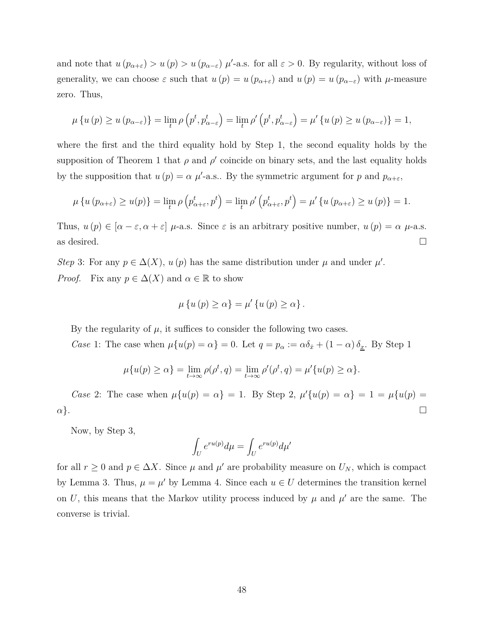and note that  $u(p_{\alpha+\varepsilon}) > u(p) > u(p_{\alpha-\varepsilon})$   $\mu'$ -a.s. for all  $\varepsilon > 0$ . By regularity, without loss of generality, we can choose  $\varepsilon$  such that  $u(p) = u(p_{\alpha+\varepsilon})$  and  $u(p) = u(p_{\alpha-\varepsilon})$  with  $\mu$ -measure zero. Thus,

$$
\mu\left\{u\left(p\right)\geq u\left(p_{\alpha-\varepsilon}\right)\right\}=\lim_{t}\rho\left(p^{t},p_{\alpha-\varepsilon}^{t}\right)=\lim_{t}\rho'\left(p^{t},p_{\alpha-\varepsilon}^{t}\right)=\mu'\left\{u\left(p\right)\geq u\left(p_{\alpha-\varepsilon}\right)\right\}=1,
$$

where the first and the third equality hold by Step 1, the second equality holds by the supposition of Theorem 1 that  $\rho$  and  $\rho'$  coincide on binary sets, and the last equality holds by the supposition that  $u(p) = \alpha \mu'$ -a.s.. By the symmetric argument for *p* and  $p_{\alpha+\varepsilon}$ ,

$$
\mu\left\{u\left(p_{\alpha+\varepsilon}\right)\geq u(p)\right\}=\lim_{t}\rho\left(p_{\alpha+\varepsilon}^t,p^t\right)=\lim_{t}\rho'\left(p_{\alpha+\varepsilon}^t,p^t\right)=\mu'\left\{u\left(p_{\alpha+\varepsilon}\right)\geq u\left(p\right)\right\}=1.
$$

Thus,  $u(p) \in [\alpha - \varepsilon, \alpha + \varepsilon]$  *μ*-a.s. Since  $\varepsilon$  is an arbitrary positive number,  $u(p) = \alpha \mu$ -a.s. as desired.  $\Box$ 

*Step* 3: For any  $p \in \Delta(X)$ ,  $u(p)$  has the same distribution under  $\mu$  and under  $\mu'$ . *Proof.* Fix any  $p \in \Delta(X)$  and  $\alpha \in \mathbb{R}$  to show

$$
\mu\left\{u\left(p\right)\geq\alpha\right\}=\mu'\left\{u\left(p\right)\geq\alpha\right\}.
$$

By the regularity of  $\mu$ , it suffices to consider the following two cases.

*Case* 1: The case when  $\mu\{u(p) = \alpha\} = 0$ . Let  $q = p_\alpha := \alpha \delta_{\bar{x}} + (1 - \alpha) \delta_{\underline{x}}$ . By Step 1

$$
\mu\{u(p)\geq\alpha\}=\lim_{t\to\infty}\rho(\rho^t,q)=\lim_{t\to\infty}\rho'(\rho^t,q)=\mu'\{u(p)\geq\alpha\}.
$$

*Case* 2: The case when  $\mu\{u(p) = \alpha\} = 1$ . By Step 2,  $\mu'\{u(p) = \alpha\} = 1 = \mu\{u(p) = 1\}$  $\alpha$ }.

Now, by Step 3,

$$
\int_U e^{ru(p)}d\mu = \int_U e^{ru(p)}d\mu'
$$

for all  $r \geq 0$  and  $p \in \Delta X$ . Since  $\mu$  and  $\mu'$  are probability measure on  $U_N$ , which is compact by Lemma 3. Thus,  $\mu = \mu'$  by Lemma 4. Since each  $u \in U$  determines the transition kernel on *U*, this means that the Markov utility process induced by  $\mu$  and  $\mu'$  are the same. The converse is trivial.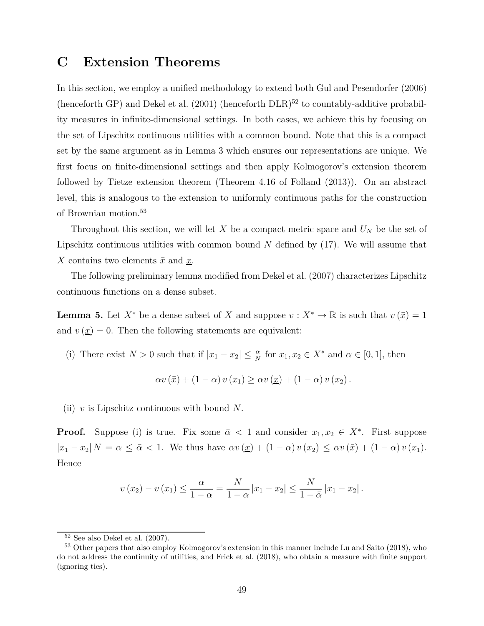## **C Extension Theorems**

In this section, we employ a unified methodology to extend both Gul and Pesendorfer (2006) (henceforth GP) and Dekel et al.  $(2001)$  (henceforth DLR)<sup>52</sup> to countably-additive probability measures in infinite-dimensional settings. In both cases, we achieve this by focusing on the set of Lipschitz continuous utilities with a common bound. Note that this is a compact set by the same argument as in Lemma 3 which ensures our representations are unique. We first focus on finite-dimensional settings and then apply Kolmogorov's extension theorem followed by Tietze extension theorem (Theorem 4.16 of Folland (2013)). On an abstract level, this is analogous to the extension to uniformly continuous paths for the construction of Brownian motion.<sup>53</sup>

Throughout this section, we will let *X* be a compact metric space and *U<sup>N</sup>* be the set of Lipschitz continuous utilities with common bound *N* defined by (17). We will assume that *X* contains two elements  $\bar{x}$  and  $\bar{x}$ .

The following preliminary lemma modified from Dekel et al. (2007) characterizes Lipschitz continuous functions on a dense subset.

**Lemma 5.** Let  $X^*$  be a dense subset of *X* and suppose  $v : X^* \to \mathbb{R}$  is such that  $v(\bar{x}) = 1$ and  $v(\underline{x}) = 0$ . Then the following statements are equivalent:

(i) There exist  $N > 0$  such that if  $|x_1 - x_2| \leq \frac{\alpha}{N}$  for  $x_1, x_2 \in X^*$  and  $\alpha \in [0, 1]$ , then

$$
\alpha v(\bar{x}) + (1 - \alpha) v(x_1) \ge \alpha v(\underline{x}) + (1 - \alpha) v(x_2).
$$

(ii) *v* is Lipschitz continuous with bound *N*.

**Proof.** Suppose (i) is true. Fix some  $\bar{\alpha} < 1$  and consider  $x_1, x_2 \in X^*$ . First suppose  $|x_1 - x_2| N = \alpha \leq \bar{\alpha} < 1$ . We thus have  $\alpha v(\underline{x}) + (1 - \alpha) v(x_2) \leq \alpha v(\bar{x}) + (1 - \alpha) v(x_1)$ . Hence

$$
v(x_2) - v(x_1) \le \frac{\alpha}{1 - \alpha} = \frac{N}{1 - \alpha} |x_1 - x_2| \le \frac{N}{1 - \bar{\alpha}} |x_1 - x_2|.
$$

 $52$  See also Dekel et al.  $(2007)$ .

<sup>53</sup> Other papers that also employ Kolmogorov's extension in this manner include Lu and Saito (2018), who do not address the continuity of utilities, and Frick et al. (2018), who obtain a measure with finite support (ignoring ties).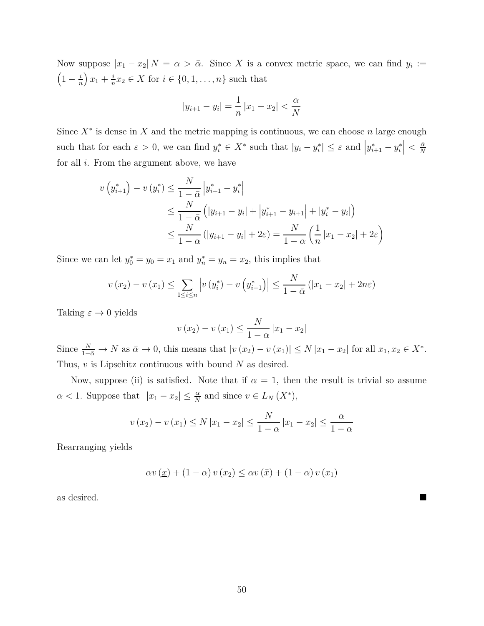Now suppose  $|x_1 - x_2|$   $N = \alpha > \bar{\alpha}$ . Since X is a convex metric space, we can find  $y_i :=$  $\left(1-\frac{i}{n}\right)$ *n*  $\left(x_1 + \frac{i}{n}\right)$  $\frac{i}{n}x_2 \in X$  for  $i \in \{0, 1, \ldots, n\}$  such that

$$
|y_{i+1} - y_i| = \frac{1}{n} |x_1 - x_2| < \frac{\bar{\alpha}}{N}
$$

Since *X*<sup>∗</sup> is dense in *X* and the metric mapping is continuous, we can choose *n* large enough such that for each  $\varepsilon > 0$ , we can find  $y_i^* \in X^*$  such that  $|y_i - y_i^*| \leq \varepsilon$  and  $|y_{i+1}^* - y_i^*| < \frac{\bar{\alpha}}{N}$ *N* for all *i*. From the argument above, we have

$$
v(y_{i+1}^*) - v(y_i^*) \le \frac{N}{1 - \bar{\alpha}} |y_{i+1}^* - y_i^*|
$$
  
\n
$$
\le \frac{N}{1 - \bar{\alpha}} (|y_{i+1} - y_i| + |y_{i+1}^* - y_{i+1}| + |y_i^* - y_i|)
$$
  
\n
$$
\le \frac{N}{1 - \bar{\alpha}} (|y_{i+1} - y_i| + 2\varepsilon) = \frac{N}{1 - \bar{\alpha}} (\frac{1}{n} |x_1 - x_2| + 2\varepsilon)
$$

Since we can let  $y_0^* = y_0 = x_1$  and  $y_n^* = y_n = x_2$ , this implies that

$$
v(x_2) - v(x_1) \le \sum_{1 \le i \le n} \left| v(y_i^*) - v(y_{i-1}^*) \right| \le \frac{N}{1 - \bar{\alpha}} \left( |x_1 - x_2| + 2n\varepsilon \right)
$$

Taking  $\varepsilon \to 0$  yields

$$
v(x_2) - v(x_1) \le \frac{N}{1 - \bar{\alpha}} |x_1 - x_2|
$$

Since  $\frac{N}{1-\bar{\alpha}} \to N$  as  $\bar{\alpha} \to 0$ , this means that  $|v(x_2) - v(x_1)| \le N |x_1 - x_2|$  for all  $x_1, x_2 \in X^*$ . Thus, *v* is Lipschitz continuous with bound *N* as desired.

Now, suppose (ii) is satisfied. Note that if  $\alpha = 1$ , then the result is trivial so assume  $\alpha < 1$ . Suppose that  $|x_1 - x_2| \leq \frac{\alpha}{N}$  and since  $v \in L_N(X^*)$ ,

$$
v(x_2) - v(x_1) \le N |x_1 - x_2| \le \frac{N}{1 - \alpha} |x_1 - x_2| \le \frac{\alpha}{1 - \alpha}
$$

Rearranging yields

$$
\alpha v(\underline{x}) + (1 - \alpha) v(x_2) \leq \alpha v(\bar{x}) + (1 - \alpha) v(x_1)
$$

as desired.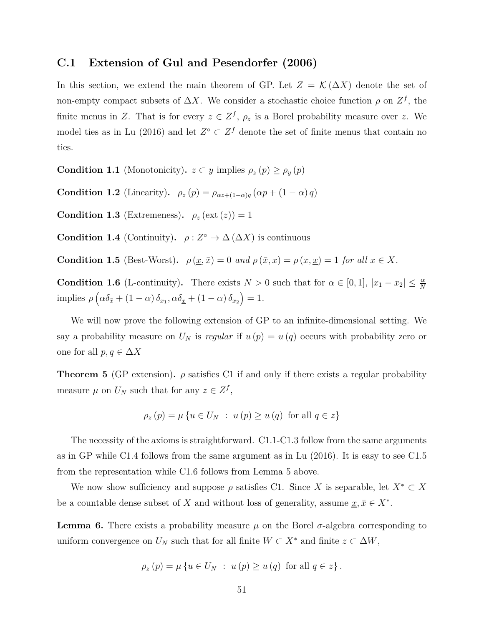### **C.1 Extension of Gul and Pesendorfer (2006)**

In this section, we extend the main theorem of GP. Let  $Z = \mathcal{K}(\Delta X)$  denote the set of non-empty compact subsets of  $\Delta X$ . We consider a stochastic choice function  $\rho$  on  $Z^f$ , the finite menus in *Z*. That is for every  $z \in Z^f$ ,  $\rho_z$  is a Borel probability measure over *z*. We model ties as in Lu (2016) and let  $Z^{\circ} \subset Z^f$  denote the set of finite menus that contain no ties.

**Condition 1.1** (Monotonicity)**.**  $z \subset y$  implies  $\rho_z(p) \ge \rho_y(p)$ 

**Condition 1.2** (Linearity).  $\rho_z(p) = \rho_{\alpha z + (1-\alpha)q}(\alpha p + (1-\alpha)q)$ 

**Condition 1.3** (Extremeness).  $\rho_z(\text{ext}(z)) = 1$ 

**Condition 1.4** (Continuity).  $\rho : Z^{\circ} \to \Delta(\Delta X)$  is continuous

**Condition 1.5** (Best-Worst).  $\rho(\underline{x}, \bar{x}) = 0$  *and*  $\rho(\bar{x}, x) = \rho(x, \underline{x}) = 1$  *for all*  $x \in X$ *.* 

**Condition 1.6** (L-continuity). There exists  $N > 0$  such that for  $\alpha \in [0, 1]$ ,  $|x_1 - x_2| \leq \frac{\alpha}{N}$  $\text{implies } \rho\left(\alpha\delta_{\bar{x}} + (1-\alpha)\delta_{x_1}, \alpha\delta_{\underline{x}} + (1-\alpha)\delta_{x_2}\right) = 1.$ 

We will now prove the following extension of GP to an infinite-dimensional setting. We say a probability measure on  $U_N$  is *regular* if  $u(p) = u(q)$  occurs with probability zero or one for all  $p, q \in \Delta X$ 

**Theorem 5** (GP extension).  $\rho$  satisfies C1 if and only if there exists a regular probability measure  $\mu$  on  $U_N$  such that for any  $z \in Z^f$ ,

$$
\rho_z(p) = \mu \{ u \in U_N : u(p) \ge u(q) \text{ for all } q \in z \}
$$

The necessity of the axioms is straightforward. C1.1-C1.3 follow from the same arguments as in GP while C1.4 follows from the same argument as in Lu (2016). It is easy to see C1.5 from the representation while C1.6 follows from Lemma 5 above.

We now show sufficiency and suppose  $\rho$  satisfies C1. Since *X* is separable, let  $X^* \subset X$ be a countable dense subset of *X* and without loss of generality, assume  $\underline{x}, \overline{x} \in X^*$ .

**Lemma 6.** There exists a probability measure  $\mu$  on the Borel  $\sigma$ -algebra corresponding to uniform convergence on  $U_N$  such that for all finite  $W \subset X^*$  and finite  $z \subset \Delta W$ ,

$$
\rho_z(p) = \mu \left\{ u \in U_N \ : \ u(p) \ge u(q) \text{ for all } q \in z \right\}.
$$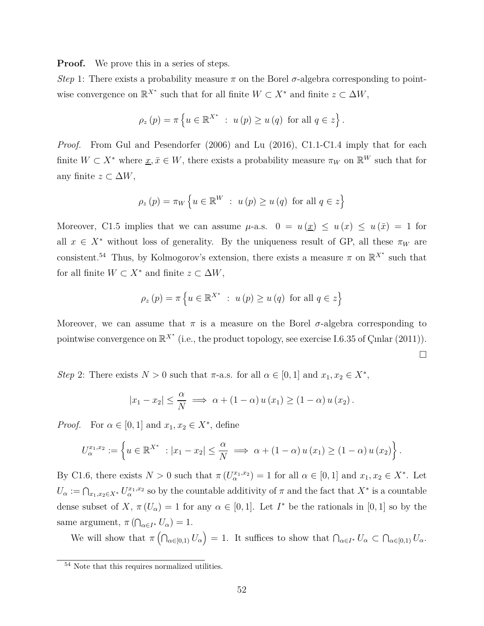**Proof.** We prove this in a series of steps.

*Step* 1: There exists a probability measure  $\pi$  on the Borel  $\sigma$ -algebra corresponding to pointwise convergence on  $\mathbb{R}^{X^*}$  such that for all finite  $W \subset X^*$  and finite  $z \subset \Delta W$ ,

$$
\rho_z(p) = \pi \left\{ u \in \mathbb{R}^{X^*} : u(p) \ge u(q) \text{ for all } q \in z \right\}.
$$

*Proof.* From Gul and Pesendorfer (2006) and Lu (2016), C1.1-C1.4 imply that for each finite  $W \subset X^*$  where  $\underline{x}, \overline{x} \in W$ , there exists a probability measure  $\pi_W$  on  $\mathbb{R}^W$  such that for any finite  $z \subset \Delta W$ ,

$$
\rho_z(p) = \pi_W \left\{ u \in \mathbb{R}^W \ : \ u(p) \ge u(q) \text{ for all } q \in z \right\}
$$

Moreover, C1.5 implies that we can assume  $\mu$ -a.s.  $0 = u(\underline{x}) \leq u(\overline{x}) \leq u(\overline{x}) = 1$  for all  $x \in X^*$  without loss of generality. By the uniqueness result of GP, all these  $\pi_W$  are consistent.<sup>54</sup> Thus, by Kolmogorov's extension, there exists a measure  $\pi$  on  $\mathbb{R}^{X^*}$  such that for all finite  $W \subset X^*$  and finite  $z \subset \Delta W$ ,

$$
\rho_z(p) = \pi \left\{ u \in \mathbb{R}^{X^*} : u(p) \ge u(q) \text{ for all } q \in z \right\}
$$

Moreover, we can assume that  $\pi$  is a measure on the Borel  $\sigma$ -algebra corresponding to pointwise convergence on  $\mathbb{R}^{X^*}$  (i.e., the product topology, see exercise I.6.35 of Çınlar (2011)).  $\Box$ 

*Step* 2: There exists  $N > 0$  such that  $\pi$ -a.s. for all  $\alpha \in [0, 1]$  and  $x_1, x_2 \in X^*$ ,

$$
|x_1 - x_2| \leq \frac{\alpha}{N} \implies \alpha + (1 - \alpha) u(x_1) \geq (1 - \alpha) u(x_2).
$$

*Proof.* For  $\alpha \in [0, 1]$  and  $x_1, x_2 \in X^*$ , define

$$
U_{\alpha}^{x_1,x_2} := \left\{ u \in \mathbb{R}^{X^*} : |x_1 - x_2| \leq \frac{\alpha}{N} \implies \alpha + (1 - \alpha) u(x_1) \geq (1 - \alpha) u(x_2) \right\}.
$$

By C1.6, there exists  $N > 0$  such that  $\pi (U_{\alpha}^{x_1,x_2}) = 1$  for all  $\alpha \in [0,1]$  and  $x_1, x_2 \in X^*$ . Let  $U_{\alpha} := \bigcap_{x_1, x_2 \in X^*} U_{\alpha}^{x_1, x_2}$  so by the countable additivity of  $\pi$  and the fact that  $X^*$  is a countable dense subset of *X*,  $\pi(U_\alpha) = 1$  for any  $\alpha \in [0,1]$ . Let *I*<sup>\*</sup> be the rationals in [0, 1] so by the same argument,  $\pi(\bigcap_{\alpha \in I^*} U_\alpha) = 1$ .

We will show that  $\pi\left(\bigcap_{\alpha\in[0,1]}U_{\alpha}\right)=1$ . It suffices to show that  $\bigcap_{\alpha\in I^*}U_{\alpha}\subset\bigcap_{\alpha\in[0,1]}U_{\alpha}$ .

<sup>&</sup>lt;sup>54</sup> Note that this requires normalized utilities.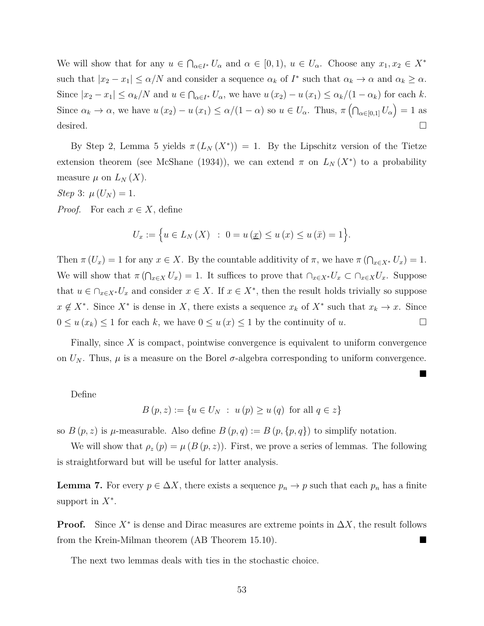We will show that for any  $u \in \bigcap_{\alpha \in I^*} U_\alpha$  and  $\alpha \in [0,1)$ ,  $u \in U_\alpha$ . Choose any  $x_1, x_2 \in X^*$ such that  $|x_2 - x_1| \le \alpha/N$  and consider a sequence  $\alpha_k$  of  $I^*$  such that  $\alpha_k \to \alpha$  and  $\alpha_k \ge \alpha$ . Since  $|x_2 - x_1| \leq \alpha_k/N$  and  $u \in \bigcap_{\alpha \in I^*} U_\alpha$ , we have  $u(x_2) - u(x_1) \leq \alpha_k/(1 - \alpha_k)$  for each k. Since  $\alpha_k \to \alpha$ , we have  $u(x_2) - u(x_1) \leq \alpha/(1-\alpha)$  so  $u \in U_\alpha$ . Thus,  $\pi\left(\bigcap_{\alpha\in[0,1]} U_\alpha\right) = 1$  as desired.  $\square$ 

By Step 2, Lemma 5 yields  $\pi(L_N(X^*)) = 1$ . By the Lipschitz version of the Tietze extension theorem (see McShane (1934)), we can extend  $\pi$  on  $L_N(X^*)$  to a probability measure  $\mu$  on  $L_N(X)$ .

*Step* 3:  $\mu(U_N) = 1$ .

*Proof.* For each  $x \in X$ , define

$$
U_x := \Big\{ u \in L_N(X) \ : \ 0 = u(\underline{x}) \le u(x) \le u(\bar{x}) = 1 \Big\}.
$$

Then  $\pi(U_x) = 1$  for any  $x \in X$ . By the countable additivity of  $\pi$ , we have  $\pi(\bigcap_{x \in X^*} U_x) = 1$ . We will show that  $\pi(\bigcap_{x\in X}U_x)=1$ . It suffices to prove that  $\bigcap_{x\in X}V_x\subset \bigcap_{x\in X}U_x$ . Suppose that  $u \in \bigcap_{x \in X^*} U_x$  and consider  $x \in X$ . If  $x \in X^*$ , then the result holds trivially so suppose  $x \notin X^*$ . Since  $X^*$  is dense in *X*, there exists a sequence  $x_k$  of  $X^*$  such that  $x_k \to x$ . Since  $0 \le u(x_k) \le 1$  for each *k*, we have  $0 \le u(x) \le 1$  by the continuity of *u*.

Finally, since *X* is compact, pointwise convergence is equivalent to uniform convergence on  $U_N$ . Thus,  $\mu$  is a measure on the Borel  $\sigma$ -algebra corresponding to uniform convergence.

 $\blacksquare$ 

Define

$$
B(p, z) := \{ u \in U_N : u(p) \ge u(q) \text{ for all } q \in z \}
$$

so  $B(p, z)$  is  $\mu$ -measurable. Also define  $B(p, q) := B(p, \{p, q\})$  to simplify notation.

We will show that  $\rho_z(p) = \mu(B(p, z))$ . First, we prove a series of lemmas. The following is straightforward but will be useful for latter analysis.

**Lemma 7.** For every  $p \in \Delta X$ , there exists a sequence  $p_n \to p$  such that each  $p_n$  has a finite support in *X*<sup>∗</sup> .

**Proof.** Since  $X^*$  is dense and Dirac measures are extreme points in  $\Delta X$ , the result follows from the Krein-Milman theorem (AB Theorem 15.10).

The next two lemmas deals with ties in the stochastic choice.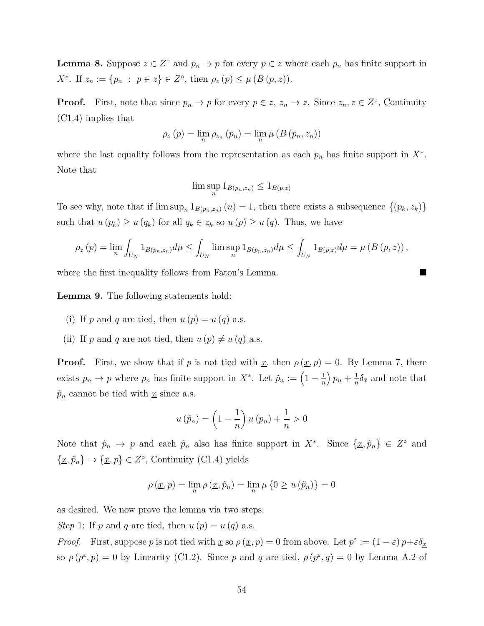**Lemma 8.** Suppose  $z \in Z^{\circ}$  and  $p_n \to p$  for every  $p \in z$  where each  $p_n$  has finite support in *X*<sup>\*</sup>. If  $z_n := \{p_n : p \in z\} \in Z^{\circ}$ , then  $\rho_z(p) \leq \mu(B(p, z))$ .

**Proof.** First, note that since  $p_n \to p$  for every  $p \in z$ ,  $z_n \to z$ . Since  $z_n, z \in Z^\circ$ , Continuity (C1.4) implies that

$$
\rho_z(p) = \lim_n \rho_{z_n}(p_n) = \lim_n \mu(B(p_n, z_n))
$$

where the last equality follows from the representation as each  $p_n$  has finite support in  $X^*$ . Note that

$$
\limsup_n 1_{B(p_n,z_n)} \leq 1_{B(p,z)}
$$

To see why, note that if  $\limsup_n 1_{B(p_n,z_n)} (u) = 1$ , then there exists a subsequence  $\{(p_k, z_k)\}$ such that  $u(p_k) \geq u(q_k)$  for all  $q_k \in z_k$  so  $u(p) \geq u(q)$ . Thus, we have

$$
\rho_z(p) = \lim_n \int_{U_N} 1_{B(p_n, z_n)} d\mu \le \int_{U_N} \limsup_n 1_{B(p_n, z_n)} d\mu \le \int_{U_N} 1_{B(p, z)} d\mu = \mu (B(p, z)),
$$

where the first inequality follows from Fatou's Lemma.

**Lemma 9.** The following statements hold:

- (i) If p and q are tied, then  $u(p) = u(q)$  a.s.
- (ii) If p and q are not tied, then  $u(p) \neq u(q)$  a.s.

**Proof.** First, we show that if *p* is not tied with <u>*x*</u>, then  $\rho(\underline{x}, p) = 0$ . By Lemma 7, there exists  $p_n \to p$  where  $p_n$  has finite support in  $X^*$ . Let  $\tilde{p}_n := \left(1 - \frac{1}{n}\right)$ *n*  $\left(p_n + \frac{1}{n}\right)$  $\frac{1}{n}\delta_{\bar{x}}$  and note that  $\tilde{p}_n$  cannot be tied with <u>*x*</u> since a.s.

$$
u\left(\tilde{p}_n\right) = \left(1 - \frac{1}{n}\right)u\left(p_n\right) + \frac{1}{n} > 0
$$

Note that  $\tilde{p}_n \to p$  and each  $\tilde{p}_n$  also has finite support in  $X^*$ . Since  $\{\underline{x}, \tilde{p}_n\} \in Z^{\circ}$  and  $\{\underline{x}, \tilde{p}_n\} \rightarrow \{\underline{x}, p\} \in Z^\circ$ , Continuity (C1.4) yields

$$
\rho\left(\underline{x},p\right) = \lim_{n} \rho\left(\underline{x},\tilde{p}_n\right) = \lim_{n} \mu\left\{0 \ge u\left(\tilde{p}_n\right)\right\} = 0
$$

as desired. We now prove the lemma via two steps.

*Step* 1: If *p* and *q* are tied, then  $u(p) = u(q)$  a.s.

*Proof.* First, suppose *p* is not tied with <u>*x*</u> so  $\rho(x, p) = 0$  from above. Let  $p^{\varepsilon} := (1 - \varepsilon) p + \varepsilon \delta_x$ so  $\rho(p^{\varepsilon}, p) = 0$  by Linearity (C1.2). Since *p* and *q* are tied,  $\rho(p^{\varepsilon}, q) = 0$  by Lemma A.2 of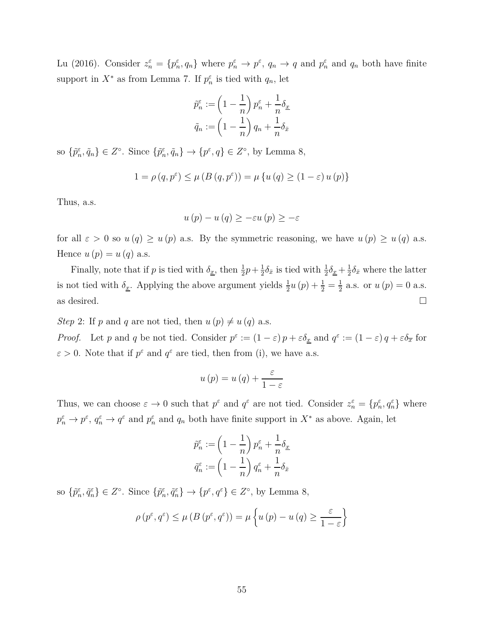Lu (2016). Consider  $z_n^{\varepsilon} = \{p_n^{\varepsilon}, q_n\}$  where  $p_n^{\varepsilon} \to p^{\varepsilon}$ ,  $q_n \to q$  and  $p_n^{\varepsilon}$  and  $q_n$  both have finite support in  $X^*$  as from Lemma 7. If  $p_n^{\varepsilon}$  is tied with  $q_n$ , let

$$
\tilde{p}_n^{\varepsilon} := \left(1 - \frac{1}{n}\right)p_n^{\varepsilon} + \frac{1}{n}\delta_{\underline{x}}
$$

$$
\tilde{q}_n := \left(1 - \frac{1}{n}\right)q_n + \frac{1}{n}\delta_{\bar{x}}
$$

so  $\{\tilde{p}_n^{\varepsilon}, \tilde{q}_n\} \in Z^{\circ}$ . Since  $\{\tilde{p}_n^{\varepsilon}, \tilde{q}_n\} \to \{p^{\varepsilon}, q\} \in Z^{\circ}$ , by Lemma 8,

$$
1 = \rho(q, p^{\varepsilon}) \le \mu(B(q, p^{\varepsilon})) = \mu\{u(q) \ge (1 - \varepsilon)u(p)\}
$$

Thus, a.s.

$$
u(p) - u(q) \geq -\varepsilon u(p) \geq -\varepsilon
$$

for all  $\varepsilon > 0$  so  $u(q) \geq u(p)$  a.s. By the symmetric reasoning, we have  $u(p) \geq u(q)$  a.s. Hence  $u(p) = u(q)$  a.s.

Finally, note that if *p* is tied with  $\delta_{\underline{x}}$ , then  $\frac{1}{2}p + \frac{1}{2}$  $\frac{1}{2}\delta_{\bar{x}}$  is tied with  $\frac{1}{2}\delta_{\underline{x}} + \frac{1}{2}$  $\frac{1}{2}\delta_{\bar{x}}$  where the latter is not tied with  $\delta_{\underline{x}}$ . Applying the above argument yields  $\frac{1}{2}u(p) + \frac{1}{2} = \frac{1}{2}$  $\frac{1}{2}$  a.s. or  $u(p) = 0$  a.s. as desired.  $\Box$ 

*Step* 2: If *p* and *q* are not tied, then  $u(p) \neq u(q)$  a.s.

*Proof.* Let *p* and *q* be not tied. Consider  $p^{\varepsilon} := (1 - \varepsilon) p + \varepsilon \delta_x$  and  $q^{\varepsilon} := (1 - \varepsilon) q + \varepsilon \delta_x$  for  $\varepsilon > 0$ . Note that if  $p^{\varepsilon}$  and  $q^{\varepsilon}$  are tied, then from (i), we have a.s.

$$
u(p) = u(q) + \frac{\varepsilon}{1 - \varepsilon}
$$

Thus, we can choose  $\varepsilon \to 0$  such that  $p^{\varepsilon}$  and  $q^{\varepsilon}$  are not tied. Consider  $z_n^{\varepsilon} = \{p_n^{\varepsilon}, q_n^{\varepsilon}\}\$  where  $p_n^{\varepsilon} \to p^{\varepsilon}$ ,  $q_n^{\varepsilon} \to q^{\varepsilon}$  and  $p_n^{\varepsilon}$  and  $q_n$  both have finite support in  $X^*$  as above. Again, let

$$
\tilde{p}_n^{\varepsilon} := \left(1 - \frac{1}{n}\right) p_n^{\varepsilon} + \frac{1}{n} \delta_{\underline{x}}
$$

$$
\tilde{q}_n^{\varepsilon} := \left(1 - \frac{1}{n}\right) q_n^{\varepsilon} + \frac{1}{n} \delta_{\bar{x}}
$$

so  $\{\tilde{p}_n^{\varepsilon}, \tilde{q}_n^{\varepsilon}\}\in Z^{\circ}$ . Since  $\{\tilde{p}_n^{\varepsilon}, \tilde{q}_n^{\varepsilon}\}\to \{p^{\varepsilon}, q^{\varepsilon}\}\in Z^{\circ}$ , by Lemma 8,

$$
\rho(p^{\varepsilon}, q^{\varepsilon}) \le \mu(B(p^{\varepsilon}, q^{\varepsilon})) = \mu\left\{u(p) - u(q) \ge \frac{\varepsilon}{1 - \varepsilon}\right\}
$$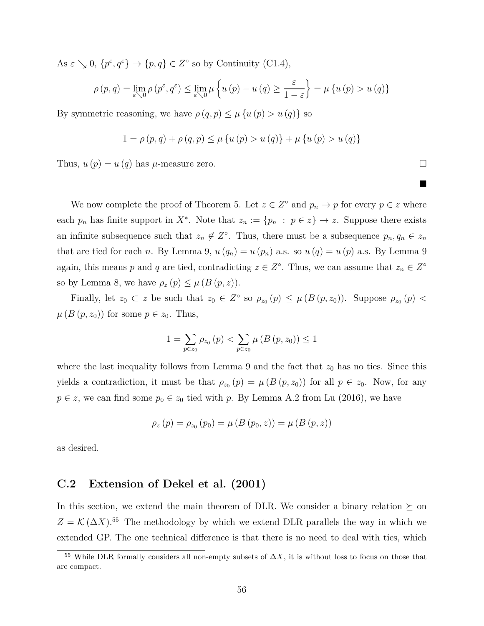As  $\varepsilon \searrow 0$ ,  $\{p^{\varepsilon}, q^{\varepsilon}\} \to \{p, q\} \in Z^{\circ}$  so by Continuity (C1.4),

$$
\rho(p,q) = \lim_{\varepsilon \searrow 0} \rho(p^{\varepsilon}, q^{\varepsilon}) \le \lim_{\varepsilon \searrow 0} \mu\left\{ u(p) - u(q) \ge \frac{\varepsilon}{1 - \varepsilon} \right\} = \mu\left\{ u(p) > u(q) \right\}
$$

By symmetric reasoning, we have  $\rho(q, p) \leq \mu \{u(p) > u(q)\}\$ so

$$
1 = \rho(p, q) + \rho(q, p) \le \mu \{ u(p) > u(q) \} + \mu \{ u(p) > u(q) \}
$$

Thus,  $u(p) = u(q)$  has  $\mu$ -measure zero.

We now complete the proof of Theorem 5. Let  $z \in Z^{\circ}$  and  $p_n \to p$  for every  $p \in z$  where each  $p_n$  has finite support in  $X^*$ . Note that  $z_n := \{p_n : p \in z\} \to z$ . Suppose there exists an infinite subsequence such that  $z_n \notin Z^{\circ}$ . Thus, there must be a subsequence  $p_n, q_n \in z_n$ that are tied for each *n*. By Lemma 9,  $u(q_n) = u(p_n)$  a.s. so  $u(q) = u(p)$  a.s. By Lemma 9 again, this means *p* and *q* are tied, contradicting  $z \in Z^{\circ}$ . Thus, we can assume that  $z_n \in Z^{\circ}$ so by Lemma 8, we have  $\rho_z(p) \leq \mu(B(p, z)).$ 

Finally, let  $z_0 \text{ }\subset z$  be such that  $z_0 \in Z^{\circ}$  so  $\rho_{z_0}(p) \leq \mu(B(p, z_0))$ . Suppose  $\rho_{z_0}(p)$  $\mu(B(p, z_0))$  for some  $p \in z_0$ . Thus,

$$
1 = \sum_{p \in z_0} \rho_{z_0}(p) < \sum_{p \in z_0} \mu\left(B\left(p, z_0\right)\right) \le 1
$$

where the last inequality follows from Lemma 9 and the fact that  $z_0$  has no ties. Since this yields a contradiction, it must be that  $\rho_{z_0}(p) = \mu(B(p, z_0))$  for all  $p \in z_0$ . Now, for any  $p \in z$ , we can find some  $p_0 \in z_0$  tied with *p*. By Lemma A.2 from Lu (2016), we have

$$
\rho_z(p) = \rho_{z_0}(p_0) = \mu(B(p_0, z)) = \mu(B(p, z))
$$

as desired.

### **C.2 Extension of Dekel et al. (2001)**

In this section, we extend the main theorem of DLR. We consider a binary relation  $\succeq$  on  $Z = K(\Delta X)$ <sup>55</sup> The methodology by which we extend DLR parallels the way in which we extended GP. The one technical difference is that there is no need to deal with ties, which

 $\blacksquare$ 

<sup>&</sup>lt;sup>55</sup> While DLR formally considers all non-empty subsets of  $\Delta X$ , it is without loss to focus on those that are compact.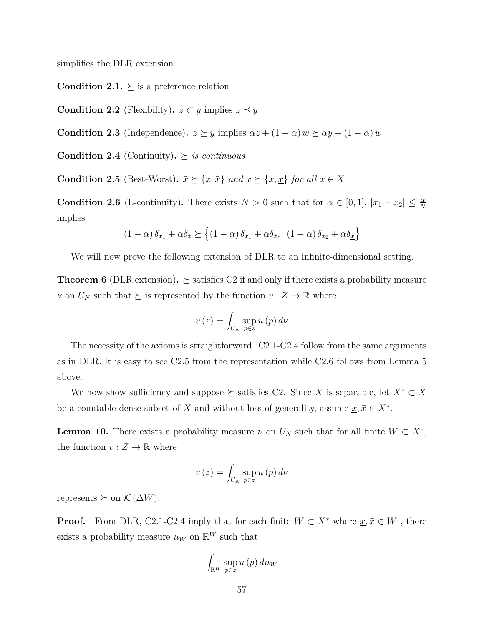simplifies the DLR extension.

**Condition 2.1.**  $\succeq$  is a preference relation

**Condition 2.2** (Flexibility).  $z \subset y$  implies  $z \preceq y$ 

**Condition 2.3** (Independence)**.**  $z \succeq y$  implies  $\alpha z + (1 - \alpha) w \succeq \alpha y + (1 - \alpha) w$ 

**Condition 2.4** (Continuity).  $\succeq$  *is continuous* 

**Condition 2.5** (Best-Worst)**.**  $\bar{x} \succeq \{x, \bar{x}\}$  *and*  $x \succeq \{x, \underline{x}\}$  *for all*  $x \in X$ 

**Condition 2.6** (L-continuity). There exists  $N > 0$  such that for  $\alpha \in [0, 1]$ ,  $|x_1 - x_2| \leq \frac{\alpha}{N}$ implies

$$
(1 - \alpha) \, \delta_{x_1} + \alpha \delta_{\bar{x}} \succeq \left\{ (1 - \alpha) \, \delta_{x_1} + \alpha \delta_{\bar{x}}, \ (1 - \alpha) \, \delta_{x_2} + \alpha \delta_{\underline{x}} \right\}
$$

We will now prove the following extension of DLR to an infinite-dimensional setting.

**Theorem 6** (DLR extension).  $\succeq$  satisfies C2 if and only if there exists a probability measure *ν* on  $U_N$  such that  $\succeq$  is represented by the function  $v : Z \to \mathbb{R}$  where

$$
v(z) = \int_{U_N} \sup_{p \in z} u(p) \, d\nu
$$

The necessity of the axioms is straightforward. C2.1-C2.4 follow from the same arguments as in DLR. It is easy to see C2.5 from the representation while C2.6 follows from Lemma 5 above.

We now show sufficiency and suppose  $\succeq$  satisfies C2. Since *X* is separable, let  $X^* \subset X$ be a countable dense subset of *X* and without loss of generality, assume  $\underline{x}, \overline{x} \in X^*$ .

**Lemma 10.** There exists a probability measure  $\nu$  on  $U_N$  such that for all finite  $W \subset X^*$ , the function  $v: Z \to \mathbb{R}$  where

$$
v(z) = \int_{U_N} \sup_{p \in z} u(p) \, d\nu
$$

represents  $\succeq$  on  $\mathcal{K}(\Delta W)$ .

**Proof.** From DLR, C2.1-C2.4 imply that for each finite  $W \subset X^*$  where  $\underline{x}, \overline{x} \in W$ , there exists a probability measure  $\mu_W$  on  $\mathbb{R}^W$  such that

$$
\int_{\mathbb{R}^W} \sup_{p \in z} u(p) \, d\mu_W
$$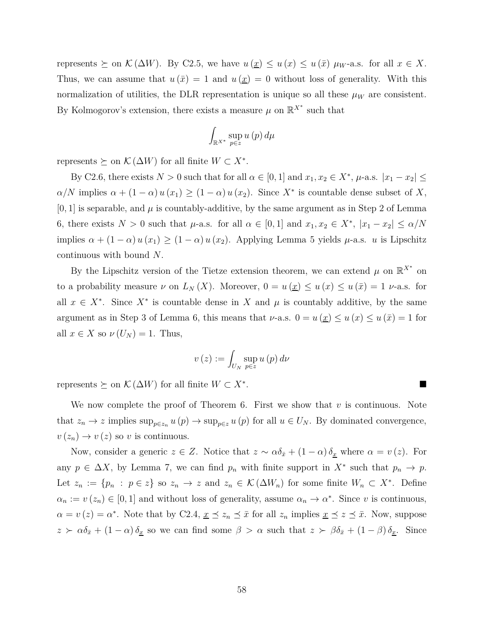represents  $\succeq$  on  $\mathcal{K}(\Delta W)$ . By C2.5, we have  $u(\underline{x}) \leq u(x) \leq u(\overline{x}) \mu_W$ -a.s. for all  $x \in X$ . Thus, we can assume that  $u(\bar{x}) = 1$  and  $u(\underline{x}) = 0$  without loss of generality. With this normalization of utilities, the DLR representation is unique so all these  $\mu_W$  are consistent. By Kolmogorov's extension, there exists a measure  $\mu$  on  $\mathbb{R}^{X^*}$  such that

$$
\int_{\mathbb{R}^{X^*}} \sup_{p \in z} u(p) \, d\mu
$$

represents  $\succeq$  on  $\mathcal{K}(\Delta W)$  for all finite  $W \subset X^*$ .

By C2.6, there exists  $N > 0$  such that for all  $\alpha \in [0, 1]$  and  $x_1, x_2 \in X^*$ ,  $\mu$ -a.s.  $|x_1 - x_2| \leq$  $\alpha/N$  implies  $\alpha + (1 - \alpha) u(x_1) \ge (1 - \alpha) u(x_2)$ . Since  $X^*$  is countable dense subset of *X*,  $[0, 1]$  is separable, and  $\mu$  is countably-additive, by the same argument as in Step 2 of Lemma 6, there exists  $N > 0$  such that  $\mu$ -a.s. for all  $\alpha \in [0,1]$  and  $x_1, x_2 \in X^*$ ,  $|x_1 - x_2| \leq \alpha/N$ implies  $\alpha + (1 - \alpha) u(x_1) \ge (1 - \alpha) u(x_2)$ . Applying Lemma 5 yields  $\mu$ -a.s. *u* is Lipschitz continuous with bound *N*.

By the Lipschitz version of the Tietze extension theorem, we can extend  $\mu$  on  $\mathbb{R}^{X^*}$  on to a probability measure  $\nu$  on  $L_N(X)$ . Moreover,  $0 = u(\underline{x}) \le u(\overline{x}) \le u(\overline{x}) = 1$   $\nu$ -a.s. for all  $x \in X^*$ . Since  $X^*$  is countable dense in X and  $\mu$  is countably additive, by the same argument as in Step 3 of Lemma 6, this means that *ν*-a.s.  $0 = u(\underline{x}) \le u(\overline{x}) = 1$  for all  $x \in X$  so  $\nu(U_N) = 1$ . Thus,

$$
v(z) := \int_{U_N} \sup_{p \in z} u(p) \, d\nu
$$

represents  $\succeq$  on  $\mathcal{K}(\Delta W)$  for all finite  $W \subset X^*$ . .

We now complete the proof of Theorem 6. First we show that *v* is continuous. Note that  $z_n \to z$  implies  $\sup_{p \in z_n} u(p) \to \sup_{p \in z} u(p)$  for all  $u \in U_N$ . By dominated convergence,  $v(z_n) \to v(z)$  so *v* is continuous.

Now, consider a generic  $z \in Z$ . Notice that  $z \sim \alpha \delta_{\bar{x}} + (1 - \alpha) \delta_{\underline{x}}$  where  $\alpha = v(z)$ . For any  $p \in \Delta X$ , by Lemma 7, we can find  $p_n$  with finite support in  $X^*$  such that  $p_n \to p$ . Let  $z_n := \{p_n : p \in z\}$  so  $z_n \to z$  and  $z_n \in \mathcal{K}(\Delta W_n)$  for some finite  $W_n \subset X^*$ . Define  $\alpha_n := v(z_n) \in [0,1]$  and without loss of generality, assume  $\alpha_n \to \alpha^*$ . Since *v* is continuous,  $\alpha = v(z) = \alpha^*$ . Note that by C2.4,  $\underline{x} \preceq z_n \preceq \overline{x}$  for all  $z_n$  implies  $\underline{x} \preceq z \preceq \overline{x}$ . Now, suppose  $z > \alpha \delta_{\bar{x}} + (1 - \alpha) \delta_{\bar{x}}$  so we can find some  $\beta > \alpha$  such that  $z > \beta \delta_{\bar{x}} + (1 - \beta) \delta_{\bar{x}}$ . Since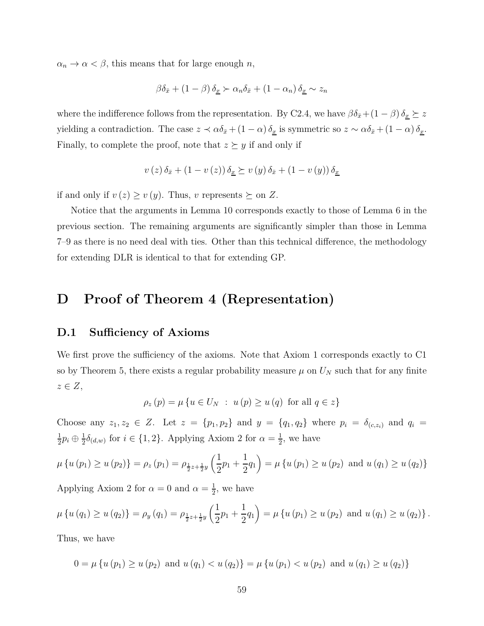$\alpha_n \to \alpha < \beta$ , this means that for large enough *n*,

$$
\beta \delta_{\bar{x}} + (1 - \beta) \delta_{\underline{x}} \succ \alpha_n \delta_{\bar{x}} + (1 - \alpha_n) \delta_{\underline{x}} \sim z_n
$$

where the indifference follows from the representation. By C2.4, we have  $\beta \delta_{\bar{x}} + (1 - \beta) \delta_{\underline{x}} \succeq z$ yielding a contradiction. The case  $z \prec \alpha \delta_{\bar{x}} + (1 - \alpha) \delta_{\underline{x}}$  is symmetric so  $z \sim \alpha \delta_{\bar{x}} + (1 - \alpha) \delta_{\underline{x}}$ . Finally, to complete the proof, note that  $z \geq y$  if and only if

$$
v(z)\,\delta_{\bar{x}} + (1 - v(z))\,\delta_{\underline{x}} \succeq v(y)\,\delta_{\bar{x}} + (1 - v(y))\,\delta_{\underline{x}}
$$

if and only if  $v(z) \ge v(y)$ . Thus, *v* represents  $\succeq$  on *Z*.

Notice that the arguments in Lemma 10 corresponds exactly to those of Lemma 6 in the previous section. The remaining arguments are significantly simpler than those in Lemma 7–9 as there is no need deal with ties. Other than this technical difference, the methodology for extending DLR is identical to that for extending GP.

### **D Proof of Theorem 4 (Representation)**

### **D.1 Sufficiency of Axioms**

We first prove the sufficiency of the axioms. Note that Axiom 1 corresponds exactly to C1 so by Theorem 5, there exists a regular probability measure  $\mu$  on  $U_N$  such that for any finite *z* ∈ *Z*,

$$
\rho_z(p) = \mu \{ u \in U_N : u(p) \ge u(q) \text{ for all } q \in z \}
$$

Choose any  $z_1, z_2 \in Z$ . Let  $z = \{p_1, p_2\}$  and  $y = \{q_1, q_2\}$  where  $p_i = \delta_{(c,z_i)}$  and  $q_i =$ 1  $\frac{1}{2}p_i \oplus \frac{1}{2}$  $\frac{1}{2}\delta_{(d,w)}$  for  $i \in \{1,2\}$ . Applying Axiom 2 for  $\alpha = \frac{1}{2}$  $\frac{1}{2}$ , we have

$$
\mu \{ u (p_1) \ge u (p_2) \} = \rho_z (p_1) = \rho_{\frac{1}{2}z + \frac{1}{2}y} \left( \frac{1}{2} p_1 + \frac{1}{2} q_1 \right) = \mu \{ u (p_1) \ge u (p_2) \text{ and } u (q_1) \ge u (q_2) \}
$$

Applying Axiom 2 for  $\alpha = 0$  and  $\alpha = \frac{1}{2}$  $\frac{1}{2}$ , we have

$$
\mu\left\{u\left(q_{1}\right)\geq u\left(q_{2}\right)\right\} = \rho_{y}\left(q_{1}\right) = \rho_{\frac{1}{2}z+\frac{1}{2}y}\left(\frac{1}{2}p_{1}+\frac{1}{2}q_{1}\right) = \mu\left\{u\left(p_{1}\right)\geq u\left(p_{2}\right) \text{ and } u\left(q_{1}\right)\geq u\left(q_{2}\right)\right\}.
$$

Thus, we have

$$
0 = \mu \{ u (p_1) \ge u (p_2) \text{ and } u (q_1) < u (q_2) \} = \mu \{ u (p_1) < u (p_2) \text{ and } u (q_1) \ge u (q_2) \}
$$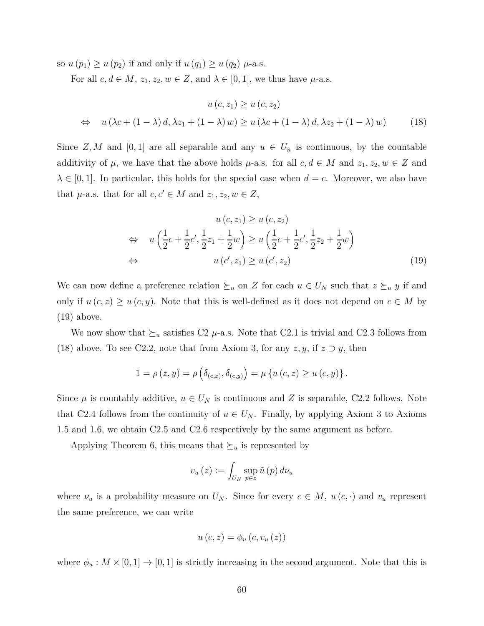so  $u(p_1) \geq u(p_2)$  if and only if  $u(q_1) \geq u(q_2)$   $\mu$ -a.s.

For all  $c, d \in M$ ,  $z_1, z_2, w \in Z$ , and  $\lambda \in [0, 1]$ , we thus have  $\mu$ -a.s.

$$
u(c, z_1) \ge u(c, z_2)
$$
  
\n
$$
\Leftrightarrow u(\lambda c + (1 - \lambda) d, \lambda z_1 + (1 - \lambda) w) \ge u(\lambda c + (1 - \lambda) d, \lambda z_2 + (1 - \lambda) w)
$$
 (18)

Since *Z, M* and [0, 1] are all separable and any  $u \in U_n$  is continuous, by the countable additivity of  $\mu$ , we have that the above holds  $\mu$ -a.s. for all  $c, d \in M$  and  $z_1, z_2, w \in Z$  and  $\lambda \in [0, 1]$ . In particular, this holds for the special case when  $d = c$ . Moreover, we also have that  $\mu$ -a.s. that for all  $c, c' \in M$  and  $z_1, z_2, w \in Z$ ,

$$
u(c, z_1) \ge u(c, z_2)
$$
  
\n
$$
\Leftrightarrow u\left(\frac{1}{2}c + \frac{1}{2}c', \frac{1}{2}z_1 + \frac{1}{2}w\right) \ge u\left(\frac{1}{2}c + \frac{1}{2}c', \frac{1}{2}z_2 + \frac{1}{2}w\right)
$$
  
\n
$$
\Leftrightarrow u(c', z_1) \ge u(c', z_2)
$$
\n(19)

We can now define a preference relation  $\succeq_u$  on *Z* for each  $u \in U_N$  such that  $z \succeq_u y$  if and only if  $u(c, z) \geq u(c, y)$ . Note that this is well-defined as it does not depend on  $c \in M$  by (19) above.

We now show that  $\succeq_u$  satisfies C2  $\mu$ -a.s. Note that C2.1 is trivial and C2.3 follows from (18) above. To see C2.2, note that from Axiom 3, for any  $z, y$ , if  $z \supset y$ , then

$$
1 = \rho(z, y) = \rho\left(\delta_{(c,z)}, \delta_{(c,y)}\right) = \mu\left\{u\left(c, z\right) \geq u\left(c, y\right)\right\}.
$$

Since  $\mu$  is countably additive,  $u \in U_N$  is continuous and Z is separable, C2.2 follows. Note that C2.4 follows from the continuity of  $u \in U_N$ . Finally, by applying Axiom 3 to Axioms 1.5 and 1.6, we obtain C2.5 and C2.6 respectively by the same argument as before.

Applying Theorem 6, this means that  $\succeq_u$  is represented by

$$
v_u(z) := \int_{U_N} \sup_{p \in z} \tilde{u}(p) d\nu_u
$$

where  $\nu_u$  is a probability measure on  $U_N$ . Since for every  $c \in M$ ,  $u(c, \cdot)$  and  $v_u$  represent the same preference, we can write

$$
u\left(c,z\right) = \phi_u\left(c,v_u\left(z\right)\right)
$$

where  $\phi_u : M \times [0,1] \to [0,1]$  is strictly increasing in the second argument. Note that this is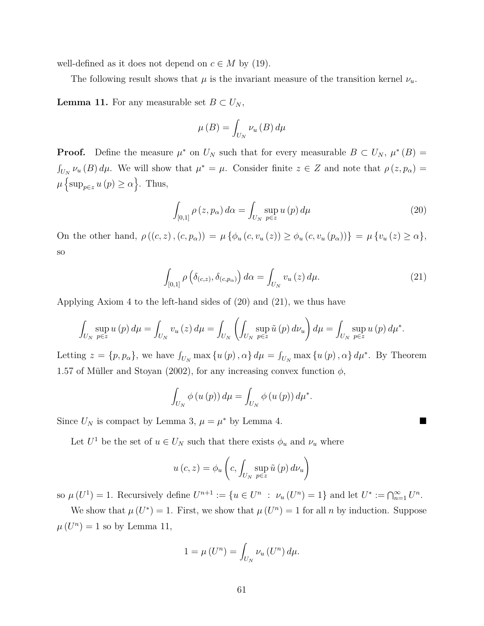well-defined as it does not depend on  $c \in M$  by (19).

The following result shows that  $\mu$  is the invariant measure of the transition kernel  $\nu_u$ .

**Lemma 11.** For any measurable set  $B \subset U_N$ ,

$$
\mu\left(B\right) = \int_{U_N} \nu_u\left(B\right) d\mu
$$

**Proof.** Define the measure  $\mu^*$  on  $U_N$  such that for every measurable  $B \subset U_N$ ,  $\mu^*(B) =$  $\int_{U_N}$   $\nu_u(B) d\mu$ . We will show that  $\mu^* = \mu$ . Consider finite  $z \in Z$  and note that  $\rho(z, p_\alpha) =$  $\mu \left\{ \sup_{p \in z} u(p) \ge \alpha \right\}$ . Thus,

$$
\int_{[0,1]} \rho(z, p_{\alpha}) d\alpha = \int_{U_N} \sup_{p \in z} u(p) d\mu \tag{20}
$$

On the other hand,  $\rho((c, z), (c, p_{\alpha})) = \mu \{ \phi_u(c, v_u(z)) \geq \phi_u(c, v_u(p_{\alpha})) \} = \mu \{ v_u(z) \geq \alpha \},\$ so

$$
\int_{[0,1]} \rho\left(\delta_{(c,z)}, \delta_{(c,p_\alpha)}\right) d\alpha = \int_{U_N} v_u\left(z\right) d\mu. \tag{21}
$$

Applying Axiom 4 to the left-hand sides of (20) and (21), we thus have

$$
\int_{U_N} \sup_{p \in z} u(p) d\mu = \int_{U_N} v_u(z) d\mu = \int_{U_N} \left( \int_{U_N} \sup_{p \in z} \tilde{u}(p) d\nu_u \right) d\mu = \int_{U_N} \sup_{p \in z} u(p) d\mu^*.
$$

Letting  $z = \{p, p_{\alpha}\}\$ , we have  $\int_{U_N} \max\{u(p), \alpha\} d\mu = \int_{U_N} \max\{u(p), \alpha\} d\mu^*$ . By Theorem 1.57 of Müller and Stoyan (2002), for any increasing convex function  $\phi$ ,

$$
\int_{U_N} \phi(u(p)) d\mu = \int_{U_N} \phi(u(p)) d\mu^*.
$$

Since  $U_N$  is compact by Lemma 3,  $\mu = \mu^*$  by Lemma 4.

Let  $U^1$  be the set of  $u \in U_N$  such that there exists  $\phi_u$  and  $\nu_u$  where

$$
u\left(c, z\right) = \phi_u\left(c, \int_{U_N} \sup_{p \in z} \tilde{u}\left(p\right) d\nu_u\right)
$$

so  $\mu(U^1) = 1$ . Recursively define  $U^{n+1} := \{u \in U^n : \nu_u(U^n) = 1\}$  and let  $U^* := \bigcap_{n=1}^{\infty} U^n$ .

We show that  $\mu(U^*) = 1$ . First, we show that  $\mu(U^n) = 1$  for all *n* by induction. Suppose  $\mu(U^n) = 1$  so by Lemma 11,

$$
1 = \mu\left(U^n\right) = \int_{U_N} \nu_u\left(U^n\right) d\mu.
$$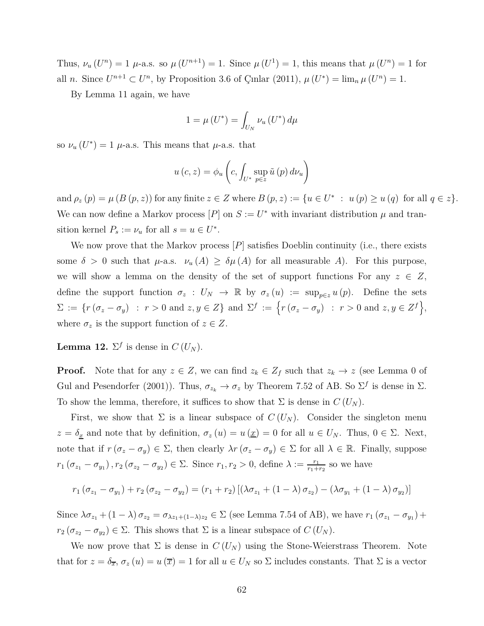Thus,  $\nu_u(U^n) = 1$   $\mu$ -a.s. so  $\mu(U^{n+1}) = 1$ . Since  $\mu(U^1) = 1$ , this means that  $\mu(U^n) = 1$  for all *n*. Since  $U^{n+1} \subset U^n$ , by Proposition 3.6 of Çınlar (2011),  $\mu(U^*) = \lim_n \mu(U^n) = 1$ .

By Lemma 11 again, we have

$$
1 = \mu\left(U^*\right) = \int_{U_N} \nu_u\left(U^*\right) d\mu
$$

so  $\nu_u(U^*) = 1$   $\mu$ -a.s. This means that  $\mu$ -a.s. that

$$
u\left(c, z\right) = \phi_u\left(c, \int_{U^*} \sup_{p \in z} \tilde{u}\left(p\right) d\nu_u\right)
$$

and  $\rho_z(p) = \mu(B(p, z))$  for any finite  $z \in Z$  where  $B(p, z) := \{u \in U^* : u(p) \ge u(q) \text{ for all } q \in z\}.$ We can now define a Markov process  $[P]$  on  $S := U^*$  with invariant distribution  $\mu$  and transition kernel  $P_s := \nu_u$  for all  $s = u \in U^*$ .

We now prove that the Markov process [*P*] satisfies Doeblin continuity (i.e., there exists some  $\delta > 0$  such that  $\mu$ -a.s.  $\nu_u(A) \geq \delta \mu(A)$  for all measurable A). For this purpose, we will show a lemma on the density of the set of support functions For any  $z \in Z$ , define the support function  $\sigma_z$ :  $U_N \to \mathbb{R}$  by  $\sigma_z(u) := \sup_{p \in z} u(p)$ . Define the sets  $\Sigma := \{r(\sigma_z - \sigma_y) : r > 0 \text{ and } z, y \in Z\} \text{ and } \Sigma^f := \{r(\sigma_z - \sigma_y) : r > 0 \text{ and } z, y \in Z^f\},\}$ where  $\sigma_z$  is the support function of  $z \in Z$ .

**Lemma 12.**  $\Sigma^f$  is dense in  $C(U_N)$ .

**Proof.** Note that for any  $z \in Z$ , we can find  $z_k \in Z_f$  such that  $z_k \to z$  (see Lemma 0 of Gul and Pesendorfer (2001)). Thus,  $\sigma_{z_k} \to \sigma_z$  by Theorem 7.52 of AB. So  $\Sigma^f$  is dense in  $\Sigma$ . To show the lemma, therefore, it suffices to show that  $\Sigma$  is dense in  $C(U_N)$ .

First, we show that  $\Sigma$  is a linear subspace of  $C(U_N)$ . Consider the singleton menu  $z = \delta_{\underline{x}}$  and note that by definition,  $\sigma_z(u) = u(\underline{x}) = 0$  for all  $u \in U_N$ . Thus,  $0 \in \Sigma$ . Next, note that if  $r(\sigma_z - \sigma_y) \in \Sigma$ , then clearly  $\lambda r(\sigma_z - \sigma_y) \in \Sigma$  for all  $\lambda \in \mathbb{R}$ . Finally, suppose  $r_1(\sigma_{z_1} - \sigma_{y_1}), r_2(\sigma_{z_2} - \sigma_{y_2}) \in \Sigma$ . Since  $r_1, r_2 > 0$ , define  $\lambda := \frac{r_1}{r_1 + r_2}$  so we have

$$
r_1 (\sigma_{z_1} - \sigma_{y_1}) + r_2 (\sigma_{z_2} - \sigma_{y_2}) = (r_1 + r_2) [(\lambda \sigma_{z_1} + (1 - \lambda) \sigma_{z_2}) - (\lambda \sigma_{y_1} + (1 - \lambda) \sigma_{y_2})]
$$

Since  $\lambda \sigma_{z_1} + (1 - \lambda) \sigma_{z_2} = \sigma_{\lambda z_1 + (1 - \lambda)z_2} \in \Sigma$  (see Lemma 7.54 of AB), we have  $r_1 (\sigma_{z_1} - \sigma_{y_1}) +$  $r_2$  ( $\sigma_{z_2} - \sigma_{y_2}$ )  $\in \Sigma$ . This shows that  $\Sigma$  is a linear subspace of  $C(U_N)$ .

We now prove that  $\Sigma$  is dense in  $C(U_N)$  using the Stone-Weierstrass Theorem. Note that for  $z = \delta_{\overline{x}}$ ,  $\sigma_z(u) = u(\overline{x}) = 1$  for all  $u \in U_N$  so  $\Sigma$  includes constants. That  $\Sigma$  is a vector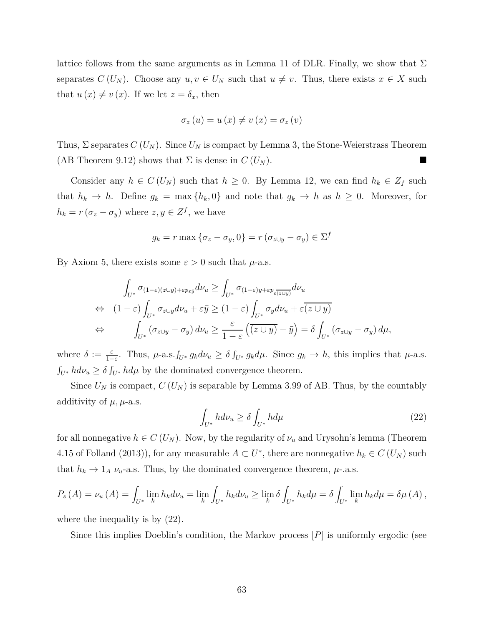lattice follows from the same arguments as in Lemma 11 of DLR. Finally, we show that  $\Sigma$ separates  $C(U_N)$ . Choose any  $u, v \in U_N$  such that  $u \neq v$ . Thus, there exists  $x \in X$  such that  $u(x) \neq v(x)$ . If we let  $z = \delta_x$ , then

$$
\sigma_z(u) = u(x) \neq v(x) = \sigma_z(v)
$$

Thus,  $\Sigma$  separates  $C(U_N)$ . Since  $U_N$  is compact by Lemma 3, the Stone-Weierstrass Theorem (AB Theorem 9.12) shows that  $\Sigma$  is dense in  $C(U_N)$ .

Consider any  $h \in C(U_N)$  such that  $h \geq 0$ . By Lemma 12, we can find  $h_k \in Z_f$  such that  $h_k \to h$ . Define  $g_k = \max\{h_k, 0\}$  and note that  $g_k \to h$  as  $h \geq 0$ . Moreover, for  $h_k = r(\sigma_z - \sigma_y)$  where  $z, y \in Z^f$ , we have

$$
g_k = r \max \{ \sigma_z - \sigma_y, 0 \} = r \left( \sigma_{z \cup y} - \sigma_y \right) \in \Sigma^f
$$

By Axiom 5, there exists some  $\varepsilon > 0$  such that  $\mu$ -a.s.

$$
\int_{U^*} \sigma_{(1-\varepsilon)(z\cup y)+\varepsilon p_{\varepsilon \bar{y}}} d\nu_u \ge \int_{U^*} \sigma_{(1-\varepsilon)y+\varepsilon p_{\varepsilon}} d\nu_u
$$
\n
$$
\Leftrightarrow (1-\varepsilon) \int_{U^*} \sigma_{z\cup y} d\nu_u + \varepsilon \bar{y} \ge (1-\varepsilon) \int_{U^*} \sigma_y d\nu_u + \varepsilon \bar{(z\cup y)}
$$
\n
$$
\Leftrightarrow \qquad \int_{U^*} (\sigma_{z\cup y} - \sigma_y) d\nu_u \ge \frac{\varepsilon}{1-\varepsilon} \left( \bar{(z\cup y)} - \bar{y} \right) = \delta \int_{U^*} (\sigma_{z\cup y} - \sigma_y) d\mu,
$$

where  $\delta := \frac{\varepsilon}{1-\varepsilon}$ . Thus,  $\mu$ -a.s. $\int_{U^*} g_k d\nu_u \ge \delta \int_{U^*} g_k d\mu$ . Since  $g_k \to h$ , this implies that  $\mu$ -a.s.  $\int_{U^*} h d\nu_u \ge \delta \int_{U^*} h d\mu$  by the dominated convergence theorem.

Since  $U_N$  is compact,  $C(U_N)$  is separable by Lemma 3.99 of AB. Thus, by the countably additivity of  $\mu$ ,  $\mu$ -a.s.

$$
\int_{U^*} h d\nu_u \ge \delta \int_{U^*} h d\mu \tag{22}
$$

for all nonnegative  $h \in C(U_N)$ . Now, by the regularity of  $\nu_u$  and Urysohn's lemma (Theorem 4.15 of Folland (2013)), for any measurable  $A \subset U^*$ , there are nonnegative  $h_k \in C(U_N)$  such that  $h_k \to 1_A \nu_u$ -a.s. Thus, by the dominated convergence theorem,  $\mu$ -.a.s.

$$
P_s(A) = \nu_u(A) = \int_{U^*} \lim_k h_k d\nu_u = \lim_k \int_{U^*} h_k d\nu_u \ge \lim_k \delta \int_{U^*} h_k d\mu = \delta \int_{U^*} \lim_k h_k d\mu = \delta \mu(A),
$$

where the inequality is by (22).

Since this implies Doeblin's condition, the Markov process [*P*] is uniformly ergodic (see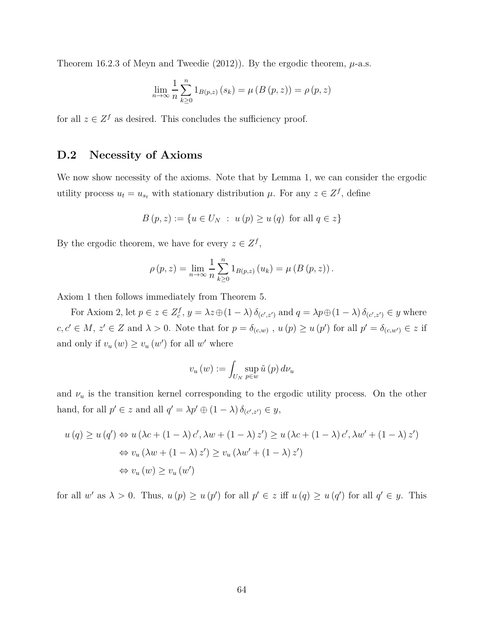Theorem 16.2.3 of Meyn and Tweedie  $(2012)$ ). By the ergodic theorem,  $\mu$ -a.s.

$$
\lim_{n \to \infty} \frac{1}{n} \sum_{k \ge 0}^{n} 1_{B(p,z)}(s_k) = \mu(B(p,z)) = \rho(p,z)
$$

for all  $z \in \mathbb{Z}^f$  as desired. This concludes the sufficiency proof.

### **D.2 Necessity of Axioms**

We now show necessity of the axioms. Note that by Lemma 1, we can consider the ergodic utility process  $u_t = u_{s_t}$  with stationary distribution  $\mu$ . For any  $z \in \mathbb{Z}^f$ , define

$$
B(p, z) := \{ u \in U_N : u(p) \ge u(q) \text{ for all } q \in z \}
$$

By the ergodic theorem, we have for every  $z \in Z^f$ ,

$$
\rho(p, z) = \lim_{n \to \infty} \frac{1}{n} \sum_{k \geq 0}^{n} 1_{B(p, z)} (u_k) = \mu (B (p, z)).
$$

Axiom 1 then follows immediately from Theorem 5.

For Axiom 2, let  $p \in z \in Z_c^f$ ,  $y = \lambda z \oplus (1 - \lambda) \delta_{(c',z')}$  and  $q = \lambda p \oplus (1 - \lambda) \delta_{(c',z')} \in y$  where  $c, c' \in M$ ,  $z' \in Z$  and  $\lambda > 0$ . Note that for  $p = \delta_{(c,w)}$ ,  $u(p) \ge u(p')$  for all  $p' = \delta_{(c,w')} \in z$  if and only if  $v_u(w) \ge v_u(w')$  for all w' where

$$
v_u(w) := \int_{U_N} \sup_{p \in w} \tilde{u}(p) d\nu_u
$$

and  $\nu_u$  is the transition kernel corresponding to the ergodic utility process. On the other hand, for all  $p' \in z$  and all  $q' = \lambda p' \oplus (1 - \lambda) \delta_{(c', z')} \in y$ ,

$$
u(q) \ge u(q') \Leftrightarrow u(\lambda c + (1 - \lambda) c', \lambda w + (1 - \lambda) z') \ge u(\lambda c + (1 - \lambda) c', \lambda w' + (1 - \lambda) z')
$$
  

$$
\Leftrightarrow v_u (\lambda w + (1 - \lambda) z') \ge v_u (\lambda w' + (1 - \lambda) z')
$$
  

$$
\Leftrightarrow v_u (w) \ge v_u (w')
$$

for all w' as  $\lambda > 0$ . Thus,  $u(p) \ge u(p')$  for all  $p' \in z$  iff  $u(q) \ge u(q')$  for all  $q' \in y$ . This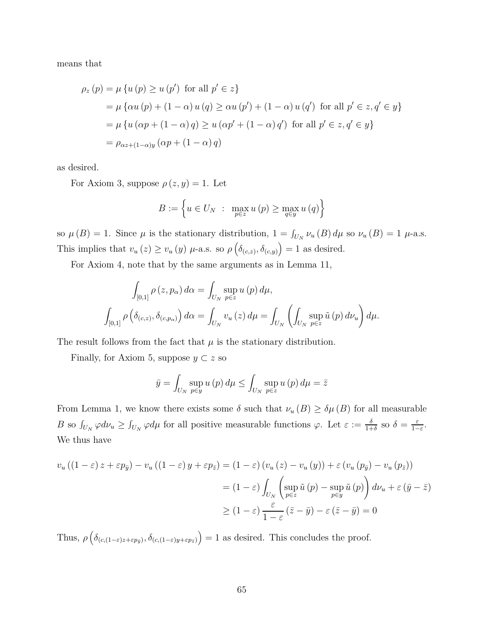means that

$$
\rho_z(p) = \mu \{ u(p) \ge u(p') \text{ for all } p' \in z \}
$$
  
=  $\mu \{ \alpha u(p) + (1 - \alpha) u(q) \ge \alpha u(p') + (1 - \alpha) u(q') \text{ for all } p' \in z, q' \in y \}$   
=  $\mu \{ u(\alpha p + (1 - \alpha) q) \ge u(\alpha p' + (1 - \alpha) q') \text{ for all } p' \in z, q' \in y \}$   
=  $\rho_{\alpha z + (1 - \alpha)y} (\alpha p + (1 - \alpha) q)$ 

as desired.

For Axiom 3, suppose  $\rho(z, y) = 1$ . Let

$$
B := \left\{ u \in U_N \; : \; \max_{p \in z} u(p) \ge \max_{q \in y} u(q) \right\}
$$

so  $\mu(B) = 1$ . Since  $\mu$  is the stationary distribution,  $1 = \int_{U_N} \nu_u(B) d\mu$  so  $\nu_u(B) = 1$   $\mu$ -a.s. This implies that  $v_u(z) \ge v_u(y)$   $\mu$ -a.s. so  $\rho\left(\delta_{(c,z)}, \delta_{(c,y)}\right) = 1$  as desired.

For Axiom 4, note that by the same arguments as in Lemma 11,

$$
\int_{[0,1]} \rho(z, p_{\alpha}) d\alpha = \int_{U_N} \sup_{p \in z} u(p) d\mu,
$$
  

$$
\int_{[0,1]} \rho(\delta_{(c,z)}, \delta_{(c,p_{\alpha})}) d\alpha = \int_{U_N} v_u(z) d\mu = \int_{U_N} \left( \int_{U_N} \sup_{p \in z} \tilde{u}(p) d\nu_u \right) d\mu.
$$

The result follows from the fact that  $\mu$  is the stationary distribution.

Finally, for Axiom 5, suppose  $y \subset z$  so

$$
\bar{y} = \int_{U_N} \sup_{p \in y} u(p) d\mu \le \int_{U_N} \sup_{p \in z} u(p) d\mu = \bar{z}
$$

From Lemma 1, we know there exists some  $\delta$  such that  $\nu_u(B) \geq \delta \mu(B)$  for all measurable *B* so  $\int_{U_N} \varphi d\nu_u \ge \int_{U_N} \varphi d\mu$  for all positive measurable functions  $\varphi$ . Let  $\varepsilon := \frac{\delta}{1+\delta}$  so  $\delta = \frac{\varepsilon}{1-\delta}$  $\frac{\varepsilon}{1-\varepsilon}$ . We thus have

$$
v_u ((1 - \varepsilon) z + \varepsilon p_{\bar{y}}) - v_u ((1 - \varepsilon) y + \varepsilon p_{\bar{z}}) = (1 - \varepsilon) (v_u (z) - v_u (y)) + \varepsilon (v_u (p_{\bar{y}}) - v_u (p_{\bar{z}}))
$$
  

$$
= (1 - \varepsilon) \int_{U_N} \left( \sup_{p \in z} \tilde{u}(p) - \sup_{p \in y} \tilde{u}(p) \right) d\nu_u + \varepsilon (\bar{y} - \bar{z})
$$
  

$$
\geq (1 - \varepsilon) \frac{\varepsilon}{1 - \varepsilon} (\bar{z} - \bar{y}) - \varepsilon (\bar{z} - \bar{y}) = 0
$$

Thus,  $\rho\left(\delta_{(c,(1-\varepsilon)z+\varepsilon p_{\bar{y}})}, \delta_{(c,(1-\varepsilon)y+\varepsilon p_{\bar{z}})}\right) = 1$  as desired. This concludes the proof.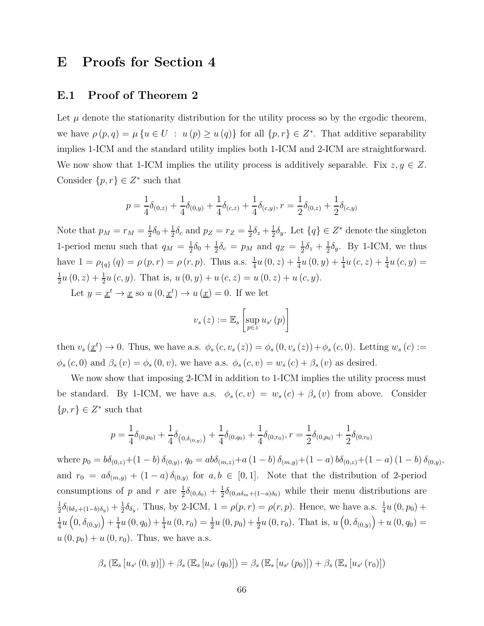# **E Proofs for Section 4**

#### **E.1 Proof of Theorem 2**

Let  $\mu$  denote the stationarity distribution for the utility process so by the ergodic theorem, we have  $\rho(p,q) = \mu \{ u \in U : u(p) \geq u(q) \}$  for all  $\{p,r\} \in Z^*$ . That additive separability implies 1-ICM and the standard utility implies both 1-ICM and 2-ICM are straightforward. We now show that 1-ICM implies the utility process is additively separable. Fix  $z, y \in Z$ . Consider  $\{p, r\} \in Z^*$  such that

$$
p = \frac{1}{4}\delta_{(0,z)} + \frac{1}{4}\delta_{(0,y)} + \frac{1}{4}\delta_{(c,z)} + \frac{1}{4}\delta_{(c,y)}, r = \frac{1}{2}\delta_{(0,z)} + \frac{1}{2}\delta_{(c,y)}
$$

Note that  $p_M = r_M = \frac{1}{2}$  $rac{1}{2}\delta_0 + \frac{1}{2}$  $\frac{1}{2}\delta_c$  and  $p_Z = r_Z = \frac{1}{2}$  $\frac{1}{2}\delta_z + \frac{1}{2}$  $\frac{1}{2}\delta_y$ . Let  $\{q\} \in Z^*$  denote the singleton 1-period menu such that  $q_M = \frac{1}{2}$  $rac{1}{2}\delta_0 + \frac{1}{2}$  $\frac{1}{2}\delta_c = p_M$  and  $q_Z = \frac{1}{2}$  $\frac{1}{2}\delta_z + \frac{1}{2}$  $\frac{1}{2}\delta_y$ . By 1-ICM, we thus have  $1 = \rho_{\{q\}}(q) = \rho(p, r) = \rho(r, p)$ . Thus a.s.  $\frac{1}{4}u(0, z) + \frac{1}{4}u(0, y) + \frac{1}{4}u(c, z) + \frac{1}{4}u(c, y) =$ 1  $\frac{1}{2}u(0, z) + \frac{1}{2}u(c, y)$ . That is,  $u(0, y) + u(c, z) = u(0, z) + u(c, y)$ .

Let  $y = \underline{x}^t \to \underline{x}$  so  $u(0, \underline{x}^t) \to u(\underline{x}) = 0$ . If we let

$$
v_s(z) := \mathbb{E}_s \left[ \sup_{p \in z} u_{s'}(p) \right]
$$

then  $v_s(\underline{x}^t) \to 0$ . Thus, we have a.s.  $\phi_s(c, v_s(z)) = \phi_s(0, v_s(z)) + \phi_s(c, 0)$ . Letting  $w_s(c) :=$  $\phi_s(c, 0)$  and  $\beta_s(v) = \phi_s(0, v)$ , we have a.s.  $\phi_s(c, v) = w_s(c) + \beta_s(v)$  as desired.

We now show that imposing 2-ICM in addition to 1-ICM implies the utility process must be standard. By 1-ICM, we have a.s.  $\phi_s(c, v) = w_s(c) + \beta_s(v)$  from above. Consider  $\{p, r\} \in Z^*$  such that

$$
p = \frac{1}{4}\delta_{(0,p_0)} + \frac{1}{4}\delta_{(0,\delta_{(0,y)})} + \frac{1}{4}\delta_{(0,q_0)} + \frac{1}{4}\delta_{(0,r_0)}, r = \frac{1}{2}\delta_{(0,p_0)} + \frac{1}{2}\delta_{(0,r_0)}
$$

where  $p_0 = b\delta_{(0,z)} + (1-b)\delta_{(0,y)}, q_0 = ab\delta_{(m,z)} + a(1-b)\delta_{(m,y)} + (1-a)b\delta_{(0,z)} + (1-a)(1-b)\delta_{(0,y)},$ and  $r_0 = a\delta_{(m,y)} + (1-a)\delta_{(0,y)}$  for  $a, b \in [0,1]$ . Note that the distribution of 2-period consumptions of *p* and *r* are  $\frac{1}{2}\delta_{(0,\delta_0)} + \frac{1}{2}$  $\frac{1}{2}\delta_{(0, a\delta_m + (1-a)\delta_0)}$  while their menu distributions are 1  $\frac{1}{2}\delta_{(b\delta_z + (1-b)\delta_y)} + \frac{1}{2}$  $\frac{1}{2}\delta_{\delta_y}$ . Thus, by 2-ICM,  $1 = \rho(p, r) = \rho(r, p)$ . Hence, we have a.s.  $\frac{1}{4}u(0, p_0) +$ 1  $\frac{1}{4}u(0, \delta_{(0,y)}) + \frac{1}{4}$  $\frac{1}{4}u(0, q_0) + \frac{1}{4}u(0, r_0) = \frac{1}{2}u(0, p_0) + \frac{1}{2}u(0, r_0)$ . That is,  $u(0, \delta_{(0,y)}) + u(0, q_0) =$  $u(0, p_0) + u(0, r_0)$ . Thus, we have a.s.

$$
\beta_{s}\left(\mathbb{E}_{s}\left[u_{s'}\left(0,y\right)\right]\right)+\beta_{s}\left(\mathbb{E}_{s}\left[u_{s'}\left(q_{0}\right)\right]\right)=\beta_{s}\left(\mathbb{E}_{s}\left[u_{s'}\left(p_{0}\right)\right]\right)+\beta_{s}\left(\mathbb{E}_{s}\left[u_{s'}\left(r_{0}\right)\right]\right)
$$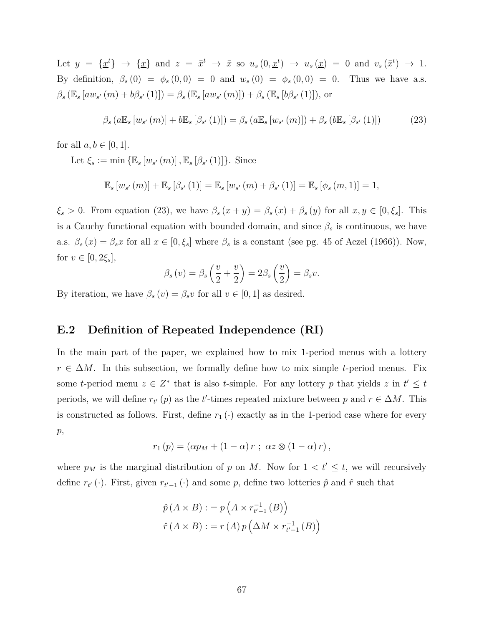Let  $y = {\{\underline{x}^t\}} \to {\{\underline{x}\}}$  and  $z = {\bar{x}^t} \to {\bar{x}}$  so  $u_s(0, {\underline{x}^t}) \to u_s({\underline{x}}) = 0$  and  $v_s({\bar{x}^t}) \to 1$ . By definition,  $\beta_s(0) = \phi_s(0,0) = 0$  and  $w_s(0) = \phi_s(0,0) = 0$ . Thus we have a.s.  $\beta_s (\mathbb{E}_s \left[ aw_{s'}(m) + b\beta_{s'}(1) \right]) = \beta_s (\mathbb{E}_s \left[ aw_{s'}(m) \right]) + \beta_s (\mathbb{E}_s \left[ b\beta_{s'}(1) \right])$ , or

$$
\beta_{s} \left( a \mathbb{E}_{s} \left[ w_{s'} \left( m \right) \right] + b \mathbb{E}_{s} \left[ \beta_{s'} \left( 1 \right) \right] \right) = \beta_{s} \left( a \mathbb{E}_{s} \left[ w_{s'} \left( m \right) \right] \right) + \beta_{s} \left( b \mathbb{E}_{s} \left[ \beta_{s'} \left( 1 \right) \right] \right) \tag{23}
$$

for all  $a, b \in [0, 1]$ .

Let  $\xi_s := \min \{ \mathbb{E}_s [w_{s'}(m)], \mathbb{E}_s [\beta_{s'}(1)] \}$ . Since

$$
\mathbb{E}_{s}\left[w_{s'}\left(m\right)\right]+\mathbb{E}_{s}\left[\beta_{s'}\left(1\right)\right]=\mathbb{E}_{s}\left[w_{s'}\left(m\right)+\beta_{s'}\left(1\right)\right]=\mathbb{E}_{s}\left[\phi_{s}\left(m,1\right)\right]=1,
$$

 $\xi_s > 0$ . From equation (23), we have  $\beta_s(x + y) = \beta_s(x) + \beta_s(y)$  for all  $x, y \in [0, \xi_s]$ . This is a Cauchy functional equation with bounded domain, and since  $\beta_s$  is continuous, we have a.s.  $\beta_s(x) = \beta_s x$  for all  $x \in [0, \xi_s]$  where  $\beta_s$  is a constant (see pg. 45 of Aczel (1966)). Now, for  $v \in [0, 2\xi_s]$ ,

$$
\beta_s(v) = \beta_s\left(\frac{v}{2} + \frac{v}{2}\right) = 2\beta_s\left(\frac{v}{2}\right) = \beta_s v.
$$

By iteration, we have  $\beta_s(v) = \beta_s v$  for all  $v \in [0, 1]$  as desired.

### **E.2 Definition of Repeated Independence (RI)**

In the main part of the paper, we explained how to mix 1-period menus with a lottery  $r \in \Delta M$ . In this subsection, we formally define how to mix simple *t*-period menus. Fix some *t*-period menu  $z \in Z^*$  that is also *t*-simple. For any lottery *p* that yields  $z$  in  $t' \leq t$ periods, we will define  $r_{t'}(p)$  as the *t*'-times repeated mixture between *p* and  $r \in \Delta M$ . This is constructed as follows. First, define  $r_1(\cdot)$  exactly as in the 1-period case where for every *p*,

$$
r_1(p) = (\alpha p_M + (1 - \alpha) r ; \alpha z \otimes (1 - \alpha) r),
$$

where  $p_M$  is the marginal distribution of p on M. Now for  $1 < t' \leq t$ , we will recursively define  $r_{t'}(\cdot)$ . First, given  $r_{t'-1}(\cdot)$  and some p, define two lotteries  $\hat{p}$  and  $\hat{r}$  such that

$$
\hat{p}(A \times B) := p(A \times r_{t'-1}^{-1}(B))
$$

$$
\hat{r}(A \times B) := r(A) p(\Delta M \times r_{t'-1}^{-1}(B))
$$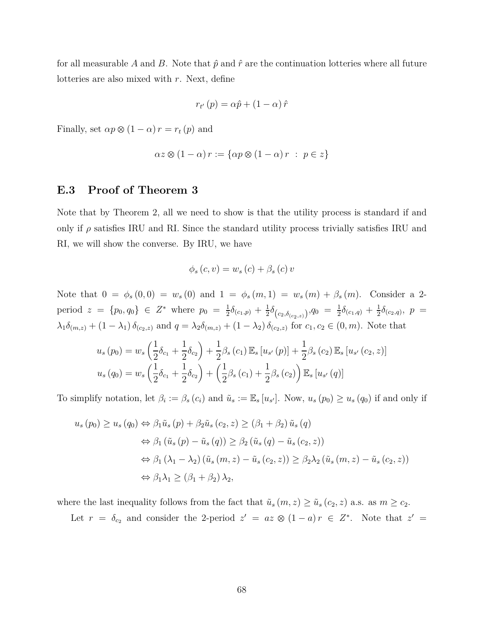for all measurable A and B. Note that  $\hat{p}$  and  $\hat{r}$  are the continuation lotteries where all future lotteries are also mixed with *r*. Next, define

$$
r_{t'}(p) = \alpha \hat{p} + (1 - \alpha) \hat{r}
$$

Finally, set  $\alpha p \otimes (1 - \alpha) r = r_t(p)$  and

$$
\alpha z \otimes (1 - \alpha) r := \{ \alpha p \otimes (1 - \alpha) r : p \in z \}
$$

#### **E.3 Proof of Theorem 3**

Note that by Theorem 2, all we need to show is that the utility process is standard if and only if  $\rho$  satisfies IRU and RI. Since the standard utility process trivially satisfies IRU and RI, we will show the converse. By IRU, we have

$$
\phi_s(c, v) = w_s(c) + \beta_s(c) v
$$

Note that  $0 = \phi_s(0,0) = w_s(0)$  and  $1 = \phi_s(m,1) = w_s(m) + \beta_s(m)$ . Consider a 2period  $z = \{p_0, q_0\} \in Z^*$  where  $p_0 = \frac{1}{2}$  $\frac{1}{2}\delta_{(c_1,p)}+\frac{1}{2}$  $\frac{1}{2}\delta_{\left(c_2,\delta_{(c_2,z)}\right)},q_0 = \frac{1}{2}$  $\frac{1}{2}\delta_{(c_1,q)} + \frac{1}{2}$  $\frac{1}{2}\delta_{(c_2,q)}, \, p =$  $\lambda_1 \delta_{(m,z)} + (1 - \lambda_1) \delta_{(c_2,z)}$  and  $q = \lambda_2 \delta_{(m,z)} + (1 - \lambda_2) \delta_{(c_2,z)}$  for  $c_1, c_2 \in (0, m)$ . Note that

$$
u_s(p_0) = w_s \left(\frac{1}{2}\delta_{c_1} + \frac{1}{2}\delta_{c_2}\right) + \frac{1}{2}\beta_s (c_1) \mathbb{E}_s [u_{s'}(p)] + \frac{1}{2}\beta_s (c_2) \mathbb{E}_s [u_{s'}(c_2, z)]
$$
  

$$
u_s(q_0) = w_s \left(\frac{1}{2}\delta_{c_1} + \frac{1}{2}\delta_{c_2}\right) + \left(\frac{1}{2}\beta_s (c_1) + \frac{1}{2}\beta_s (c_2)\right) \mathbb{E}_s [u_{s'}(q)]
$$

To simplify notation, let  $\beta_i := \beta_s(c_i)$  and  $\tilde{u}_s := \mathbb{E}_s[u_{s'}]$ . Now,  $u_s(p_0) \ge u_s(q_0)$  if and only if

$$
u_s(p_0) \ge u_s(q_0) \Leftrightarrow \beta_1 \tilde{u}_s(p) + \beta_2 \tilde{u}_s(c_2, z) \ge (\beta_1 + \beta_2) \tilde{u}_s(q)
$$
  
\n
$$
\Leftrightarrow \beta_1 (\tilde{u}_s(p) - \tilde{u}_s(q)) \ge \beta_2 (\tilde{u}_s(q) - \tilde{u}_s(c_2, z))
$$
  
\n
$$
\Leftrightarrow \beta_1 (\lambda_1 - \lambda_2) (\tilde{u}_s(m, z) - \tilde{u}_s(c_2, z)) \ge \beta_2 \lambda_2 (\tilde{u}_s(m, z) - \tilde{u}_s(c_2, z))
$$
  
\n
$$
\Leftrightarrow \beta_1 \lambda_1 \ge (\beta_1 + \beta_2) \lambda_2,
$$

where the last inequality follows from the fact that  $\tilde{u}_s(m, z) \geq \tilde{u}_s(c_2, z)$  a.s. as  $m \geq c_2$ .

Let  $r = \delta_{c_2}$  and consider the 2-period  $z' = az \otimes (1-a)r \in Z^*$ . Note that  $z' = z$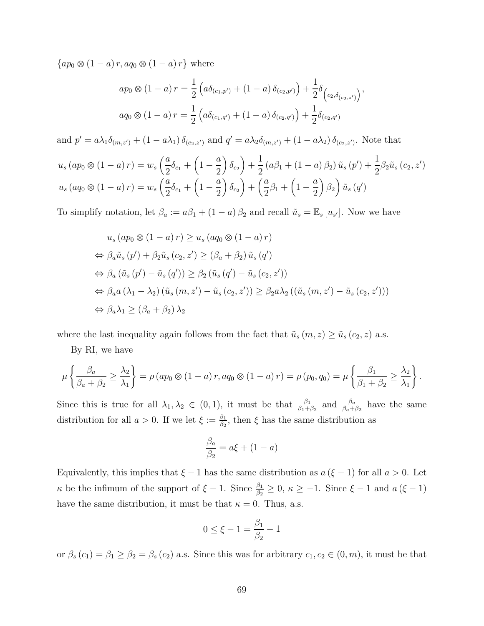$\{ap_0 \otimes (1-a) r, aq_0 \otimes (1-a) r\}$  where

$$
ap_0 \otimes (1 - a) r = \frac{1}{2} \left( a \delta_{(c_1, p')} + (1 - a) \delta_{(c_2, p')} \right) + \frac{1}{2} \delta_{(c_2, \delta_{(c_2, z')}}),
$$
  

$$
aq_0 \otimes (1 - a) r = \frac{1}{2} \left( a \delta_{(c_1, q')} + (1 - a) \delta_{(c_2, q')} \right) + \frac{1}{2} \delta_{(c_2, q')}
$$

and  $p' = a\lambda_1\delta_{(m,z')} + (1 - a\lambda_1)\delta_{(c_2,z')}$  and  $q' = a\lambda_2\delta_{(m,z')} + (1 - a\lambda_2)\delta_{(c_2,z')}$ . Note that

$$
u_s (ap_0 \otimes (1-a) r) = w_s \left(\frac{a}{2} \delta_{c_1} + \left(1 - \frac{a}{2}\right) \delta_{c_2}\right) + \frac{1}{2} \left(a\beta_1 + (1-a)\beta_2\right) \tilde{u}_s (p') + \frac{1}{2} \beta_2 \tilde{u}_s (c_2, z')
$$
  

$$
u_s (aq_0 \otimes (1-a) r) = w_s \left(\frac{a}{2} \delta_{c_1} + \left(1 - \frac{a}{2}\right) \delta_{c_2}\right) + \left(\frac{a}{2} \beta_1 + \left(1 - \frac{a}{2}\right) \beta_2\right) \tilde{u}_s (q')
$$

To simplify notation, let  $\beta_a := a\beta_1 + (1 - a)\beta_2$  and recall  $\tilde{u}_s = \mathbb{E}_s[u_{s'}]$ . Now we have

$$
u_s (ap_0 \otimes (1 - a) r) \ge u_s (aq_0 \otimes (1 - a) r)
$$
  
\n
$$
\Leftrightarrow \beta_a \tilde{u}_s (p') + \beta_2 \tilde{u}_s (c_2, z') \ge (\beta_a + \beta_2) \tilde{u}_s (q')
$$
  
\n
$$
\Leftrightarrow \beta_a (\tilde{u}_s (p') - \tilde{u}_s (q')) \ge \beta_2 (\tilde{u}_s (q') - \tilde{u}_s (c_2, z'))
$$
  
\n
$$
\Leftrightarrow \beta_a a (\lambda_1 - \lambda_2) (\tilde{u}_s (m, z') - \tilde{u}_s (c_2, z')) \ge \beta_2 a \lambda_2 ((\tilde{u}_s (m, z') - \tilde{u}_s (c_2, z')))
$$
  
\n
$$
\Leftrightarrow \beta_a \lambda_1 \ge (\beta_a + \beta_2) \lambda_2
$$

where the last inequality again follows from the fact that  $\tilde{u}_s(m, z) \ge \tilde{u}_s(c_2, z)$  a.s.

By RI, we have

$$
\mu\left\{\frac{\beta_a}{\beta_a+\beta_2} \ge \frac{\lambda_2}{\lambda_1}\right\} = \rho\left(ap_0 \otimes (1-a)r, aq_0 \otimes (1-a)r\right) = \rho\left(p_0, q_0\right) = \mu\left\{\frac{\beta_1}{\beta_1+\beta_2} \ge \frac{\lambda_2}{\lambda_1}\right\}.
$$

Since this is true for all  $\lambda_1, \lambda_2 \in (0, 1)$ , it must be that  $\frac{\beta_1}{\beta_1 + \beta_2}$  and  $\frac{\beta_a}{\beta_a + \beta_2}$  have the same distribution for all  $a > 0$ . If we let  $\xi := \frac{\beta_1}{\beta_2}$  $\frac{\beta_1}{\beta_2}$ , then  $\xi$  has the same distribution as

$$
\frac{\beta_a}{\beta_2} = a\xi + (1 - a)
$$

Equivalently, this implies that  $\xi - 1$  has the same distribution as  $a(\xi - 1)$  for all  $a > 0$ . Let *κ* be the infimum of the support of  $\xi - 1$ . Since  $\frac{\beta_1}{\beta_2} \ge 0$ ,  $\kappa \ge -1$ . Since  $\xi - 1$  and  $a(\xi - 1)$ have the same distribution, it must be that  $\kappa = 0$ . Thus, a.s.

$$
0 \le \xi - 1 = \frac{\beta_1}{\beta_2} - 1
$$

or  $\beta_s(c_1) = \beta_1 \geq \beta_2 = \beta_s(c_2)$  a.s. Since this was for arbitrary  $c_1, c_2 \in (0, m)$ , it must be that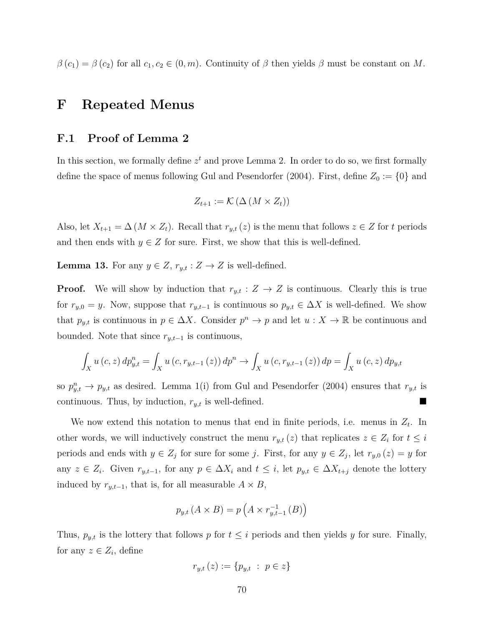$\beta(c_1) = \beta(c_2)$  for all  $c_1, c_2 \in (0, m)$ . Continuity of  $\beta$  then yields  $\beta$  must be constant on *M*.

## **F Repeated Menus**

### **F.1 Proof of Lemma 2**

In this section, we formally define  $z<sup>t</sup>$  and prove Lemma 2. In order to do so, we first formally define the space of menus following Gul and Pesendorfer (2004). First, define  $Z_0 := \{0\}$  and

$$
Z_{t+1} := \mathcal{K}\left(\Delta\left(M \times Z_t\right)\right)
$$

Also, let  $X_{t+1} = \Delta (M \times Z_t)$ . Recall that  $r_{y,t}(z)$  is the menu that follows  $z \in Z$  for *t* periods and then ends with  $y \in Z$  for sure. First, we show that this is well-defined.

**Lemma 13.** For any  $y \in Z$ ,  $r_{y,t}: Z \to Z$  is well-defined.

**Proof.** We will show by induction that  $r_{y,t}: Z \to Z$  is continuous. Clearly this is true for  $r_{y,0} = y$ . Now, suppose that  $r_{y,t-1}$  is continuous so  $p_{y,t} \in \Delta X$  is well-defined. We show that  $p_{y,t}$  is continuous in  $p \in \Delta X$ . Consider  $p^n \to p$  and let  $u: X \to \mathbb{R}$  be continuous and bounded. Note that since  $r_{y,t-1}$  is continuous,

$$
\int_{X} u(c, z) dp_{y,t}^{n} = \int_{X} u(c, r_{y,t-1}(z)) dp^{n} \to \int_{X} u(c, r_{y,t-1}(z)) dp = \int_{X} u(c, z) dp_{y,t}
$$

so  $p_{y,t}^n \to p_{y,t}$  as desired. Lemma 1(i) from Gul and Pesendorfer (2004) ensures that  $r_{y,t}$  is continuous. Thus, by induction, *ry,t* is well-defined.

We now extend this notation to menus that end in finite periods, i.e. menus in *Z<sup>t</sup>* . In other words, we will inductively construct the menu  $r_{y,t}(z)$  that replicates  $z \in Z_i$  for  $t \leq i$ periods and ends with  $y \in Z_j$  for sure for some *j*. First, for any  $y \in Z_j$ , let  $r_{y,0}(z) = y$  for any  $z \in Z_i$ . Given  $r_{y,t-1}$ , for any  $p \in \Delta X_i$  and  $t \leq i$ , let  $p_{y,t} \in \Delta X_{t+j}$  denote the lottery induced by  $r_{y,t-1}$ , that is, for all measurable  $A \times B$ ,

$$
p_{y,t}(A \times B) = p\left(A \times r_{y,t-1}^{-1}(B)\right)
$$

Thus,  $p_{y,t}$  is the lottery that follows  $p$  for  $t \leq i$  periods and then yields  $y$  for sure. Finally, for any  $z \in Z_i$ , define

$$
r_{y,t}(z) := \{p_{y,t} : p \in z\}
$$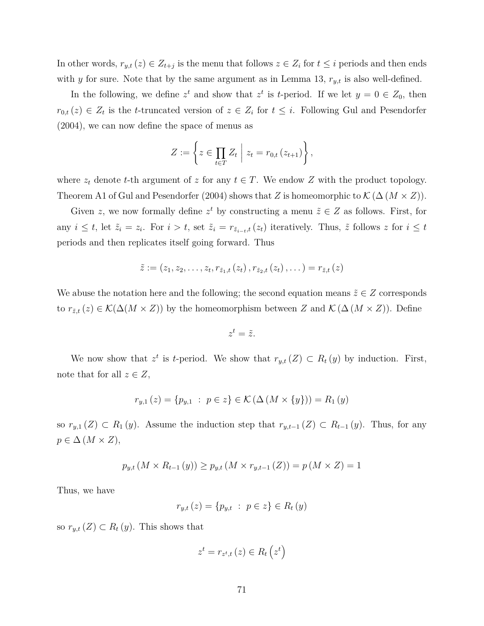In other words,  $r_{y,t}(z) \in Z_{t+j}$  is the menu that follows  $z \in Z_i$  for  $t \leq i$  periods and then ends with *y* for sure. Note that by the same argument as in Lemma 13, *ry,t* is also well-defined.

In the following, we define  $z^t$  and show that  $z^t$  is *t*-period. If we let  $y = 0 \in Z_0$ , then  $r_{0,t}(z) \in Z_t$  is the *t*-truncated version of  $z \in Z_i$  for  $t \leq i$ . Following Gul and Pesendorfer (2004), we can now define the space of menus as

$$
Z := \left\{ z \in \prod_{t \in T} Z_t \mid z_t = r_{0,t} (z_{t+1}) \right\},\
$$

where  $z_t$  denote *t*-th argument of *z* for any  $t \in T$ . We endow *Z* with the product topology. Theorem A1 of Gul and Pesendorfer (2004) shows that *Z* is homeomorphic to  $\mathcal{K}(\Delta (M \times Z))$ .

Given *z*, we now formally define  $z^t$  by constructing a menu  $\tilde{z} \in Z$  as follows. First, for any  $i \leq t$ , let  $\tilde{z}_i = z_i$ . For  $i > t$ , set  $\tilde{z}_i = r_{\tilde{z}_{i-t},t}(z_t)$  iteratively. Thus,  $\tilde{z}$  follows z for  $i \leq t$ periods and then replicates itself going forward. Thus

$$
\tilde{z} := (z_1, z_2, \ldots, z_t, r_{\tilde{z}_1, t}(z_t), r_{\tilde{z}_2, t}(z_t), \ldots) = r_{\tilde{z}, t}(z)
$$

We abuse the notation here and the following; the second equation means  $\tilde{z} \in Z$  corresponds to  $r_{\tilde{z},t}(z) \in \mathcal{K}(\Delta(M \times Z))$  by the homeomorphism between *Z* and  $\mathcal{K}(\Delta(M \times Z))$ . Define

$$
z^t=\tilde{z}.
$$

We now show that  $z^t$  is *t*-period. We show that  $r_{y,t}(Z) \subset R_t(y)$  by induction. First, note that for all  $z \in Z$ ,

$$
r_{y,1}(z) = \{p_{y,1} : p \in z\} \in \mathcal{K}(\Delta(M \times \{y\})) = R_1(y)
$$

so  $r_{y,1}(Z) \subset R_1(y)$ . Assume the induction step that  $r_{y,t-1}(Z) \subset R_{t-1}(y)$ . Thus, for any  $p \in \Delta$  (*M* × *Z*),

$$
p_{y,t}(M \times R_{t-1}(y)) \ge p_{y,t}(M \times r_{y,t-1}(Z)) = p(M \times Z) = 1
$$

Thus, we have

$$
r_{y,t}(z) = \{p_{y,t} : p \in z\} \in R_t(y)
$$

so  $r_{y,t}(Z) \subset R_t(y)$ . This shows that

$$
z^{t} = r_{z^{t}, t} (z) \in R_{t} (z^{t})
$$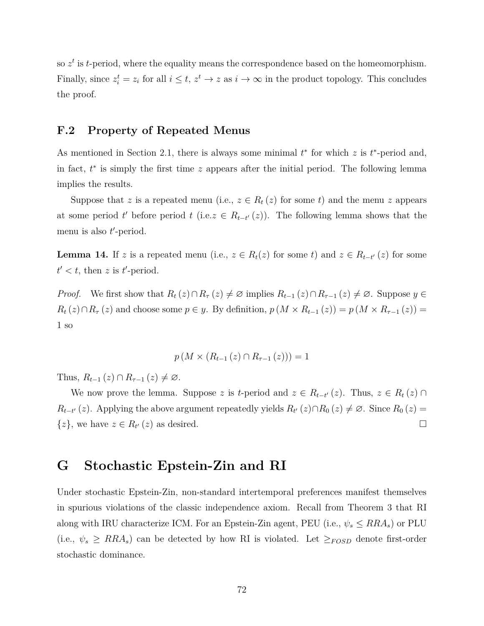so  $z<sup>t</sup>$  is *t*-period, where the equality means the correspondence based on the homeomorphism. Finally, since  $z_i^t = z_i$  for all  $i \leq t$ ,  $z^t \to z$  as  $i \to \infty$  in the product topology. This concludes the proof.

## **F.2 Property of Repeated Menus**

As mentioned in Section 2.1, there is always some minimal  $t^*$  for which  $z$  is  $t^*$ -period and, in fact, *t* ∗ is simply the first time *z* appears after the initial period. The following lemma implies the results.

Suppose that *z* is a repeated menu (i.e.,  $z \in R_t(z)$  for some *t*) and the menu *z* appears at some period *t*' before period *t* (i.e.  $z \in R_{t-t}(z)$ ). The following lemma shows that the menu is also *t*'-period.

**Lemma 14.** If *z* is a repeated menu (i.e.,  $z \in R_t(z)$  for some *t*) and  $z \in R_{t-t'}(z)$  for some  $t' < t$ , then *z* is *t*'-period.

*Proof.* We first show that  $R_t(z) \cap R_{\tau}(z) \neq \emptyset$  implies  $R_{t-1}(z) \cap R_{\tau-1}(z) \neq \emptyset$ . Suppose  $y \in$  $R_t(z) \cap R_{\tau}(z)$  and choose some  $p \in y$ . By definition,  $p(M \times R_{t-1}(z)) = p(M \times R_{\tau-1}(z))$ 1 so

$$
p(M \times (R_{t-1}(z) \cap R_{\tau-1}(z))) = 1
$$

Thus,  $R_{t-1}(z) \cap R_{\tau-1}(z) \neq \emptyset$ .

We now prove the lemma. Suppose *z* is *t*-period and  $z \in R_{t-t'}(z)$ . Thus,  $z \in R_t(z) \cap R_t(z)$  $R_{t-t'}(z)$ . Applying the above argument repeatedly yields  $R_{t'}(z) \cap R_0(z) \neq \emptyset$ . Since  $R_0(z) =$ { $z$ }, we have  $z \in R_{t'}(z)$  as desired.

## **G Stochastic Epstein-Zin and RI**

Under stochastic Epstein-Zin, non-standard intertemporal preferences manifest themselves in spurious violations of the classic independence axiom. Recall from Theorem 3 that RI along with IRU characterize ICM. For an Epstein-Zin agent, PEU (i.e.,  $\psi_s \leq RRA_s$ ) or PLU (i.e.,  $\psi_s \geq RRA_s$ ) can be detected by how RI is violated. Let  $\geq_{FOSD}$  denote first-order stochastic dominance.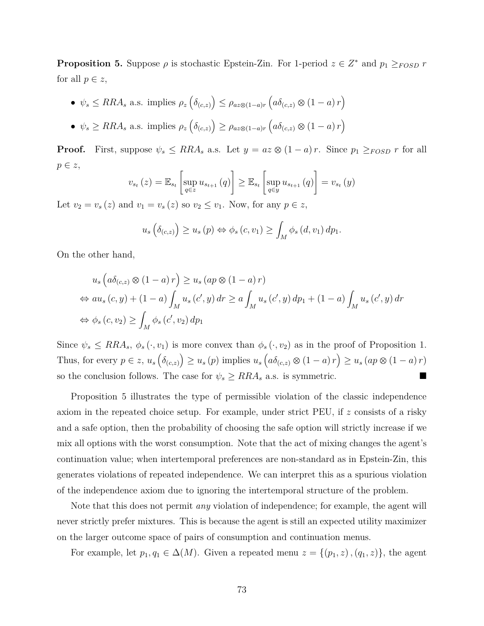**Proposition 5.** Suppose  $\rho$  is stochastic Epstein-Zin. For 1-period  $z \in Z^*$  and  $p_1 \geq_{FOSD} r$ for all  $p \in z$ ,

- $\psi_s \leq RRA_s$  a.s. implies  $\rho_z\left(\delta_{(c,z)}\right) \leq \rho_{az\otimes(1-a)r}\left(a\delta_{(c,z)}\otimes(1-a)r\right)$
- $\psi_s \geq RRA_s$  a.s. implies  $\rho_z\left(\delta_{(c,z)}\right) \geq \rho_{az\otimes(1-a)r}\left(a\delta_{(c,z)}\otimes(1-a)r\right)$

**Proof.** First, suppose  $\psi_s \leq RRA_s$  a.s. Let  $y = az \otimes (1 - a)r$ . Since  $p_1 \geq_{FOSD} r$  for all *p* ∈ *z*,

$$
v_{s_t}(z) = \mathbb{E}_{s_t} \left[ \sup_{q \in z} u_{s_{t+1}}(q) \right] \geq \mathbb{E}_{s_t} \left[ \sup_{q \in y} u_{s_{t+1}}(q) \right] = v_{s_t}(y)
$$

Let  $v_2 = v_s(z)$  and  $v_1 = v_s(z)$  so  $v_2 \le v_1$ . Now, for any  $p \in z$ ,

$$
u_s\left(\delta_{(c,z)}\right) \geq u_s\left(p\right) \Leftrightarrow \phi_s\left(c,v_1\right) \geq \int_M \phi_s\left(d,v_1\right) dp_1.
$$

On the other hand,

$$
u_s\left(a\delta_{(c,z)}\otimes(1-a)r\right) \ge u_s\left(ap\otimes(1-a)r\right)
$$
  
\n
$$
\Leftrightarrow au_s\left(c,y\right) + (1-a)\int_M u_s\left(c',y\right)dr \ge a\int_M u_s\left(c',y\right)dp_1 + (1-a)\int_M u_s\left(c',y\right)dr
$$
  
\n
$$
\Leftrightarrow \phi_s\left(c,v_2\right) \ge \int_M \phi_s\left(c',v_2\right)dp_1
$$

Since  $\psi_s \leq RRA_s$ ,  $\phi_s(\cdot, v_1)$  is more convex than  $\phi_s(\cdot, v_2)$  as in the proof of Proposition 1. Thus, for every  $p \in z$ ,  $u_s(\delta_{(c,z)}) \ge u_s(p)$  implies  $u_s(a\delta_{(c,z)} \otimes (1-a)r) \ge u_s(ap \otimes (1-a)r)$ so the conclusion follows. The case for  $\psi_s \geq RRA_s$  a.s. is symmetric.

Proposition 5 illustrates the type of permissible violation of the classic independence axiom in the repeated choice setup. For example, under strict PEU, if *z* consists of a risky and a safe option, then the probability of choosing the safe option will strictly increase if we mix all options with the worst consumption. Note that the act of mixing changes the agent's continuation value; when intertemporal preferences are non-standard as in Epstein-Zin, this generates violations of repeated independence. We can interpret this as a spurious violation of the independence axiom due to ignoring the intertemporal structure of the problem.

Note that this does not permit *any* violation of independence; for example, the agent will never strictly prefer mixtures. This is because the agent is still an expected utility maximizer on the larger outcome space of pairs of consumption and continuation menus.

For example, let  $p_1, q_1 \in \Delta(M)$ . Given a repeated menu  $z = \{(p_1, z), (q_1, z)\}$ , the agent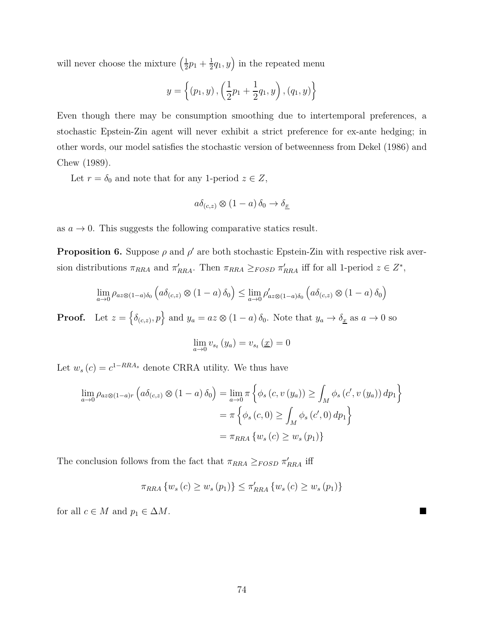will never choose the mixture  $\left(\frac{1}{2}\right)$  $rac{1}{2}p_1 + \frac{1}{2}$  $(\frac{1}{2}q_1, y)$  in the repeated menu

$$
y = \left\{ (p_1, y), \left( \frac{1}{2}p_1 + \frac{1}{2}q_1, y \right), (q_1, y) \right\}
$$

Even though there may be consumption smoothing due to intertemporal preferences, a stochastic Epstein-Zin agent will never exhibit a strict preference for ex-ante hedging; in other words, our model satisfies the stochastic version of betweenness from Dekel (1986) and Chew (1989).

Let  $r = \delta_0$  and note that for any 1-period  $z \in Z$ ,

$$
a\delta_{(c,z)} \otimes (1-a)\,\delta_0 \to \delta_{\underline{x}}
$$

as  $a \to 0$ . This suggests the following comparative statics result.

**Proposition 6.** Suppose  $\rho$  and  $\rho'$  are both stochastic Epstein-Zin with respective risk aversion distributions  $\pi_{RRA}$  and  $\pi'_{RRA}$ . Then  $\pi_{RRA} \geq_{FOSD} \pi'_{RRA}$  iff for all 1-period  $z \in Z^*$ ,

$$
\lim_{a \to 0} \rho_{az \otimes (1-a)\delta_0} \left( a \delta_{(c,z)} \otimes (1-a) \delta_0 \right) \leq \lim_{a \to 0} \rho'_{az \otimes (1-a)\delta_0} \left( a \delta_{(c,z)} \otimes (1-a) \delta_0 \right)
$$

**Proof.** Let  $z = \{\delta_{(c,z)}, p\}$  and  $y_a = az \otimes (1 - a)\delta_0$ . Note that  $y_a \to \delta_x$  as  $a \to 0$  so

$$
\lim_{a \to 0} v_{s_t}(y_a) = v_{s_t}(\underline{x}) = 0
$$

Let  $w_s(c) = c^{1-RRA_s}$  denote CRRA utility. We thus have

$$
\lim_{a \to 0} \rho_{az \otimes (1-a)r} \left( a \delta_{(c,z)} \otimes (1-a) \delta_0 \right) = \lim_{a \to 0} \pi \left\{ \phi_s (c, v (y_a)) \ge \int_M \phi_s (c', v (y_a)) dp_1 \right\}
$$

$$
= \pi \left\{ \phi_s (c, 0) \ge \int_M \phi_s (c', 0) dp_1 \right\}
$$

$$
= \pi_{RRA} \left\{ w_s (c) \ge w_s (p_1) \right\}
$$

The conclusion follows from the fact that  $\pi_{RRA} \geq_{FOSD} \pi'_{RRA}$  iff

$$
\pi_{RRA} \{ w_s (c) \ge w_s (p_1) \} \le \pi'_{RRA} \{ w_s (c) \ge w_s (p_1) \}
$$

for all  $c \in M$  and  $p_1 \in \Delta M$ .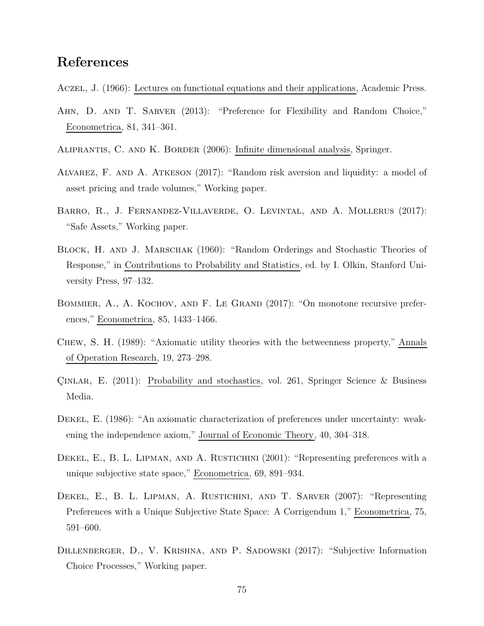## **References**

Aczel, J. (1966): Lectures on functional equations and their applications, Academic Press.

- Ahn, D. and T. Sarver (2013): "Preference for Flexibility and Random Choice," Econometrica, 81, 341–361.
- Aliprantis, C. and K. Border (2006): Infinite dimensional analysis, Springer.
- Alvarez, F. and A. Atkeson (2017): "Random risk aversion and liquidity: a model of asset pricing and trade volumes," Working paper.
- Barro, R., J. Fernandez-Villaverde, O. Levintal, and A. Mollerus (2017): "Safe Assets," Working paper.
- BLOCK, H. AND J. MARSCHAK (1960): "Random Orderings and Stochastic Theories of Response," in Contributions to Probability and Statistics, ed. by I. Olkin, Stanford University Press, 97–132.
- BOMMIER, A., A. KOCHOV, AND F. LE GRAND (2017): "On monotone recursive preferences," Econometrica, 85, 1433–1466.
- Chew, S. H. (1989): "Axiomatic utility theories with the betweenness property," Annals of Operation Research, 19, 273–298.
- Çınlar, E. (2011): Probability and stochastics, vol. 261, Springer Science & Business Media.
- Dekel, E. (1986): "An axiomatic characterization of preferences under uncertainty: weakening the independence axiom," Journal of Economic Theory, 40, 304–318.
- DEKEL, E., B. L. LIPMAN, AND A. RUSTICHINI (2001): "Representing preferences with a unique subjective state space," Econometrica, 69, 891–934.
- DEKEL, E., B. L. LIPMAN, A. RUSTICHINI, AND T. SARVER (2007): "Representing Preferences with a Unique Subjective State Space: A Corrigendum 1," Econometrica, 75, 591–600.
- Dillenberger, D., V. Krishna, and P. Sadowski (2017): "Subjective Information Choice Processes," Working paper.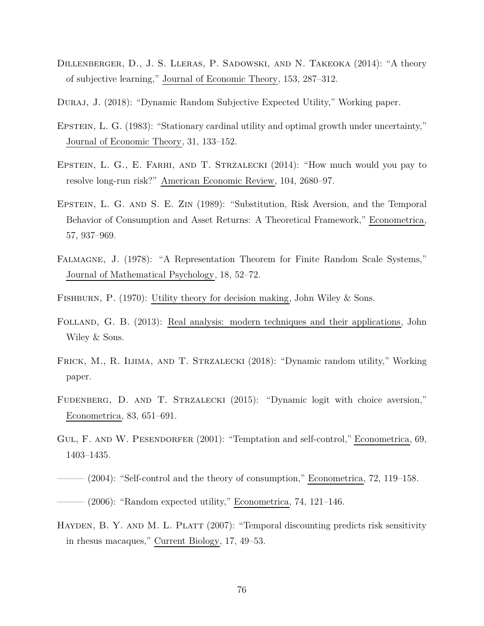- Dillenberger, D., J. S. Lleras, P. Sadowski, and N. Takeoka (2014): "A theory of subjective learning," Journal of Economic Theory, 153, 287–312.
- Duraj, J. (2018): "Dynamic Random Subjective Expected Utility," Working paper.
- EPSTEIN, L. G. (1983): "Stationary cardinal utility and optimal growth under uncertainty," Journal of Economic Theory, 31, 133–152.
- EPSTEIN, L. G., E. FARHI, AND T. STRZALECKI (2014): "How much would you pay to resolve long-run risk?" American Economic Review, 104, 2680–97.
- Epstein, L. G. and S. E. Zin (1989): "Substitution, Risk Aversion, and the Temporal Behavior of Consumption and Asset Returns: A Theoretical Framework," Econometrica, 57, 937–969.
- Falmagne, J. (1978): "A Representation Theorem for Finite Random Scale Systems," Journal of Mathematical Psychology, 18, 52–72.
- FISHBURN, P. (1970): Utility theory for decision making, John Wiley & Sons.
- Folland, G. B. (2013): Real analysis: modern techniques and their applications, John Wiley & Sons.
- Frick, M., R. Iijima, and T. Strzalecki (2018): "Dynamic random utility," Working paper.
- Fudenberg, D. and T. Strzalecki (2015): "Dynamic logit with choice aversion," Econometrica, 83, 651–691.
- GUL, F. AND W. PESENDORFER (2001): "Temptation and self-control," Econometrica, 69, 1403–1435.
- (2004): "Self-control and the theory of consumption," Econometrica, 72, 119–158.  $-$  (2006): "Random expected utility," Econometrica, 74, 121–146.
- HAYDEN, B. Y. AND M. L. PLATT (2007): "Temporal discounting predicts risk sensitivity in rhesus macaques," Current Biology, 17, 49–53.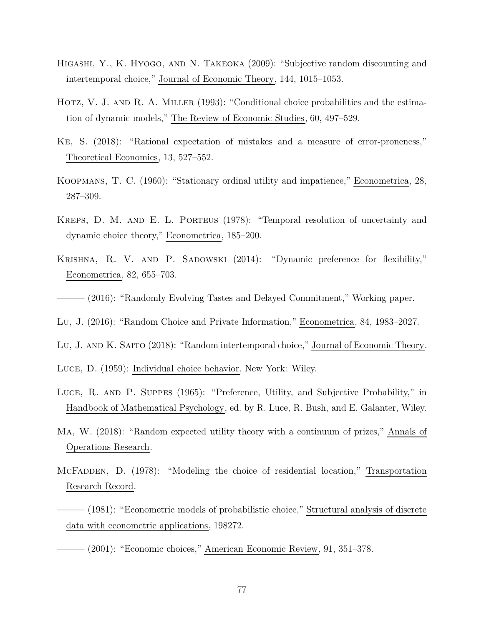- Higashi, Y., K. Hyogo, and N. Takeoka (2009): "Subjective random discounting and intertemporal choice," Journal of Economic Theory, 144, 1015–1053.
- HOTZ, V. J. AND R. A. MILLER (1993): "Conditional choice probabilities and the estimation of dynamic models," The Review of Economic Studies, 60, 497–529.
- Ke, S. (2018): "Rational expectation of mistakes and a measure of error-proneness," Theoretical Economics, 13, 527–552.
- Koopmans, T. C. (1960): "Stationary ordinal utility and impatience," Econometrica, 28, 287–309.
- Kreps, D. M. and E. L. Porteus (1978): "Temporal resolution of uncertainty and dynamic choice theory," Econometrica, 185–200.
- KRISHNA, R. V. AND P. SADOWSKI (2014): "Dynamic preference for flexibility," Econometrica, 82, 655–703.
- ——— (2016): "Randomly Evolving Tastes and Delayed Commitment," Working paper.
- Lu, J. (2016): "Random Choice and Private Information," Econometrica, 84, 1983–2027.
- Lu, J. and K. Saito (2018): "Random intertemporal choice," Journal of Economic Theory.
- Luce, D. (1959): Individual choice behavior, New York: Wiley.
- Luce, R. and P. Suppes (1965): "Preference, Utility, and Subjective Probability," in Handbook of Mathematical Psychology, ed. by R. Luce, R. Bush, and E. Galanter, Wiley.
- Ma, W. (2018): "Random expected utility theory with a continuum of prizes," Annals of Operations Research.
- McFadden, D. (1978): "Modeling the choice of residential location," Transportation Research Record.
- ——— (1981): "Econometric models of probabilistic choice," Structural analysis of discrete data with econometric applications, 198272.
	- $(2001)$ : "Economic choices," American Economic Review, 91, 351–378.